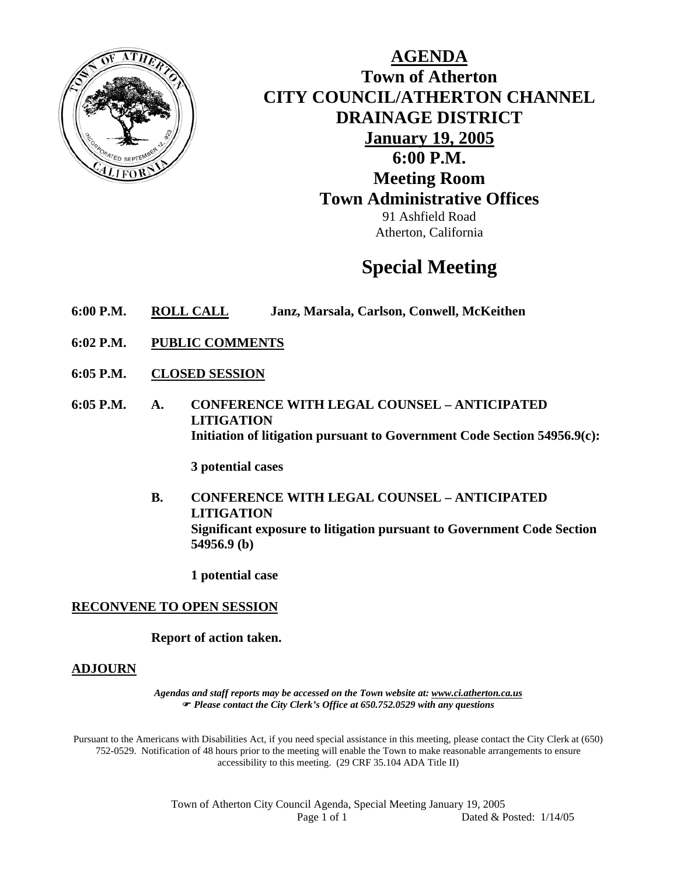

**AGENDA Town of Atherton CITY COUNCIL/ATHERTON CHANNEL DRAINAGE DISTRICT January 19, 2005 6:00 P.M. Meeting Room Town Administrative Offices**  91 Ashfield Road Atherton, California

# **Special Meeting**

- **6:00 P.M. ROLL CALL Janz, Marsala, Carlson, Conwell, McKeithen**
- **6:02 P.M. PUBLIC COMMENTS**
- **6:05 P.M. CLOSED SESSION**
- **6:05 P.M. A. CONFERENCE WITH LEGAL COUNSEL ANTICIPATED LITIGATION Initiation of litigation pursuant to Government Code Section 54956.9(c):**

**3 potential cases** 

**B. CONFERENCE WITH LEGAL COUNSEL – ANTICIPATED LITIGATION Significant exposure to litigation pursuant to Government Code Section 54956.9 (b)** 

**1 potential case** 

### **RECONVENE TO OPEN SESSION**

**Report of action taken.** 

#### **ADJOURN**

*Agendas and staff reports may be accessed on the Town website at: www.ci.atherton.ca.us* ) *Please contact the City Clerk's Office at 650.752.0529 with any questions* 

Pursuant to the Americans with Disabilities Act, if you need special assistance in this meeting, please contact the City Clerk at (650) 752-0529. Notification of 48 hours prior to the meeting will enable the Town to make reasonable arrangements to ensure accessibility to this meeting. (29 CRF 35.104 ADA Title II)

> Town of Atherton City Council Agenda, Special Meeting January 19, 2005 Page 1 of 1 Dated & Posted:  $1/14/05$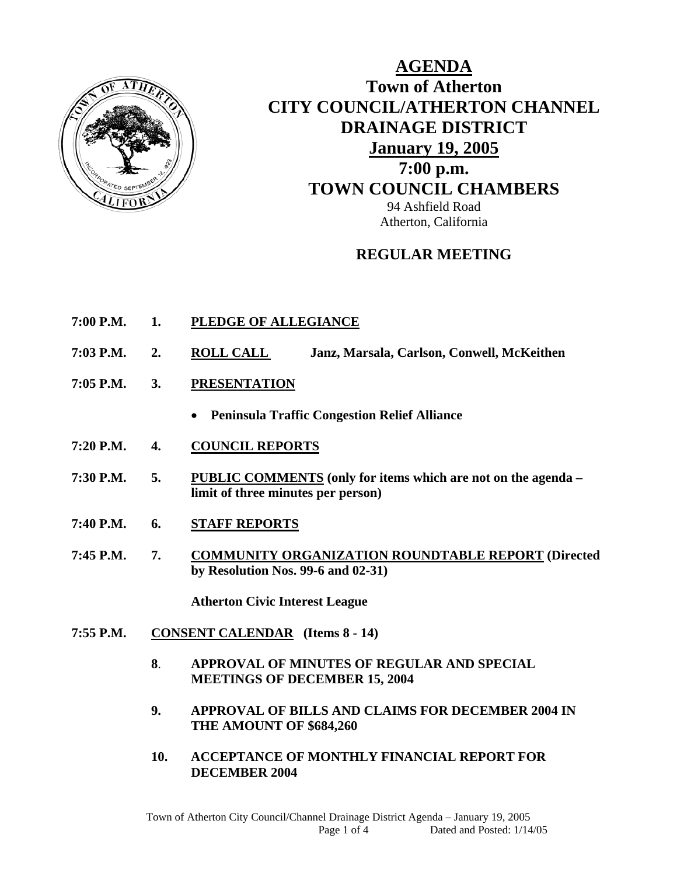

# **AGENDA Town of Atherton CITY COUNCIL/ATHERTON CHANNEL DRAINAGE DISTRICT January 19, 2005 7:00 p.m. TOWN COUNCIL CHAMBERS** 94 Ashfield Road Atherton, California

# **REGULAR MEETING**

- **7:00 P.M. 1. PLEDGE OF ALLEGIANCE**
- **7:03 P.M. 2. ROLL CALL Janz, Marsala, Carlson, Conwell, McKeithen**
- **7:05 P.M. 3. PRESENTATION**
	- **Peninsula Traffic Congestion Relief Alliance**
- **7:20 P.M. 4. COUNCIL REPORTS**
- **7:30 P.M. 5. PUBLIC COMMENTS (only for items which are not on the agenda limit of three minutes per person)**
- **7:40 P.M. 6. STAFF REPORTS**
- **7:45 P.M. 7. COMMUNITY ORGANIZATION ROUNDTABLE REPORT (Directed by Resolution Nos. 99-6 and 02-31)**

 **Atherton Civic Interest League** 

- **7:55 P.M. CONSENT CALENDAR (Items 8 14)** 
	- **8**. **APPROVAL OF MINUTES OF REGULAR AND SPECIAL MEETINGS OF DECEMBER 15, 2004**
	- **9. APPROVAL OF BILLS AND CLAIMS FOR DECEMBER 2004 IN THE AMOUNT OF \$684,260**
	- **10. ACCEPTANCE OF MONTHLY FINANCIAL REPORT FOR DECEMBER 2004**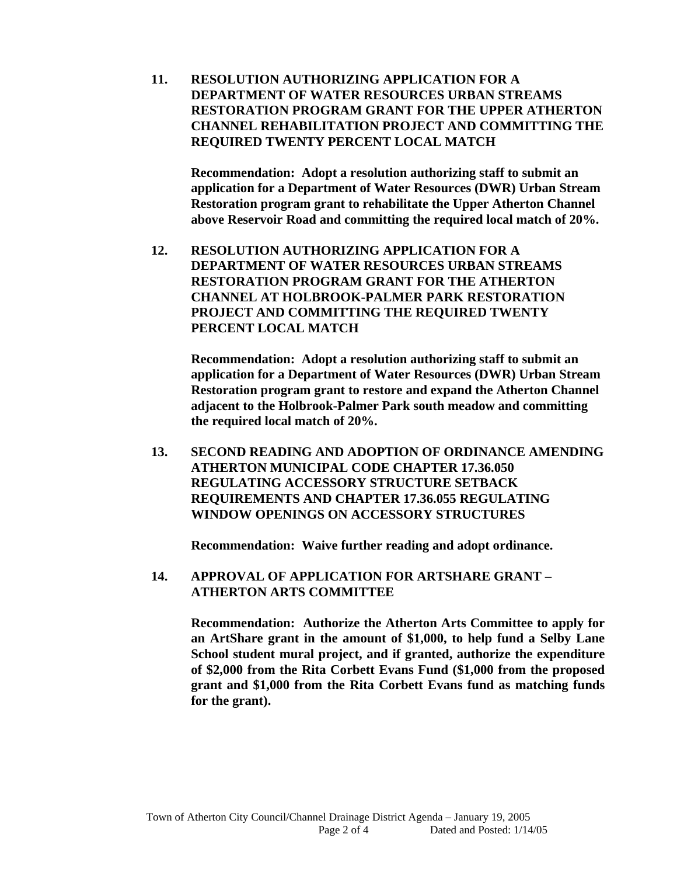**11. RESOLUTION AUTHORIZING APPLICATION FOR A DEPARTMENT OF WATER RESOURCES URBAN STREAMS RESTORATION PROGRAM GRANT FOR THE UPPER ATHERTON CHANNEL REHABILITATION PROJECT AND COMMITTING THE REQUIRED TWENTY PERCENT LOCAL MATCH** 

**Recommendation: Adopt a resolution authorizing staff to submit an application for a Department of Water Resources (DWR) Urban Stream Restoration program grant to rehabilitate the Upper Atherton Channel above Reservoir Road and committing the required local match of 20%.** 

**12. RESOLUTION AUTHORIZING APPLICATION FOR A DEPARTMENT OF WATER RESOURCES URBAN STREAMS RESTORATION PROGRAM GRANT FOR THE ATHERTON CHANNEL AT HOLBROOK-PALMER PARK RESTORATION PROJECT AND COMMITTING THE REQUIRED TWENTY PERCENT LOCAL MATCH** 

**Recommendation: Adopt a resolution authorizing staff to submit an application for a Department of Water Resources (DWR) Urban Stream Restoration program grant to restore and expand the Atherton Channel adjacent to the Holbrook-Palmer Park south meadow and committing the required local match of 20%.** 

**13. SECOND READING AND ADOPTION OF ORDINANCE AMENDING ATHERTON MUNICIPAL CODE CHAPTER 17.36.050 REGULATING ACCESSORY STRUCTURE SETBACK REQUIREMENTS AND CHAPTER 17.36.055 REGULATING WINDOW OPENINGS ON ACCESSORY STRUCTURES** 

**Recommendation: Waive further reading and adopt ordinance.** 

**14. APPROVAL OF APPLICATION FOR ARTSHARE GRANT – ATHERTON ARTS COMMITTEE** 

**Recommendation: Authorize the Atherton Arts Committee to apply for an ArtShare grant in the amount of \$1,000, to help fund a Selby Lane School student mural project, and if granted, authorize the expenditure of \$2,000 from the Rita Corbett Evans Fund (\$1,000 from the proposed grant and \$1,000 from the Rita Corbett Evans fund as matching funds for the grant).**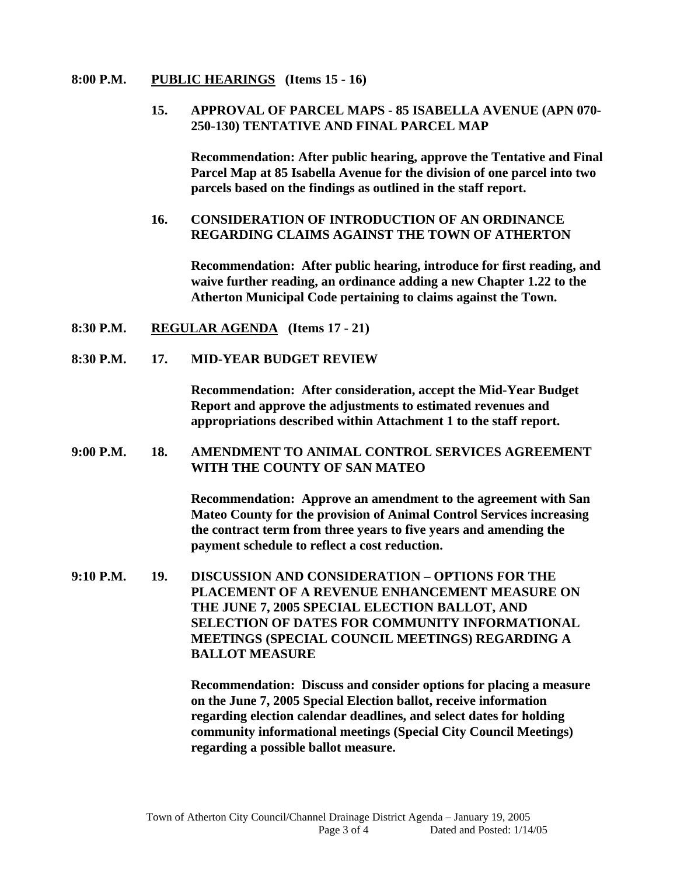#### **8:00 P.M. PUBLIC HEARINGS (Items 15 - 16)**

### **15. APPROVAL OF PARCEL MAPS - 85 ISABELLA AVENUE (APN 070- 250-130) TENTATIVE AND FINAL PARCEL MAP**

 **Recommendation: After public hearing, approve the Tentative and Final Parcel Map at 85 Isabella Avenue for the division of one parcel into two parcels based on the findings as outlined in the staff report.** 

### **16. CONSIDERATION OF INTRODUCTION OF AN ORDINANCE REGARDING CLAIMS AGAINST THE TOWN OF ATHERTON**

**Recommendation: After public hearing, introduce for first reading, and waive further reading, an ordinance adding a new Chapter 1.22 to the Atherton Municipal Code pertaining to claims against the Town.** 

- **8:30 P.M. REGULAR AGENDA (Items 17 21)**
- **8:30 P.M. 17. MID-YEAR BUDGET REVIEW**

**Recommendation: After consideration, accept the Mid-Year Budget Report and approve the adjustments to estimated revenues and appropriations described within Attachment 1 to the staff report.** 

### **9:00 P.M. 18. AMENDMENT TO ANIMAL CONTROL SERVICES AGREEMENT WITH THE COUNTY OF SAN MATEO**

**Recommendation: Approve an amendment to the agreement with San Mateo County for the provision of Animal Control Services increasing the contract term from three years to five years and amending the payment schedule to reflect a cost reduction.** 

**9:10 P.M. 19. DISCUSSION AND CONSIDERATION – OPTIONS FOR THE PLACEMENT OF A REVENUE ENHANCEMENT MEASURE ON THE JUNE 7, 2005 SPECIAL ELECTION BALLOT, AND SELECTION OF DATES FOR COMMUNITY INFORMATIONAL MEETINGS (SPECIAL COUNCIL MEETINGS) REGARDING A BALLOT MEASURE** 

> **Recommendation: Discuss and consider options for placing a measure on the June 7, 2005 Special Election ballot, receive information regarding election calendar deadlines, and select dates for holding community informational meetings (Special City Council Meetings) regarding a possible ballot measure.**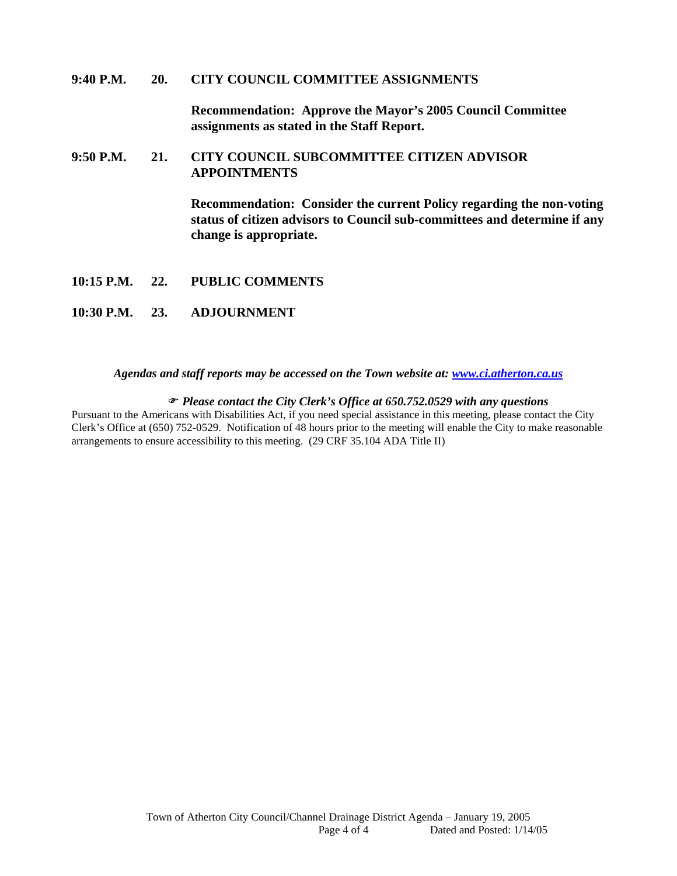#### **9:40 P.M. 20. CITY COUNCIL COMMITTEE ASSIGNMENTS**

**Recommendation: Approve the Mayor's 2005 Council Committee assignments as stated in the Staff Report.** 

### **9:50 P.M. 21. CITY COUNCIL SUBCOMMITTEE CITIZEN ADVISOR APPOINTMENTS**

**Recommendation: Consider the current Policy regarding the non-voting status of citizen advisors to Council sub-committees and determine if any change is appropriate.** 

- **10:15 P.M. 22. PUBLIC COMMENTS**
- **10:30 P.M. 23. ADJOURNMENT**

#### *Agendas and staff reports may be accessed on the Town website at: [www.ci.atherton.ca.us](http://www.ci.atherton.ca.us/)*

#### ) *Please contact the City Clerk's Office at 650.752.0529 with any questions*

Pursuant to the Americans with Disabilities Act, if you need special assistance in this meeting, please contact the City Clerk's Office at (650) 752-0529. Notification of 48 hours prior to the meeting will enable the City to make reasonable arrangements to ensure accessibility to this meeting. (29 CRF 35.104 ADA Title II)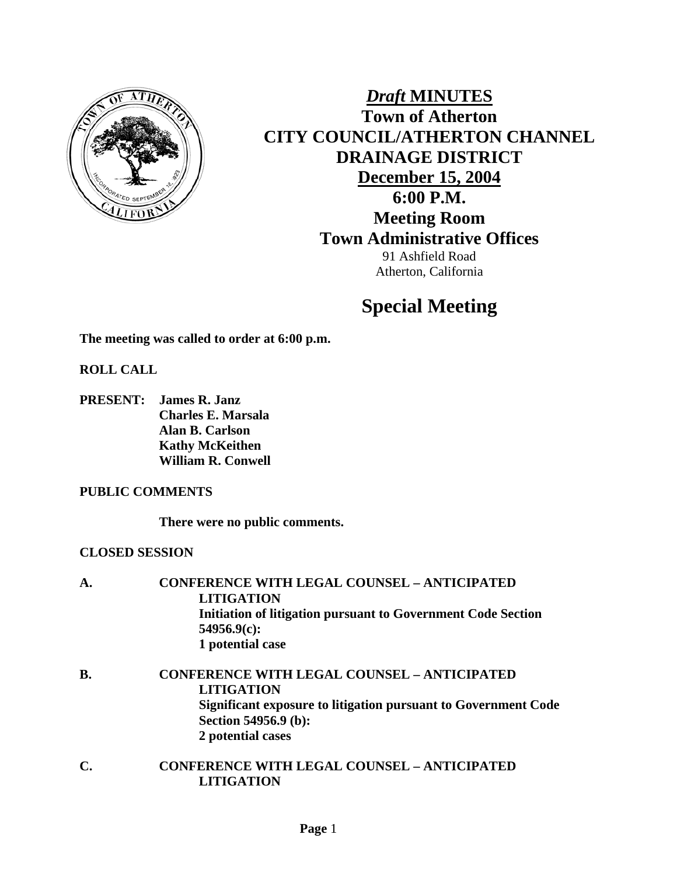

*Draft* **MINUTES Town of Atherton CITY COUNCIL/ATHERTON CHANNEL DRAINAGE DISTRICT December 15, 2004 6:00 P.M. Meeting Room Town Administrative Offices**  91 Ashfield Road Atherton, California

# **Special Meeting**

**The meeting was called to order at 6:00 p.m.** 

### **ROLL CALL**

**PRESENT: James R. Janz Charles E. Marsala Alan B. Carlson Kathy McKeithen William R. Conwell** 

### **PUBLIC COMMENTS**

**There were no public comments.** 

### **CLOSED SESSION**

| Initiation of litigation pursuant to Government Code Section   |
|----------------------------------------------------------------|
|                                                                |
|                                                                |
|                                                                |
| <b>CONFERENCE WITH LEGAL COUNSEL - ANTICIPATED</b>             |
|                                                                |
| Significant exposure to litigation pursuant to Government Code |
|                                                                |
|                                                                |
|                                                                |

**C. CONFERENCE WITH LEGAL COUNSEL – ANTICIPATED LITIGATION**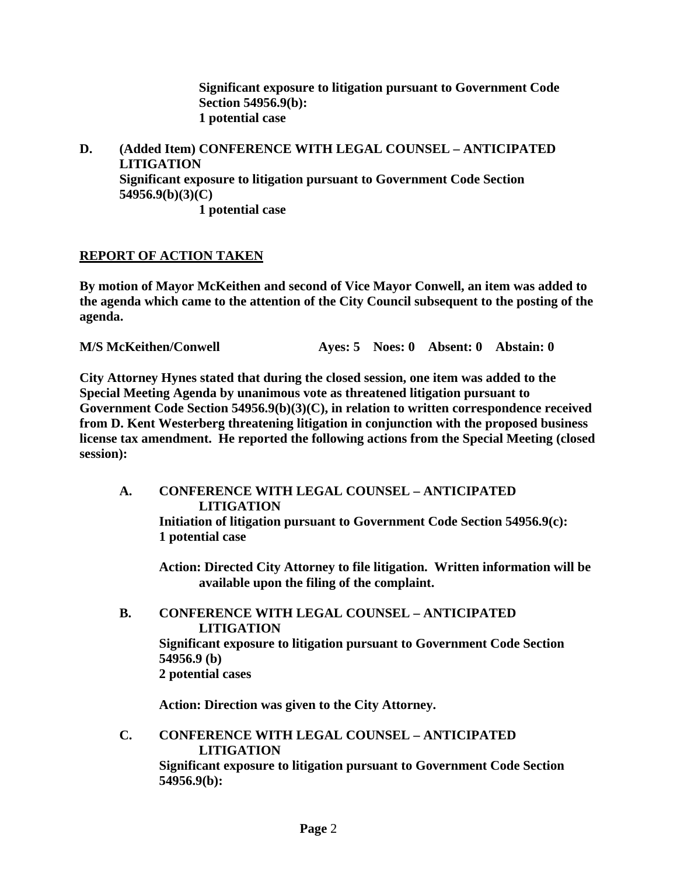**Significant exposure to litigation pursuant to Government Code Section 54956.9(b): 1 potential case** 

**D. (Added Item) CONFERENCE WITH LEGAL COUNSEL – ANTICIPATED LITIGATION Significant exposure to litigation pursuant to Government Code Section 54956.9(b)(3)(C) 1 potential case** 

### **REPORT OF ACTION TAKEN**

**By motion of Mayor McKeithen and second of Vice Mayor Conwell, an item was added to the agenda which came to the attention of the City Council subsequent to the posting of the agenda.** 

**M/S McKeithen/Conwell Ayes: 5 Noes: 0 Absent: 0 Abstain: 0** 

**City Attorney Hynes stated that during the closed session, one item was added to the Special Meeting Agenda by unanimous vote as threatened litigation pursuant to Government Code Section 54956.9(b)(3)(C), in relation to written correspondence received from D. Kent Westerberg threatening litigation in conjunction with the proposed business license tax amendment. He reported the following actions from the Special Meeting (closed session):** 

**A. CONFERENCE WITH LEGAL COUNSEL – ANTICIPATED LITIGATION Initiation of litigation pursuant to Government Code Section 54956.9(c): 1 potential case** 

**Action: Directed City Attorney to file litigation. Written information will be available upon the filing of the complaint.** 

**B. CONFERENCE WITH LEGAL COUNSEL – ANTICIPATED LITIGATION Significant exposure to litigation pursuant to Government Code Section 54956.9 (b) 2 potential cases** 

**Action: Direction was given to the City Attorney.** 

**C. CONFERENCE WITH LEGAL COUNSEL – ANTICIPATED LITIGATION Significant exposure to litigation pursuant to Government Code Section 54956.9(b):**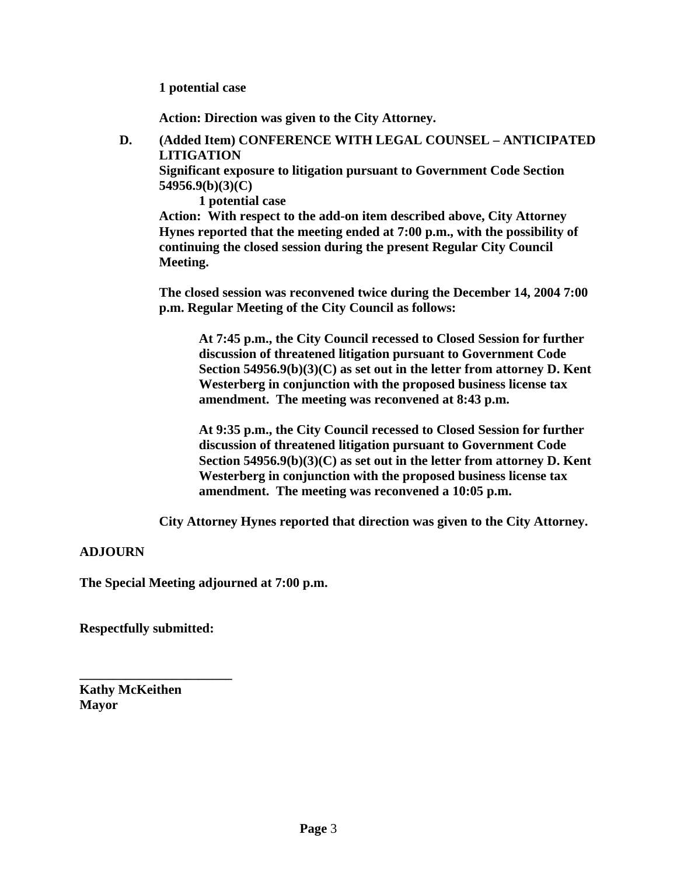**1 potential case** 

**Action: Direction was given to the City Attorney.** 

**D. (Added Item) CONFERENCE WITH LEGAL COUNSEL – ANTICIPATED LITIGATION** 

**Significant exposure to litigation pursuant to Government Code Section 54956.9(b)(3)(C)** 

 **1 potential case** 

**Action: With respect to the add-on item described above, City Attorney Hynes reported that the meeting ended at 7:00 p.m., with the possibility of continuing the closed session during the present Regular City Council Meeting.** 

**The closed session was reconvened twice during the December 14, 2004 7:00 p.m. Regular Meeting of the City Council as follows:** 

**At 7:45 p.m., the City Council recessed to Closed Session for further discussion of threatened litigation pursuant to Government Code Section 54956.9(b)(3)(C) as set out in the letter from attorney D. Kent Westerberg in conjunction with the proposed business license tax amendment. The meeting was reconvened at 8:43 p.m.** 

**At 9:35 p.m., the City Council recessed to Closed Session for further discussion of threatened litigation pursuant to Government Code Section 54956.9(b)(3)(C) as set out in the letter from attorney D. Kent Westerberg in conjunction with the proposed business license tax amendment. The meeting was reconvened a 10:05 p.m.** 

**City Attorney Hynes reported that direction was given to the City Attorney.** 

### **ADJOURN**

**The Special Meeting adjourned at 7:00 p.m.** 

**Respectfully submitted:** 

**\_\_\_\_\_\_\_\_\_\_\_\_\_\_\_\_\_\_\_\_\_\_\_** 

**Kathy McKeithen Mayor**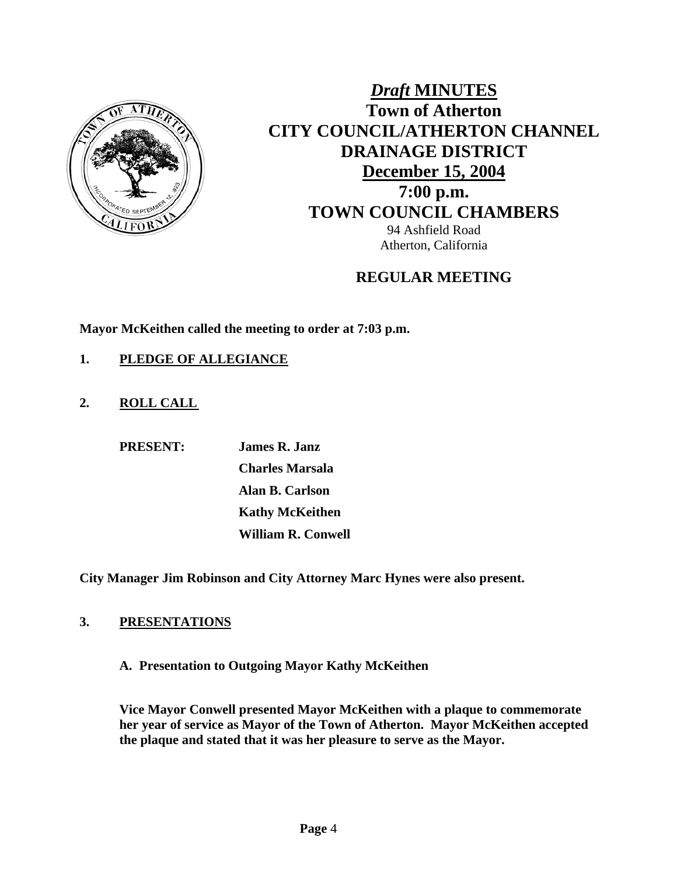

# *Draft* **MINUTES Town of Atherton CITY COUNCIL/ATHERTON CHANNEL DRAINAGE DISTRICT December 15, 2004 7:00 p.m. TOWN COUNCIL CHAMBERS** 94 Ashfield Road Atherton, California

## **REGULAR MEETING**

**Mayor McKeithen called the meeting to order at 7:03 p.m.** 

- **1. PLEDGE OF ALLEGIANCE**
- **2. ROLL CALL**

 **PRESENT: James R. Janz**

 **Charles Marsala Alan B. Carlson Kathy McKeithen William R. Conwell** 

**City Manager Jim Robinson and City Attorney Marc Hynes were also present.** 

### **3. PRESENTATIONS**

**A. Presentation to Outgoing Mayor Kathy McKeithen** 

**Vice Mayor Conwell presented Mayor McKeithen with a plaque to commemorate her year of service as Mayor of the Town of Atherton. Mayor McKeithen accepted the plaque and stated that it was her pleasure to serve as the Mayor.**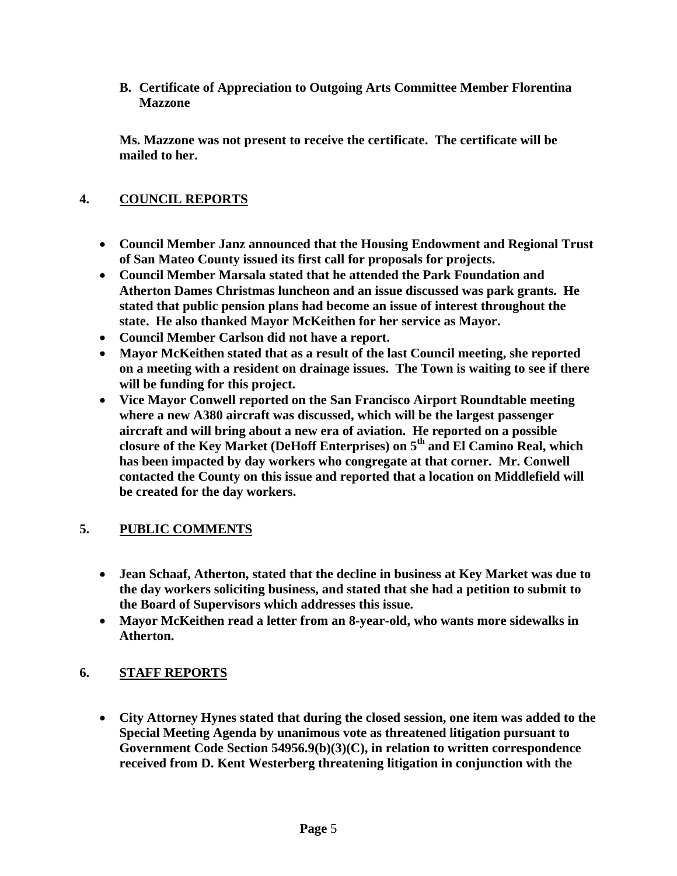**B. Certificate of Appreciation to Outgoing Arts Committee Member Florentina Mazzone** 

**Ms. Mazzone was not present to receive the certificate. The certificate will be mailed to her.** 

### **4. COUNCIL REPORTS**

- **Council Member Janz announced that the Housing Endowment and Regional Trust of San Mateo County issued its first call for proposals for projects.**
- **Council Member Marsala stated that he attended the Park Foundation and Atherton Dames Christmas luncheon and an issue discussed was park grants. He stated that public pension plans had become an issue of interest throughout the state. He also thanked Mayor McKeithen for her service as Mayor.**
- **Council Member Carlson did not have a report.**
- **Mayor McKeithen stated that as a result of the last Council meeting, she reported on a meeting with a resident on drainage issues. The Town is waiting to see if there will be funding for this project.**
- **Vice Mayor Conwell reported on the San Francisco Airport Roundtable meeting where a new A380 aircraft was discussed, which will be the largest passenger aircraft and will bring about a new era of aviation. He reported on a possible closure of the Key Market (DeHoff Enterprises) on 5th and El Camino Real, which has been impacted by day workers who congregate at that corner. Mr. Conwell contacted the County on this issue and reported that a location on Middlefield will be created for the day workers.**

### **5. PUBLIC COMMENTS**

- **Jean Schaaf, Atherton, stated that the decline in business at Key Market was due to the day workers soliciting business, and stated that she had a petition to submit to the Board of Supervisors which addresses this issue.**
- **Mayor McKeithen read a letter from an 8-year-old, who wants more sidewalks in Atherton.**

### **6. STAFF REPORTS**

• **City Attorney Hynes stated that during the closed session, one item was added to the Special Meeting Agenda by unanimous vote as threatened litigation pursuant to Government Code Section 54956.9(b)(3)(C), in relation to written correspondence received from D. Kent Westerberg threatening litigation in conjunction with the**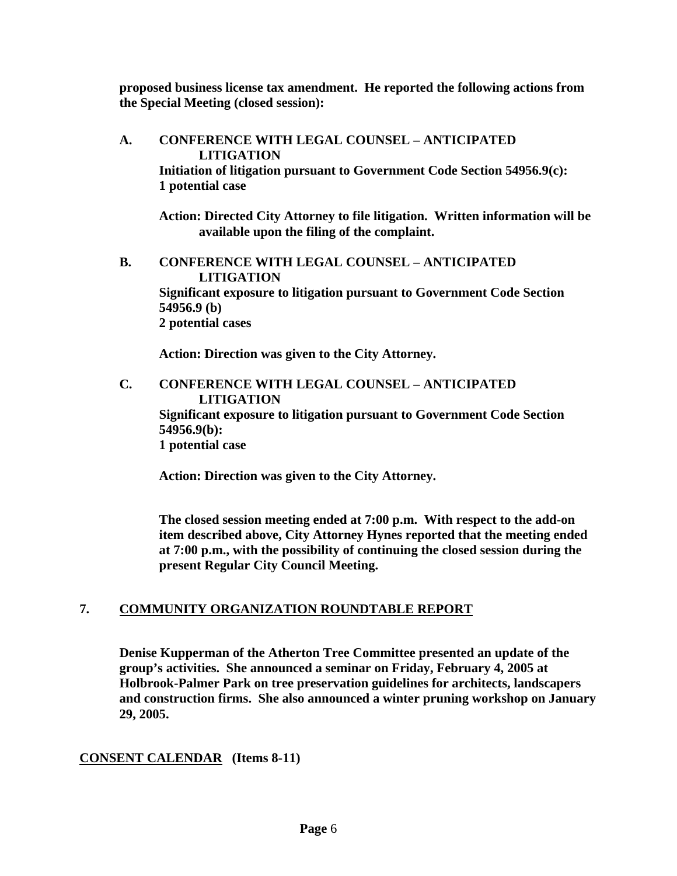**proposed business license tax amendment. He reported the following actions from the Special Meeting (closed session):** 

**A. CONFERENCE WITH LEGAL COUNSEL – ANTICIPATED LITIGATION Initiation of litigation pursuant to Government Code Section 54956.9(c): 1 potential case Action: Directed City Attorney to file litigation. Written information will be available upon the filing of the complaint. B. CONFERENCE WITH LEGAL COUNSEL – ANTICIPATED LITIGATION Significant exposure to litigation pursuant to Government Code Section 54956.9 (b) 2 potential cases** 

**Action: Direction was given to the City Attorney.** 

**C. CONFERENCE WITH LEGAL COUNSEL – ANTICIPATED LITIGATION Significant exposure to litigation pursuant to Government Code Section 54956.9(b): 1 potential case** 

**Action: Direction was given to the City Attorney.** 

**The closed session meeting ended at 7:00 p.m. With respect to the add-on item described above, City Attorney Hynes reported that the meeting ended at 7:00 p.m., with the possibility of continuing the closed session during the present Regular City Council Meeting.** 

### **7. COMMUNITY ORGANIZATION ROUNDTABLE REPORT**

**Denise Kupperman of the Atherton Tree Committee presented an update of the group's activities. She announced a seminar on Friday, February 4, 2005 at Holbrook-Palmer Park on tree preservation guidelines for architects, landscapers and construction firms. She also announced a winter pruning workshop on January 29, 2005.** 

### **CONSENT CALENDAR (Items 8-11)**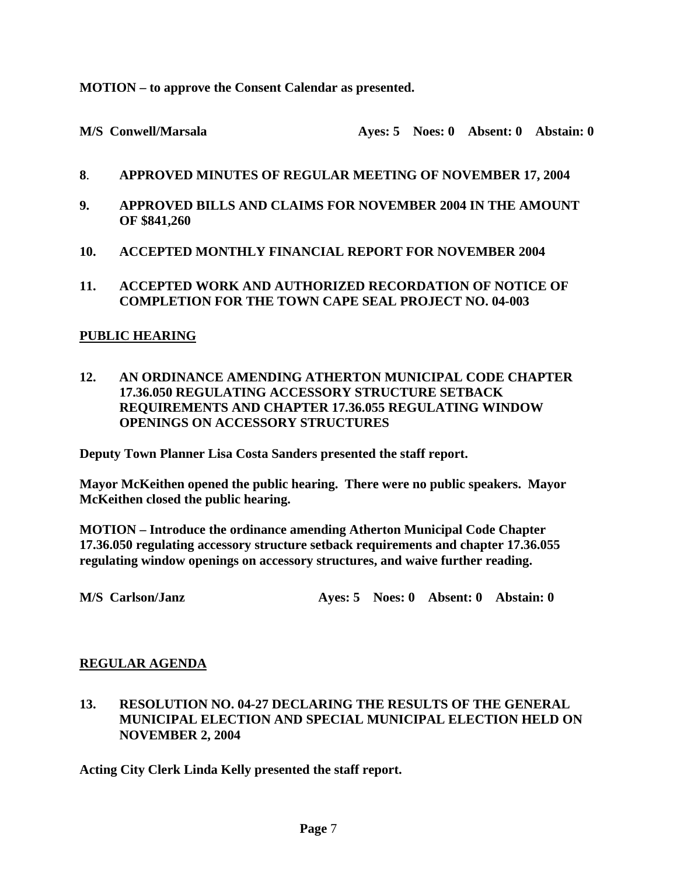**MOTION – to approve the Consent Calendar as presented.**

M/S Conwell/Marsala **Ayes: 5 Noes: 0 Absent: 0 Abstain: 0** 

- **8**. **APPROVED MINUTES OF REGULAR MEETING OF NOVEMBER 17, 2004**
- **9. APPROVED BILLS AND CLAIMS FOR NOVEMBER 2004 IN THE AMOUNT OF \$841,260**
- **10. ACCEPTED MONTHLY FINANCIAL REPORT FOR NOVEMBER 2004**
- **11. ACCEPTED WORK AND AUTHORIZED RECORDATION OF NOTICE OF COMPLETION FOR THE TOWN CAPE SEAL PROJECT NO. 04-003**

### **PUBLIC HEARING**

**12. AN ORDINANCE AMENDING ATHERTON MUNICIPAL CODE CHAPTER 17.36.050 REGULATING ACCESSORY STRUCTURE SETBACK REQUIREMENTS AND CHAPTER 17.36.055 REGULATING WINDOW OPENINGS ON ACCESSORY STRUCTURES** 

**Deputy Town Planner Lisa Costa Sanders presented the staff report.**

**Mayor McKeithen opened the public hearing. There were no public speakers. Mayor McKeithen closed the public hearing.** 

**MOTION – Introduce the ordinance amending Atherton Municipal Code Chapter 17.36.050 regulating accessory structure setback requirements and chapter 17.36.055 regulating window openings on accessory structures, and waive further reading.**

### **REGULAR AGENDA**

**13. RESOLUTION NO. 04-27 DECLARING THE RESULTS OF THE GENERAL MUNICIPAL ELECTION AND SPECIAL MUNICIPAL ELECTION HELD ON NOVEMBER 2, 2004** 

**Acting City Clerk Linda Kelly presented the staff report.** 

**M/S Carlson/Janz Ayes: 5 Noes: 0 Absent: 0 Abstain: 0**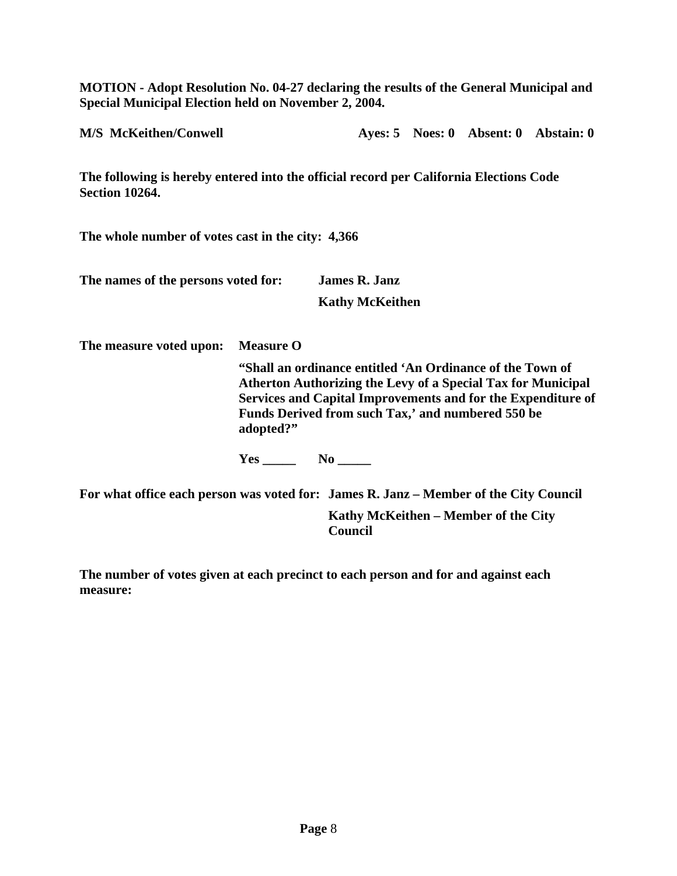**MOTION - Adopt Resolution No. 04-27 declaring the results of the General Municipal and Special Municipal Election held on November 2, 2004.** 

**M/S McKeithen/Conwell Ayes: 5 Noes: 0 Absent: 0 Abstain: 0** 

**The following is hereby entered into the official record per California Elections Code Section 10264.** 

**The whole number of votes cast in the city: 4,366** 

| The names of the persons voted for: | <b>James R. Janz</b>   |
|-------------------------------------|------------------------|
|                                     | <b>Kathy McKeithen</b> |

**The measure voted upon: Measure O** 

**"Shall an ordinance entitled 'An Ordinance of the Town of Atherton Authorizing the Levy of a Special Tax for Municipal Services and Capital Improvements and for the Expenditure of Funds Derived from such Tax,' and numbered 550 be adopted?"** 

Yes \_\_\_\_\_ No \_\_\_\_\_

**For what office each person was voted for: James R. Janz – Member of the City Council Kathy McKeithen – Member of the City Council** 

**The number of votes given at each precinct to each person and for and against each measure:**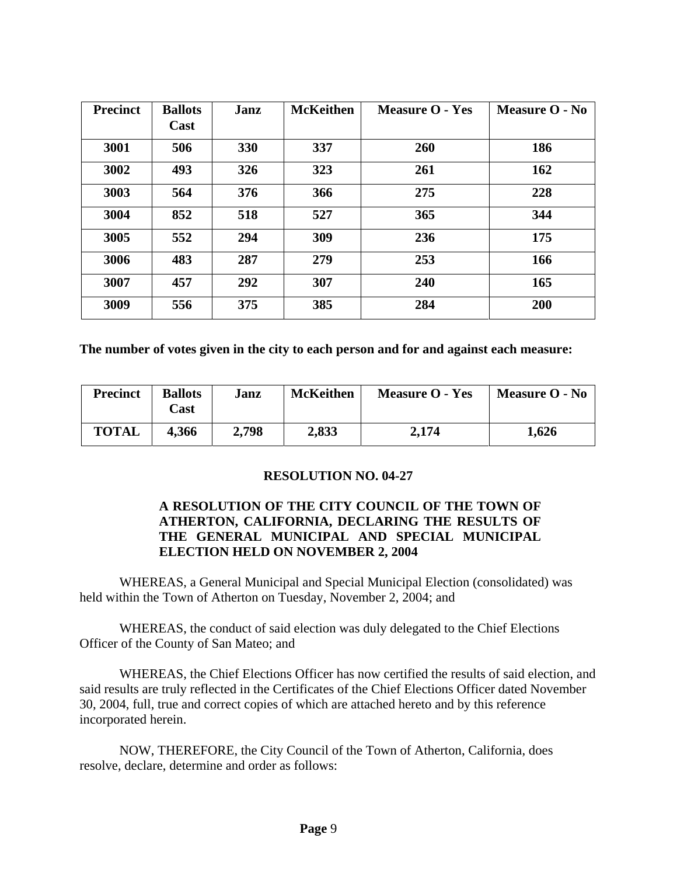| <b>Precinct</b> | <b>Ballots</b><br>Cast | Janz | <b>McKeithen</b> | <b>Measure O - Yes</b> | Measure O - No |
|-----------------|------------------------|------|------------------|------------------------|----------------|
| 3001            | 506                    | 330  | 337              | 260                    | 186            |
| 3002            | 493                    | 326  | 323              | 261                    | 162            |
| 3003            | 564                    | 376  | 366              | 275                    | 228            |
| 3004            | 852                    | 518  | 527              | 365                    | 344            |
| 3005            | 552                    | 294  | 309              | 236                    | 175            |
| 3006            | 483                    | 287  | 279              | 253                    | 166            |
| 3007            | 457                    | 292  | 307              | 240                    | 165            |
| 3009            | 556                    | 375  | 385              | 284                    | 200            |

**The number of votes given in the city to each person and for and against each measure:** 

| <b>Precinct</b> | <b>Ballots</b><br>$\text{Cast}$ | Janz  | <b>McKeithen</b> | <b>Measure O - Yes</b> | <b>Measure O - No</b> |
|-----------------|---------------------------------|-------|------------------|------------------------|-----------------------|
| <b>TOTAL</b>    | 4,366                           | 2,798 | 2,833            | 2,174                  | 1,626                 |

### **RESOLUTION NO. 04-27**

### **A RESOLUTION OF THE CITY COUNCIL OF THE TOWN OF ATHERTON, CALIFORNIA, DECLARING THE RESULTS OF THE GENERAL MUNICIPAL AND SPECIAL MUNICIPAL ELECTION HELD ON NOVEMBER 2, 2004**

WHEREAS, a General Municipal and Special Municipal Election (consolidated) was held within the Town of Atherton on Tuesday, November 2, 2004; and

WHEREAS, the conduct of said election was duly delegated to the Chief Elections Officer of the County of San Mateo; and

WHEREAS, the Chief Elections Officer has now certified the results of said election, and said results are truly reflected in the Certificates of the Chief Elections Officer dated November 30, 2004, full, true and correct copies of which are attached hereto and by this reference incorporated herein.

NOW, THEREFORE, the City Council of the Town of Atherton, California, does resolve, declare, determine and order as follows: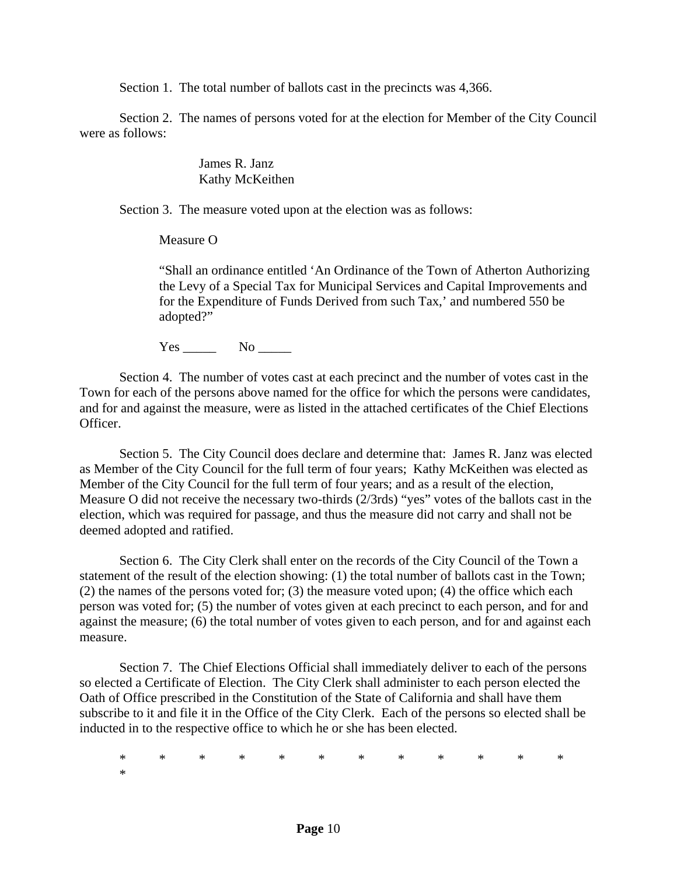Section 1. The total number of ballots cast in the precincts was 4,366.

Section 2. The names of persons voted for at the election for Member of the City Council were as follows:

> James R. Janz Kathy McKeithen

Section 3. The measure voted upon at the election was as follows:

Measure O

"Shall an ordinance entitled 'An Ordinance of the Town of Atherton Authorizing the Levy of a Special Tax for Municipal Services and Capital Improvements and for the Expenditure of Funds Derived from such Tax,' and numbered 550 be adopted?"

Yes \_\_\_\_\_ No \_\_\_\_\_

Section 4. The number of votes cast at each precinct and the number of votes cast in the Town for each of the persons above named for the office for which the persons were candidates, and for and against the measure, were as listed in the attached certificates of the Chief Elections Officer.

Section 5. The City Council does declare and determine that: James R. Janz was elected as Member of the City Council for the full term of four years; Kathy McKeithen was elected as Member of the City Council for the full term of four years; and as a result of the election, Measure O did not receive the necessary two-thirds (2/3rds) "yes" votes of the ballots cast in the election, which was required for passage, and thus the measure did not carry and shall not be deemed adopted and ratified.

Section 6. The City Clerk shall enter on the records of the City Council of the Town a statement of the result of the election showing: (1) the total number of ballots cast in the Town; (2) the names of the persons voted for; (3) the measure voted upon; (4) the office which each person was voted for; (5) the number of votes given at each precinct to each person, and for and against the measure; (6) the total number of votes given to each person, and for and against each measure.

Section 7. The Chief Elections Official shall immediately deliver to each of the persons so elected a Certificate of Election. The City Clerk shall administer to each person elected the Oath of Office prescribed in the Constitution of the State of California and shall have them subscribe to it and file it in the Office of the City Clerk. Each of the persons so elected shall be inducted in to the respective office to which he or she has been elected.

\* \* \* \* \* \* \* \* \* \* \* \* \*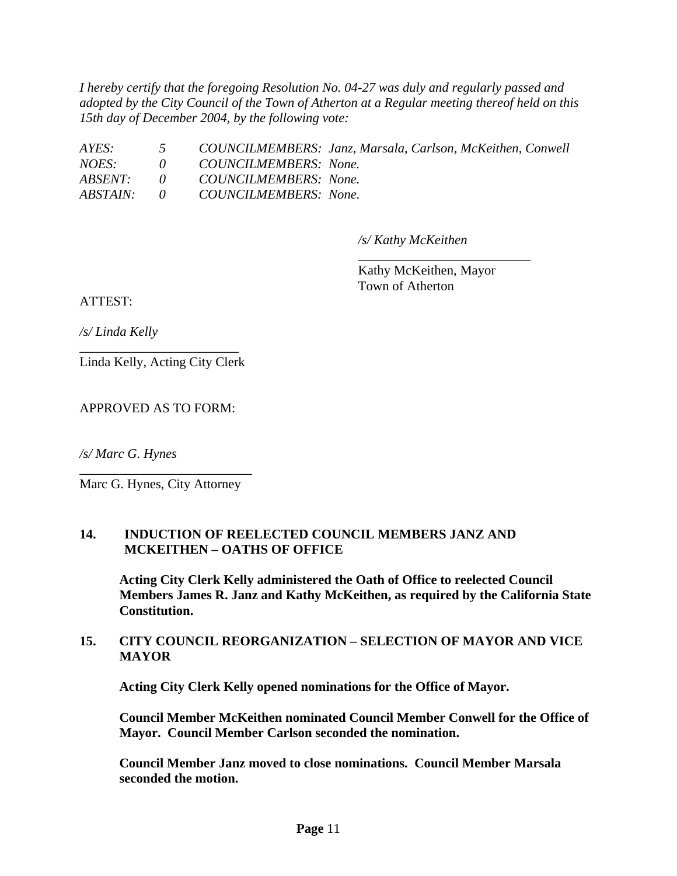*I hereby certify that the foregoing Resolution No. 04-27 was duly and regularly passed and adopted by the City Council of the Town of Atherton at a Regular meeting thereof held on this 15th day of December 2004, by the following vote:* 

*AYES: 5 COUNCILMEMBERS: Janz, Marsala, Carlson, McKeithen, Conwell NOES: 0 COUNCILMEMBERS: None. ABSENT: 0 COUNCILMEMBERS: None. ABSTAIN: 0 COUNCILMEMBERS: None.* 

\_\_\_\_\_\_\_\_\_\_\_\_\_\_\_\_\_\_\_\_\_\_\_\_\_\_

*/s/ Kathy McKeithen* 

Kathy McKeithen, Mayor Town of Atherton

ATTEST:

*/s/ Linda Kelly* 

\_\_\_\_\_\_\_\_\_\_\_\_\_\_\_\_\_\_\_\_\_\_\_\_ Linda Kelly, Acting City Clerk

APPROVED AS TO FORM:

*/s/ Marc G. Hynes* 

\_\_\_\_\_\_\_\_\_\_\_\_\_\_\_\_\_\_\_\_\_\_\_\_\_\_ Marc G. Hynes, City Attorney

### **14. INDUCTION OF REELECTED COUNCIL MEMBERS JANZ AND MCKEITHEN – OATHS OF OFFICE**

**Acting City Clerk Kelly administered the Oath of Office to reelected Council Members James R. Janz and Kathy McKeithen, as required by the California State Constitution.** 

### **15. CITY COUNCIL REORGANIZATION – SELECTION OF MAYOR AND VICE MAYOR**

**Acting City Clerk Kelly opened nominations for the Office of Mayor.** 

**Council Member McKeithen nominated Council Member Conwell for the Office of Mayor. Council Member Carlson seconded the nomination.** 

**Council Member Janz moved to close nominations. Council Member Marsala seconded the motion.**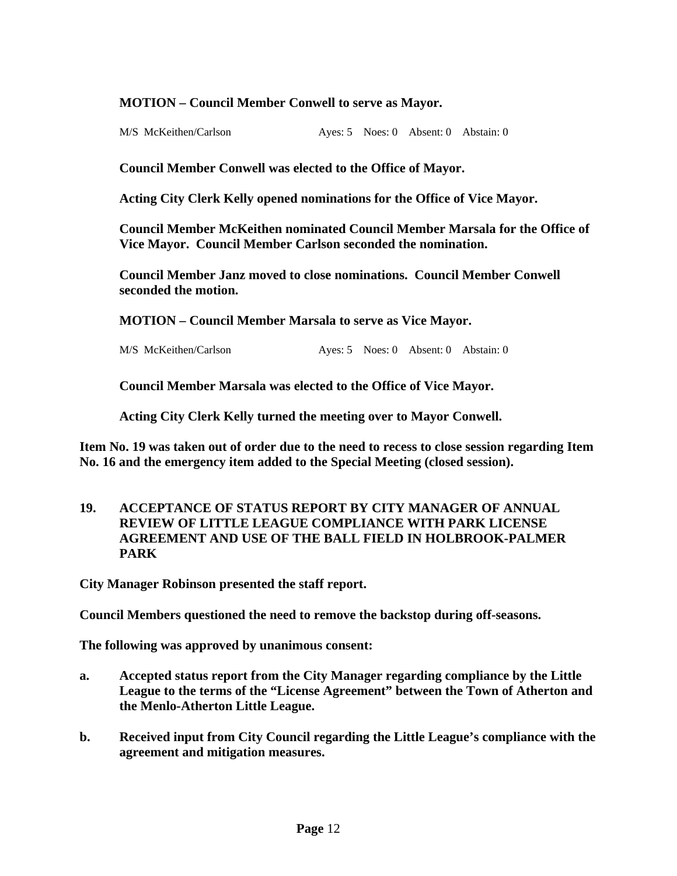### **MOTION – Council Member Conwell to serve as Mayor.**

M/S McKeithen/Carlson Ayes: 5 Noes: 0 Absent: 0 Abstain: 0

**Council Member Conwell was elected to the Office of Mayor.** 

**Acting City Clerk Kelly opened nominations for the Office of Vice Mayor.** 

**Council Member McKeithen nominated Council Member Marsala for the Office of Vice Mayor. Council Member Carlson seconded the nomination.** 

**Council Member Janz moved to close nominations. Council Member Conwell seconded the motion.** 

**MOTION – Council Member Marsala to serve as Vice Mayor.** 

M/S McKeithen/Carlson Ayes: 5 Noes: 0 Absent: 0 Abstain: 0

**Council Member Marsala was elected to the Office of Vice Mayor.** 

**Acting City Clerk Kelly turned the meeting over to Mayor Conwell.** 

**Item No. 19 was taken out of order due to the need to recess to close session regarding Item No. 16 and the emergency item added to the Special Meeting (closed session).** 

**19. ACCEPTANCE OF STATUS REPORT BY CITY MANAGER OF ANNUAL REVIEW OF LITTLE LEAGUE COMPLIANCE WITH PARK LICENSE AGREEMENT AND USE OF THE BALL FIELD IN HOLBROOK-PALMER PARK** 

**City Manager Robinson presented the staff report.** 

**Council Members questioned the need to remove the backstop during off-seasons.** 

**The following was approved by unanimous consent:** 

- **a. Accepted status report from the City Manager regarding compliance by the Little League to the terms of the "License Agreement" between the Town of Atherton and the Menlo-Atherton Little League.**
- **b. Received input from City Council regarding the Little League's compliance with the agreement and mitigation measures.**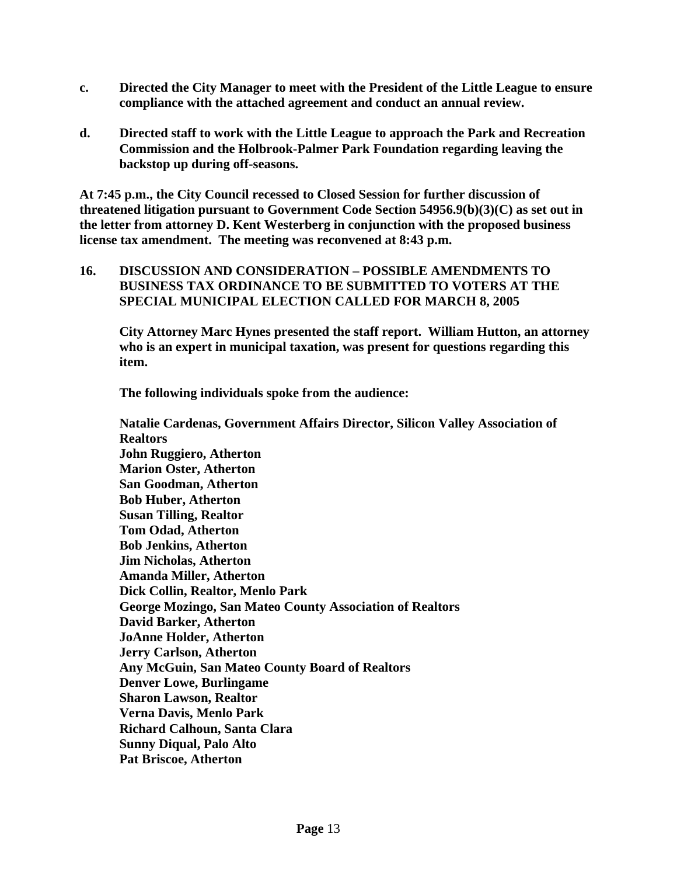- **c. Directed the City Manager to meet with the President of the Little League to ensure compliance with the attached agreement and conduct an annual review.**
- **d. Directed staff to work with the Little League to approach the Park and Recreation Commission and the Holbrook-Palmer Park Foundation regarding leaving the backstop up during off-seasons.**

**At 7:45 p.m., the City Council recessed to Closed Session for further discussion of threatened litigation pursuant to Government Code Section 54956.9(b)(3)(C) as set out in the letter from attorney D. Kent Westerberg in conjunction with the proposed business license tax amendment. The meeting was reconvened at 8:43 p.m.** 

**16. DISCUSSION AND CONSIDERATION – POSSIBLE AMENDMENTS TO BUSINESS TAX ORDINANCE TO BE SUBMITTED TO VOTERS AT THE SPECIAL MUNICIPAL ELECTION CALLED FOR MARCH 8, 2005** 

**City Attorney Marc Hynes presented the staff report. William Hutton, an attorney who is an expert in municipal taxation, was present for questions regarding this item.** 

**The following individuals spoke from the audience:** 

**Natalie Cardenas, Government Affairs Director, Silicon Valley Association of Realtors John Ruggiero, Atherton Marion Oster, Atherton San Goodman, Atherton Bob Huber, Atherton Susan Tilling, Realtor Tom Odad, Atherton Bob Jenkins, Atherton Jim Nicholas, Atherton Amanda Miller, Atherton Dick Collin, Realtor, Menlo Park George Mozingo, San Mateo County Association of Realtors David Barker, Atherton JoAnne Holder, Atherton Jerry Carlson, Atherton Any McGuin, San Mateo County Board of Realtors Denver Lowe, Burlingame Sharon Lawson, Realtor Verna Davis, Menlo Park Richard Calhoun, Santa Clara Sunny Diqual, Palo Alto Pat Briscoe, Atherton**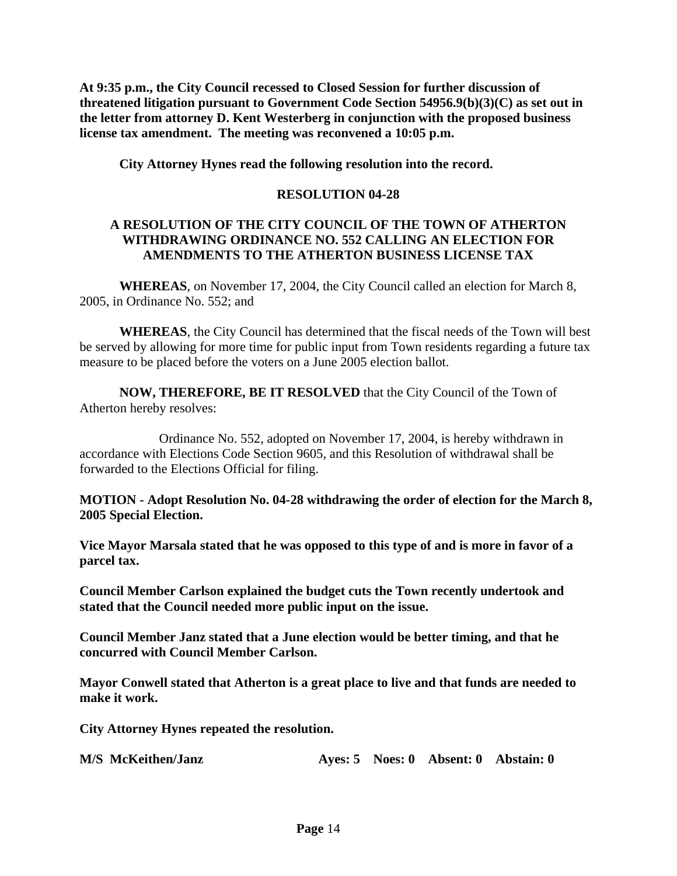**At 9:35 p.m., the City Council recessed to Closed Session for further discussion of threatened litigation pursuant to Government Code Section 54956.9(b)(3)(C) as set out in the letter from attorney D. Kent Westerberg in conjunction with the proposed business license tax amendment. The meeting was reconvened a 10:05 p.m.** 

**City Attorney Hynes read the following resolution into the record.** 

### **RESOLUTION 04-28**

### **A RESOLUTION OF THE CITY COUNCIL OF THE TOWN OF ATHERTON WITHDRAWING ORDINANCE NO. 552 CALLING AN ELECTION FOR AMENDMENTS TO THE ATHERTON BUSINESS LICENSE TAX**

**WHEREAS**, on November 17, 2004, the City Council called an election for March 8, 2005, in Ordinance No. 552; and

**WHEREAS**, the City Council has determined that the fiscal needs of the Town will best be served by allowing for more time for public input from Town residents regarding a future tax measure to be placed before the voters on a June 2005 election ballot.

**NOW, THEREFORE, BE IT RESOLVED** that the City Council of the Town of Atherton hereby resolves:

Ordinance No. 552, adopted on November 17, 2004, is hereby withdrawn in accordance with Elections Code Section 9605, and this Resolution of withdrawal shall be forwarded to the Elections Official for filing.

**MOTION - Adopt Resolution No. 04-28 withdrawing the order of election for the March 8, 2005 Special Election.** 

**Vice Mayor Marsala stated that he was opposed to this type of and is more in favor of a parcel tax.** 

**Council Member Carlson explained the budget cuts the Town recently undertook and stated that the Council needed more public input on the issue.** 

**Council Member Janz stated that a June election would be better timing, and that he concurred with Council Member Carlson.** 

**Mayor Conwell stated that Atherton is a great place to live and that funds are needed to make it work.** 

**City Attorney Hynes repeated the resolution.** 

| M/S McKeithen/Janz |  |  |  | Aves: 5 Noes: 0 Absent: 0 Abstain: 0 |
|--------------------|--|--|--|--------------------------------------|
|--------------------|--|--|--|--------------------------------------|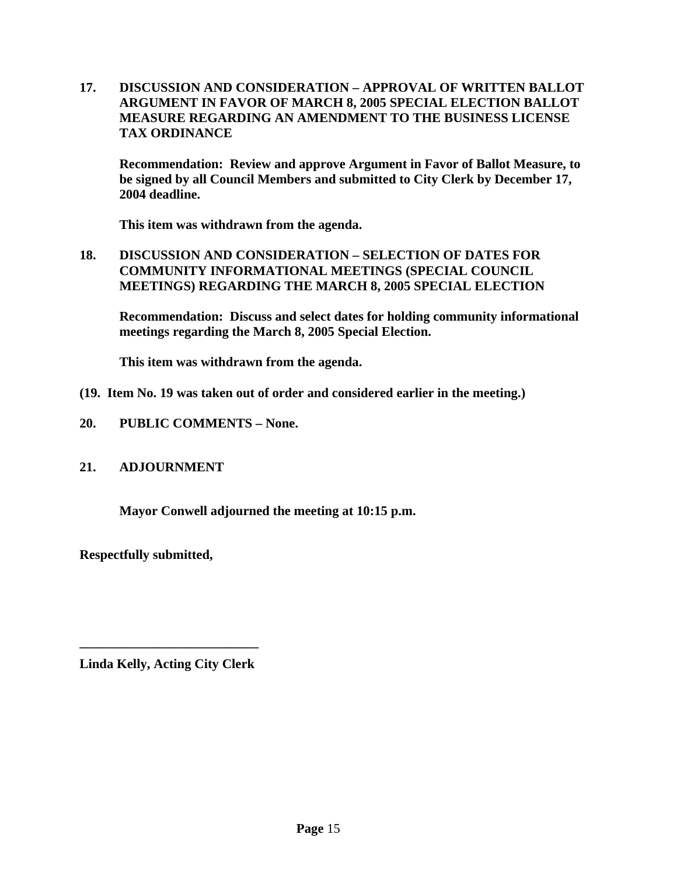**17. DISCUSSION AND CONSIDERATION – APPROVAL OF WRITTEN BALLOT ARGUMENT IN FAVOR OF MARCH 8, 2005 SPECIAL ELECTION BALLOT MEASURE REGARDING AN AMENDMENT TO THE BUSINESS LICENSE TAX ORDINANCE** 

**Recommendation: Review and approve Argument in Favor of Ballot Measure, to be signed by all Council Members and submitted to City Clerk by December 17, 2004 deadline.** 

**This item was withdrawn from the agenda.** 

**18. DISCUSSION AND CONSIDERATION – SELECTION OF DATES FOR COMMUNITY INFORMATIONAL MEETINGS (SPECIAL COUNCIL MEETINGS) REGARDING THE MARCH 8, 2005 SPECIAL ELECTION** 

**Recommendation: Discuss and select dates for holding community informational meetings regarding the March 8, 2005 Special Election.** 

**This item was withdrawn from the agenda.** 

- **(19. Item No. 19 was taken out of order and considered earlier in the meeting.)**
- **20. PUBLIC COMMENTS None.**

### **21. ADJOURNMENT**

**Mayor Conwell adjourned the meeting at 10:15 p.m.** 

**Respectfully submitted,** 

**\_\_\_\_\_\_\_\_\_\_\_\_\_\_\_\_\_\_\_\_\_\_\_\_\_\_\_ Linda Kelly, Acting City Clerk**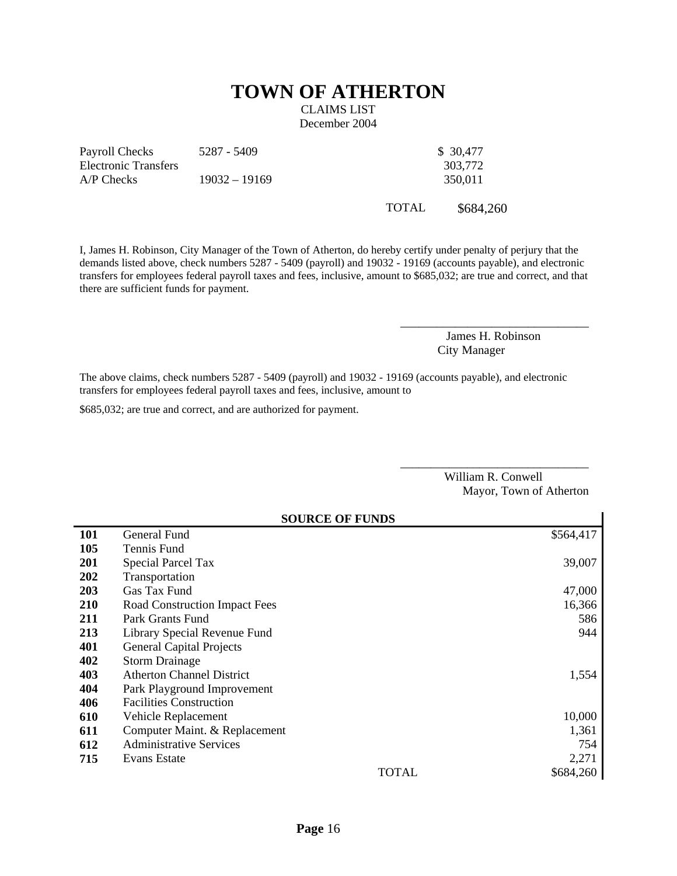# **TOWN OF ATHERTON**

CLAIMS LIST December 2004

Payroll Checks Electronic Transfers 5287 - 5409 \$ 30,477 303,772 A/P Checks 19032 – 19169 350,011

TOTAL \$684,260

I, James H. Robinson, City Manager of the Town of Atherton, do hereby certify under penalty of perjury that the demands listed above, check numbers 5287 - 5409 (payroll) and 19032 - 19169 (accounts payable), and electronic transfers for employees federal payroll taxes and fees, inclusive, amount to \$685,032; are true and correct, and that there are sufficient funds for payment.

> James H. Robinson City Manager

\_\_\_\_\_\_\_\_\_\_\_\_\_\_\_\_\_\_\_\_\_\_\_\_\_\_\_\_\_\_\_

The above claims, check numbers 5287 - 5409 (payroll) and 19032 - 19169 (accounts payable), and electronic transfers for employees federal payroll taxes and fees, inclusive, amount to

\$685,032; are true and correct, and are authorized for payment.

William R. Conwell Mayor, Town of Atherton

\_\_\_\_\_\_\_\_\_\_\_\_\_\_\_\_\_\_\_\_\_\_\_\_\_\_\_\_\_\_\_

|            | <b>SOURCE OF FUNDS</b>               |       |           |  |
|------------|--------------------------------------|-------|-----------|--|
| <b>101</b> | General Fund                         |       | \$564,417 |  |
| 105        | Tennis Fund                          |       |           |  |
| <b>201</b> | <b>Special Parcel Tax</b>            |       | 39,007    |  |
| 202        | Transportation                       |       |           |  |
| 203        | Gas Tax Fund                         |       | 47,000    |  |
| <b>210</b> | <b>Road Construction Impact Fees</b> |       | 16,366    |  |
| 211        | Park Grants Fund                     |       | 586       |  |
| 213        | Library Special Revenue Fund         |       | 944       |  |
| 401        | <b>General Capital Projects</b>      |       |           |  |
| 402        | <b>Storm Drainage</b>                |       |           |  |
| 403        | <b>Atherton Channel District</b>     |       | 1,554     |  |
| 404        | Park Playground Improvement          |       |           |  |
| 406        | <b>Facilities Construction</b>       |       |           |  |
| 610        | Vehicle Replacement                  |       | 10,000    |  |
| 611        | Computer Maint. & Replacement        |       | 1,361     |  |
| 612        | <b>Administrative Services</b>       |       | 754       |  |
| 715        | Evans Estate                         |       | 2,271     |  |
|            |                                      | TOTAL | \$684,260 |  |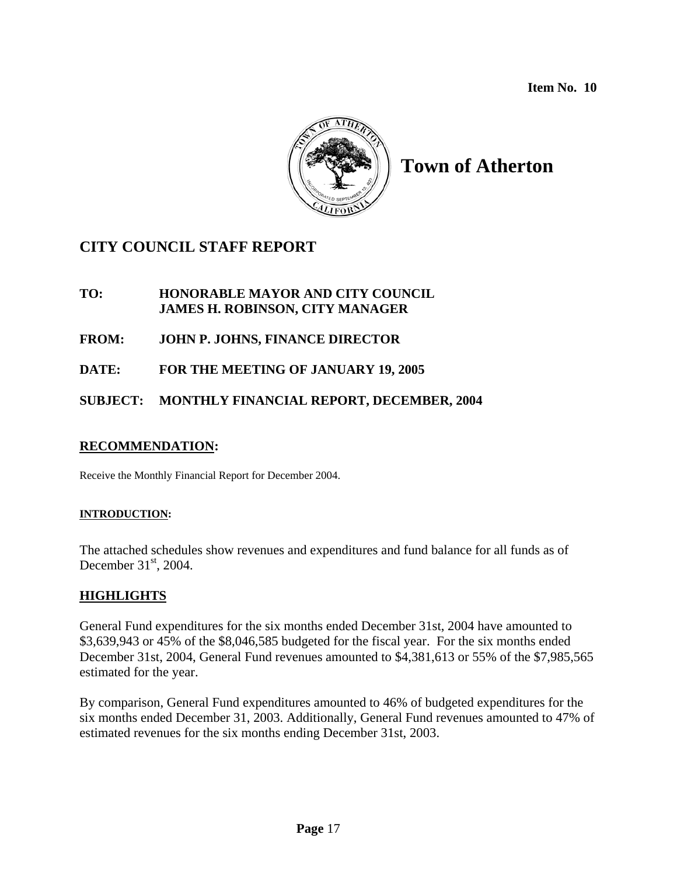**Item No. 10** 



# **Town of Atherton**

# **CITY COUNCIL STAFF REPORT**

**TO: HONORABLE MAYOR AND CITY COUNCIL JAMES H. ROBINSON, CITY MANAGER**

**FROM: JOHN P. JOHNS, FINANCE DIRECTOR** 

**DATE: FOR THE MEETING OF JANUARY 19, 2005** 

### **SUBJECT: MONTHLY FINANCIAL REPORT, DECEMBER, 2004**

### **RECOMMENDATION:**

Receive the Monthly Financial Report for December 2004.

### **INTRODUCTION:**

The attached schedules show revenues and expenditures and fund balance for all funds as of December  $31<sup>st</sup>$ , 2004.

### **HIGHLIGHTS**

General Fund expenditures for the six months ended December 31st, 2004 have amounted to \$3,639,943 or 45% of the \$8,046,585 budgeted for the fiscal year. For the six months ended December 31st, 2004, General Fund revenues amounted to \$4,381,613 or 55% of the \$7,985,565 estimated for the year.

By comparison, General Fund expenditures amounted to 46% of budgeted expenditures for the six months ended December 31, 2003. Additionally, General Fund revenues amounted to 47% of estimated revenues for the six months ending December 31st, 2003.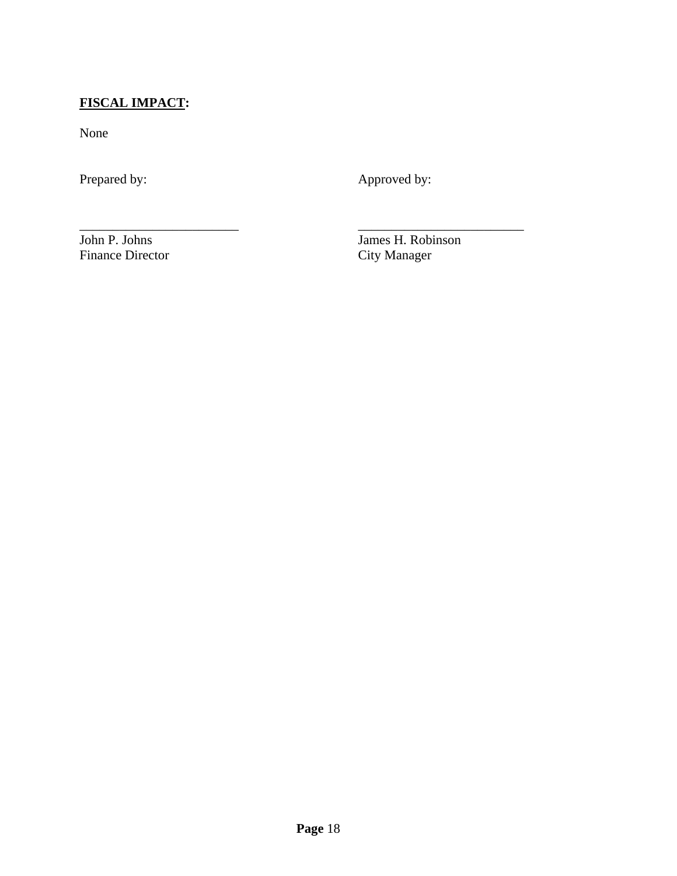## **FISCAL IMPACT:**

None

Prepared by: Approved by:

\_\_\_\_\_\_\_\_\_\_\_\_\_\_\_\_\_\_\_\_\_\_\_\_ \_\_\_\_\_\_\_\_\_\_\_\_\_\_\_\_\_\_\_\_\_\_\_\_\_

Finance Director

John P. Johns James H. Robinson<br>Finance Director City Manager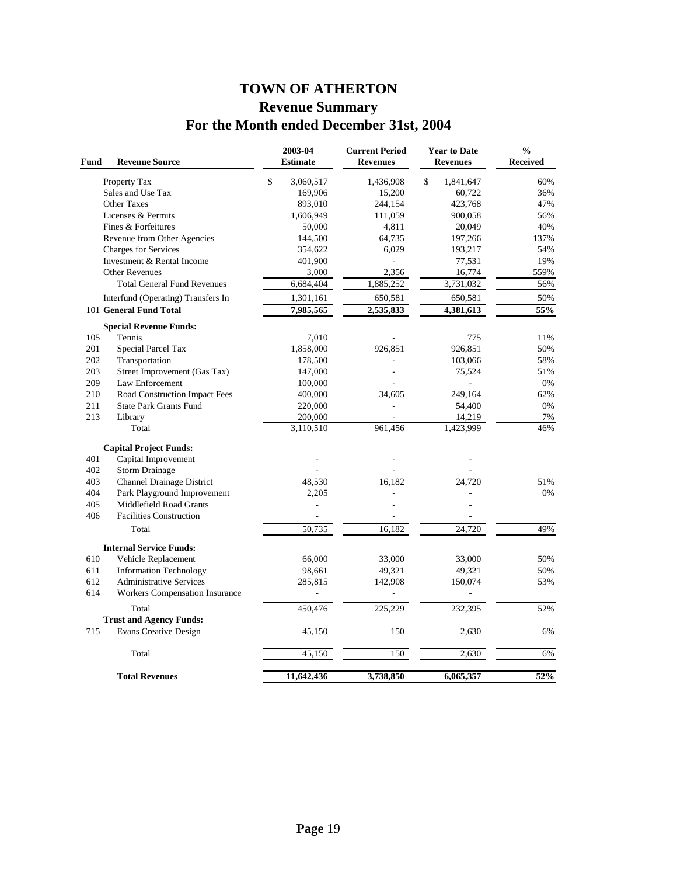# **TOWN OF ATHERTON Revenue Summary For the Month ended December 31st, 2004**

| Fund<br><b>Revenue Source</b>                | 2003-04<br><b>Estimate</b> | <b>Current Period</b><br><b>Revenues</b> | <b>Year to Date</b><br><b>Revenues</b> | $\frac{0}{0}$<br><b>Received</b> |
|----------------------------------------------|----------------------------|------------------------------------------|----------------------------------------|----------------------------------|
| Property Tax                                 | $\mathbb{S}$<br>3,060,517  | 1,436,908                                | \$<br>1,841,647                        | 60%                              |
| Sales and Use Tax                            | 169,906                    | 15,200                                   | 60,722                                 | 36%                              |
| Other Taxes                                  | 893,010                    | 244,154                                  | 423,768                                | 47%                              |
| Licenses & Permits                           | 1,606,949                  | 111,059                                  | 900,058                                | 56%                              |
| Fines & Forfeitures                          | 50,000                     | 4,811                                    | 20,049                                 | 40%                              |
| Revenue from Other Agencies                  | 144,500                    | 64,735                                   | 197,266                                | 137%                             |
| Charges for Services                         | 354,622                    | 6,029                                    | 193,217                                | 54%                              |
| Investment & Rental Income                   | 401,900                    | L,                                       | 77,531                                 | 19%                              |
| <b>Other Revenues</b>                        | 3,000                      | 2,356                                    | 16,774                                 | 559%                             |
| <b>Total General Fund Revenues</b>           | 6,684,404                  | 1,885,252                                | 3,731,032                              | 56%                              |
| Interfund (Operating) Transfers In           | 1,301,161                  | 650,581                                  | 650,581                                | 50%                              |
| 101 General Fund Total                       | 7,985,565                  | 2,535,833                                | 4,381,613                              | 55%                              |
| <b>Special Revenue Funds:</b>                |                            |                                          |                                        |                                  |
| 105<br>Tennis                                | 7.010                      |                                          | 775                                    | 11%                              |
| 201<br>Special Parcel Tax                    | 1,858,000                  | 926,851                                  | 926,851                                | 50%                              |
| 202<br>Transportation                        | 178,500                    |                                          | 103,066                                | 58%                              |
| 203<br>Street Improvement (Gas Tax)          | 147,000                    |                                          | 75,524                                 | 51%                              |
| 209<br>Law Enforcement                       | 100,000                    |                                          |                                        | 0%                               |
| 210<br>Road Construction Impact Fees         | 400,000                    | 34,605                                   | 249,164                                | 62%                              |
| 211<br><b>State Park Grants Fund</b>         | 220,000                    | ÷,                                       | 54,400                                 | 0%                               |
| 213<br>Library                               | 200,000                    |                                          | 14,219                                 | 7%                               |
| Total                                        | 3,110,510                  | 961,456                                  | 1,423,999                              | 46%                              |
| <b>Capital Project Funds:</b>                |                            |                                          |                                        |                                  |
| 401<br>Capital Improvement                   |                            |                                          |                                        |                                  |
| 402<br><b>Storm Drainage</b>                 |                            |                                          |                                        |                                  |
| 403<br><b>Channel Drainage District</b>      | 48,530                     | 16,182                                   | 24,720                                 | 51%                              |
| 404<br>Park Playground Improvement           | 2,205                      |                                          |                                        | 0%                               |
| 405<br>Middlefield Road Grants               |                            |                                          |                                        |                                  |
| 406<br><b>Facilities Construction</b>        |                            |                                          |                                        |                                  |
| Total                                        | 50,735                     | 16,182                                   | 24,720                                 | 49%                              |
| <b>Internal Service Funds:</b>               |                            |                                          |                                        |                                  |
| 610<br>Vehicle Replacement                   | 66,000                     | 33,000                                   | 33,000                                 | 50%                              |
| 611<br><b>Information Technology</b>         | 98,661                     | 49,321                                   | 49,321                                 | 50%                              |
| <b>Administrative Services</b><br>612        | 285,815                    | 142,908                                  | 150,074                                | 53%                              |
| 614<br><b>Workers Compensation Insurance</b> | $\overline{\phantom{a}}$   | ÷,                                       | L                                      |                                  |
| Total                                        | 450,476                    | 225,229                                  | 232,395                                | 52%                              |
| <b>Trust and Agency Funds:</b>               |                            |                                          |                                        |                                  |
| 715<br><b>Evans Creative Design</b>          | 45,150                     | 150                                      | 2,630                                  | 6%                               |
| Total                                        | 45,150                     | 150                                      | 2,630                                  | 6%                               |
| <b>Total Revenues</b>                        | 11,642,436                 | 3,738,850                                | 6,065,357                              | 52%                              |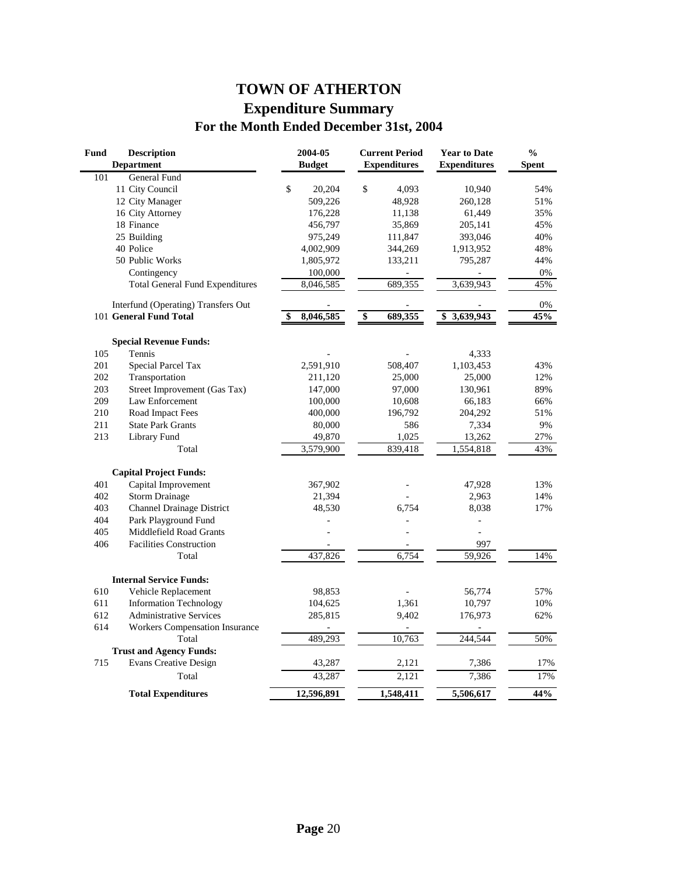# **TOWN OF ATHERTON Expenditure Summary For the Month Ended December 31st, 2004**

| Fund | <b>Description</b><br><b>Department</b> | 2004-05<br><b>Budget</b> | <b>Current Period</b><br><b>Expenditures</b> | <b>Year to Date</b><br><b>Expenditures</b> | $\frac{0}{0}$<br><b>Spent</b> |
|------|-----------------------------------------|--------------------------|----------------------------------------------|--------------------------------------------|-------------------------------|
| 101  | General Fund                            |                          |                                              |                                            |                               |
|      | 11 City Council                         | \$<br>20,204             | \$<br>4,093                                  | 10,940                                     | 54%                           |
|      | 12 City Manager                         | 509,226                  | 48,928                                       | 260,128                                    | 51%                           |
|      | 16 City Attorney                        | 176,228                  | 11,138                                       | 61,449                                     | 35%                           |
|      | 18 Finance                              | 456,797                  | 35,869                                       | 205,141                                    | 45%                           |
|      | 25 Building                             | 975,249                  | 111,847                                      | 393,046                                    | 40%                           |
|      | 40 Police                               | 4,002,909                | 344,269                                      | 1,913,952                                  | 48%                           |
|      | 50 Public Works                         | 1,805,972                | 133,211                                      | 795,287                                    | 44%                           |
|      | Contingency                             | 100,000                  |                                              |                                            | $0\%$                         |
|      | <b>Total General Fund Expenditures</b>  | 8,046,585                | 689,355                                      | 3,639,943                                  | 45%                           |
|      | Interfund (Operating) Transfers Out     |                          |                                              |                                            | $0\%$                         |
|      | 101 General Fund Total                  | 8,046,585<br>\$          | $\overline{\$}$<br>689,355                   | \$3,639,943                                | 45%                           |
|      | <b>Special Revenue Funds:</b>           |                          |                                              |                                            |                               |
| 105  | Tennis                                  |                          |                                              | 4,333                                      |                               |
| 201  | Special Parcel Tax                      | 2,591,910                | 508,407                                      | 1,103,453                                  | 43%                           |
| 202  | Transportation                          | 211,120                  | 25,000                                       | 25,000                                     | 12%                           |
| 203  | Street Improvement (Gas Tax)            | 147,000                  | 97,000                                       | 130,961                                    | 89%                           |
| 209  | Law Enforcement                         | 100,000                  | 10,608                                       | 66,183                                     | 66%                           |
| 210  | Road Impact Fees                        | 400,000                  | 196,792                                      | 204,292                                    | 51%                           |
| 211  | <b>State Park Grants</b>                | 80,000                   | 586                                          | 7,334                                      | 9%                            |
| 213  | Library Fund                            | 49,870                   | 1,025                                        | 13,262                                     | 27%                           |
|      | Total                                   | 3,579,900                | 839,418                                      | 1,554,818                                  | 43%                           |
|      | <b>Capital Project Funds:</b>           |                          |                                              |                                            |                               |
| 401  | Capital Improvement                     | 367,902                  |                                              | 47,928                                     | 13%                           |
| 402  | <b>Storm Drainage</b>                   | 21,394                   |                                              | 2,963                                      | 14%                           |
| 403  | <b>Channel Drainage District</b>        | 48,530                   | 6,754                                        | 8,038                                      | 17%                           |
| 404  | Park Playground Fund                    |                          |                                              |                                            |                               |
| 405  | Middlefield Road Grants                 |                          |                                              | $\overline{a}$                             |                               |
| 406  | <b>Facilities Construction</b>          |                          |                                              | 997                                        |                               |
|      | Total                                   | 437,826                  | 6,754                                        | $\overline{59,926}$                        | 14%                           |
|      | <b>Internal Service Funds:</b>          |                          |                                              |                                            |                               |
| 610  | Vehicle Replacement                     | 98,853                   |                                              | 56,774                                     | 57%                           |
| 611  | <b>Information Technology</b>           | 104,625                  | 1,361                                        | 10,797                                     | 10%                           |
| 612  | <b>Administrative Services</b>          | 285,815                  | 9,402                                        | 176,973                                    | 62%                           |
| 614  | <b>Workers Compensation Insurance</b>   |                          |                                              |                                            |                               |
|      | Total                                   | 489,293                  | 10,763                                       | 244,544                                    | 50%                           |
|      | <b>Trust and Agency Funds:</b>          |                          |                                              |                                            |                               |
| 715  | <b>Evans Creative Design</b>            | 43,287                   | 2,121                                        | 7,386                                      | 17%                           |
|      | Total                                   | 43,287                   | 2,121                                        | 7,386                                      | 17%                           |
|      | <b>Total Expenditures</b>               | 12,596,891               | 1,548,411                                    | 5,506,617                                  | 44%                           |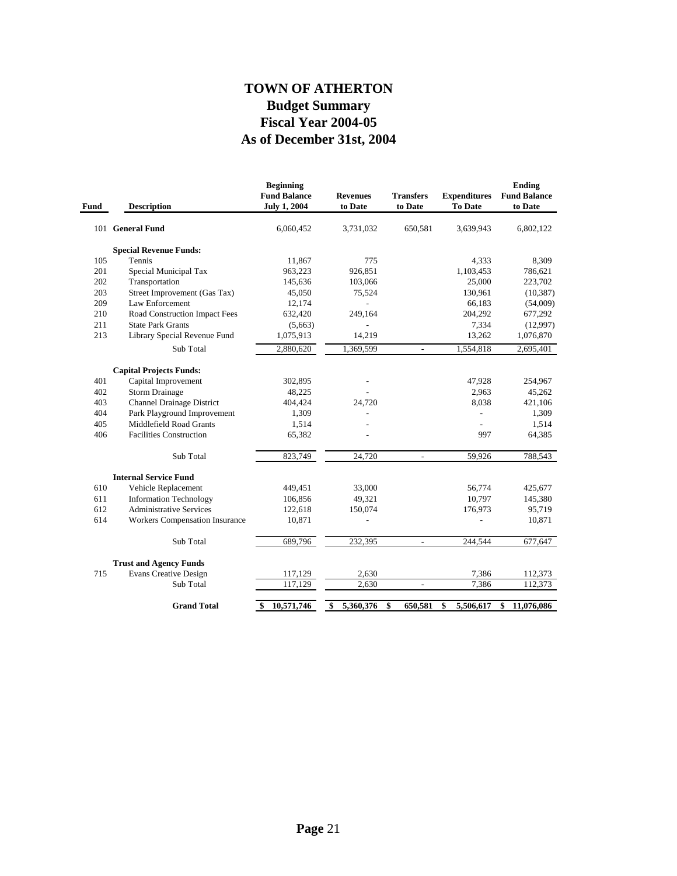## **As of December 31st, 2004 Fiscal Year 2004-05 Budget Summary TOWN OF ATHERTON**

| <b>Description</b>                    | <b>Beginning</b><br><b>Fund Balance</b><br><b>July 1, 2004</b>                                                                                                                                  | <b>Revenues</b><br>to Date                                | <b>Transfers</b><br>to Date | <b>Expenditures</b><br><b>To Date</b> | <b>Ending</b><br><b>Fund Balance</b><br>to Date |
|---------------------------------------|-------------------------------------------------------------------------------------------------------------------------------------------------------------------------------------------------|-----------------------------------------------------------|-----------------------------|---------------------------------------|-------------------------------------------------|
| 101 General Fund                      | 6,060,452                                                                                                                                                                                       | 3,731,032                                                 | 650,581                     | 3,639,943                             | 6,802,122                                       |
| <b>Special Revenue Funds:</b>         |                                                                                                                                                                                                 |                                                           |                             |                                       |                                                 |
| Tennis                                | 11,867                                                                                                                                                                                          | 775                                                       |                             | 4,333                                 | 8,309                                           |
| Special Municipal Tax                 | 963,223                                                                                                                                                                                         | 926,851                                                   |                             | 1,103,453                             | 786,621                                         |
| Transportation                        | 145,636                                                                                                                                                                                         | 103,066                                                   |                             | 25,000                                | 223,702                                         |
| Street Improvement (Gas Tax)          | 45,050                                                                                                                                                                                          | 75,524                                                    |                             | 130,961                               | (10, 387)                                       |
| Law Enforcement                       | 12,174                                                                                                                                                                                          |                                                           |                             | 66,183                                | (54,009)                                        |
| Road Construction Impact Fees         | 632,420                                                                                                                                                                                         | 249,164                                                   |                             | 204,292                               | 677,292                                         |
| <b>State Park Grants</b>              | (5,663)                                                                                                                                                                                         |                                                           |                             | 7,334                                 | (12,997)                                        |
| Library Special Revenue Fund          | 1,075,913                                                                                                                                                                                       | 14,219                                                    |                             | 13,262                                | 1,076,870                                       |
| Sub Total                             | 2,880,620                                                                                                                                                                                       | 1,369,599                                                 | $\overline{\phantom{a}}$    | 1,554,818                             | 2,695,401                                       |
|                                       |                                                                                                                                                                                                 |                                                           |                             |                                       |                                                 |
|                                       |                                                                                                                                                                                                 |                                                           |                             |                                       | 254,967                                         |
|                                       |                                                                                                                                                                                                 |                                                           |                             |                                       | 45,262                                          |
|                                       |                                                                                                                                                                                                 |                                                           |                             |                                       | 421,106                                         |
|                                       |                                                                                                                                                                                                 |                                                           |                             | $\frac{1}{2}$                         | 1,309                                           |
| Middlefield Road Grants               |                                                                                                                                                                                                 |                                                           |                             |                                       | 1,514                                           |
| <b>Facilities Construction</b>        | 65,382                                                                                                                                                                                          |                                                           |                             | 997                                   | 64,385                                          |
|                                       |                                                                                                                                                                                                 |                                                           | $\mathcal{L}$               |                                       | 788,543                                         |
|                                       |                                                                                                                                                                                                 |                                                           |                             |                                       |                                                 |
| <b>Internal Service Fund</b>          |                                                                                                                                                                                                 |                                                           |                             |                                       |                                                 |
| Vehicle Replacement                   | 449,451                                                                                                                                                                                         | 33,000                                                    |                             | 56,774                                | 425,677                                         |
|                                       | 106,856                                                                                                                                                                                         | 49,321                                                    |                             | 10,797                                | 145,380                                         |
| <b>Administrative Services</b>        | 122,618                                                                                                                                                                                         | 150,074                                                   |                             | 176,973                               | 95,719                                          |
| <b>Workers Compensation Insurance</b> | 10,871                                                                                                                                                                                          |                                                           |                             |                                       | 10,871                                          |
| Sub Total                             | 689,796                                                                                                                                                                                         | 232,395                                                   | $\overline{\phantom{a}}$    | 244,544                               | 677,647                                         |
| <b>Trust and Agency Funds</b>         |                                                                                                                                                                                                 |                                                           |                             |                                       |                                                 |
| <b>Evans Creative Design</b>          | 117,129                                                                                                                                                                                         | 2,630                                                     |                             | 7,386                                 | 112,373                                         |
| Sub Total                             | 117,129                                                                                                                                                                                         | 2,630                                                     |                             | 7,386                                 | 112,373                                         |
| <b>Grand Total</b>                    | 10,571,746<br>\$                                                                                                                                                                                | 5,360,376<br>\$                                           | 650,581<br>\$               | \$<br>5,506,617                       | 11,076,086<br>\$                                |
|                                       | <b>Capital Projects Funds:</b><br>Capital Improvement<br><b>Storm Drainage</b><br><b>Channel Drainage District</b><br>Park Playground Improvement<br>Sub Total<br><b>Information Technology</b> | 302,895<br>48,225<br>404,424<br>1,309<br>1,514<br>823,749 | 24,720<br>24,720            |                                       | 47,928<br>2,963<br>8,038<br>59,926              |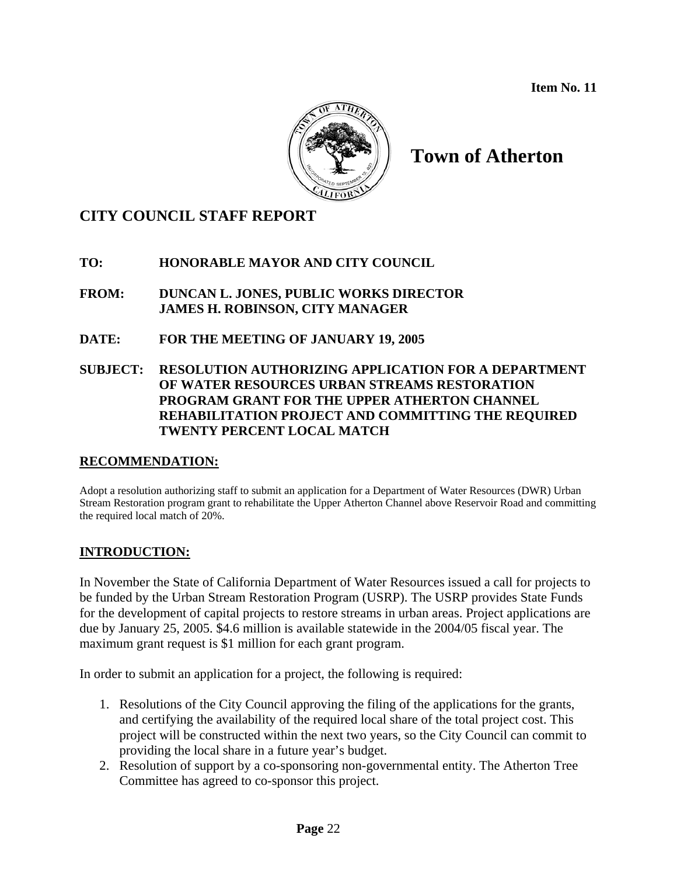**Item No. 11** 



# **Town of Atherton**

## **CITY COUNCIL STAFF REPORT**

### **TO: HONORABLE MAYOR AND CITY COUNCIL**

**FROM: DUNCAN L. JONES, PUBLIC WORKS DIRECTOR JAMES H. ROBINSON, CITY MANAGER**

**DATE: FOR THE MEETING OF JANUARY 19, 2005** 

### **SUBJECT: RESOLUTION AUTHORIZING APPLICATION FOR A DEPARTMENT OF WATER RESOURCES URBAN STREAMS RESTORATION PROGRAM GRANT FOR THE UPPER ATHERTON CHANNEL REHABILITATION PROJECT AND COMMITTING THE REQUIRED TWENTY PERCENT LOCAL MATCH**

### **RECOMMENDATION:**

Adopt a resolution authorizing staff to submit an application for a Department of Water Resources (DWR) Urban Stream Restoration program grant to rehabilitate the Upper Atherton Channel above Reservoir Road and committing the required local match of 20%.

### **INTRODUCTION:**

In November the State of California Department of Water Resources issued a call for projects to be funded by the Urban Stream Restoration Program (USRP). The USRP provides State Funds for the development of capital projects to restore streams in urban areas. Project applications are due by January 25, 2005. \$4.6 million is available statewide in the 2004/05 fiscal year. The maximum grant request is \$1 million for each grant program.

In order to submit an application for a project, the following is required:

- 1. Resolutions of the City Council approving the filing of the applications for the grants, and certifying the availability of the required local share of the total project cost. This project will be constructed within the next two years, so the City Council can commit to providing the local share in a future year's budget.
- 2. Resolution of support by a co-sponsoring non-governmental entity. The Atherton Tree Committee has agreed to co-sponsor this project.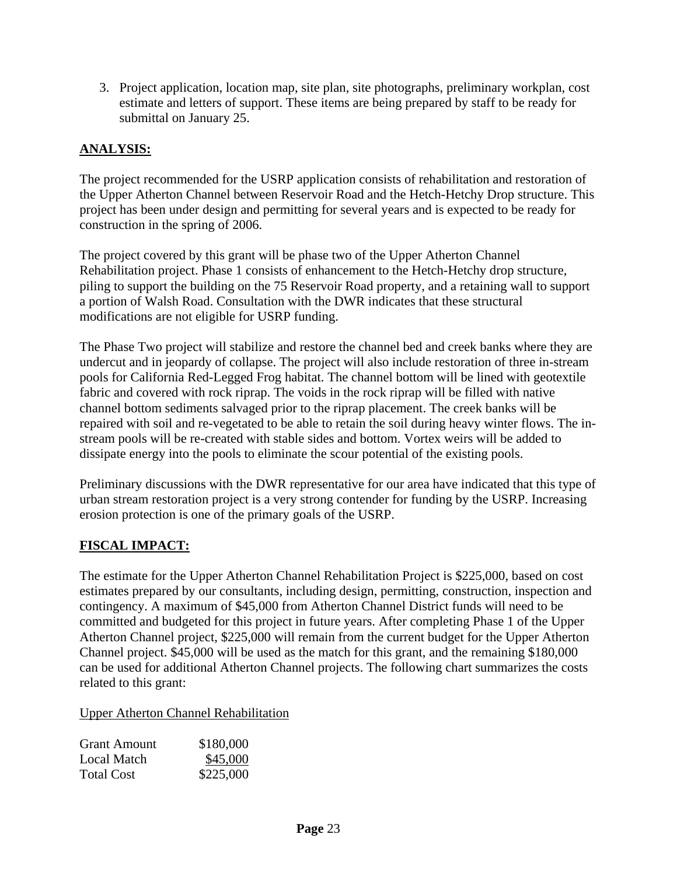3. Project application, location map, site plan, site photographs, preliminary workplan, cost estimate and letters of support. These items are being prepared by staff to be ready for submittal on January 25.

### **ANALYSIS:**

The project recommended for the USRP application consists of rehabilitation and restoration of the Upper Atherton Channel between Reservoir Road and the Hetch-Hetchy Drop structure. This project has been under design and permitting for several years and is expected to be ready for construction in the spring of 2006.

The project covered by this grant will be phase two of the Upper Atherton Channel Rehabilitation project. Phase 1 consists of enhancement to the Hetch-Hetchy drop structure, piling to support the building on the 75 Reservoir Road property, and a retaining wall to support a portion of Walsh Road. Consultation with the DWR indicates that these structural modifications are not eligible for USRP funding.

The Phase Two project will stabilize and restore the channel bed and creek banks where they are undercut and in jeopardy of collapse. The project will also include restoration of three in-stream pools for California Red-Legged Frog habitat. The channel bottom will be lined with geotextile fabric and covered with rock riprap. The voids in the rock riprap will be filled with native channel bottom sediments salvaged prior to the riprap placement. The creek banks will be repaired with soil and re-vegetated to be able to retain the soil during heavy winter flows. The instream pools will be re-created with stable sides and bottom. Vortex weirs will be added to dissipate energy into the pools to eliminate the scour potential of the existing pools.

Preliminary discussions with the DWR representative for our area have indicated that this type of urban stream restoration project is a very strong contender for funding by the USRP. Increasing erosion protection is one of the primary goals of the USRP.

### **FISCAL IMPACT:**

The estimate for the Upper Atherton Channel Rehabilitation Project is \$225,000, based on cost estimates prepared by our consultants, including design, permitting, construction, inspection and contingency. A maximum of \$45,000 from Atherton Channel District funds will need to be committed and budgeted for this project in future years. After completing Phase 1 of the Upper Atherton Channel project, \$225,000 will remain from the current budget for the Upper Atherton Channel project. \$45,000 will be used as the match for this grant, and the remaining \$180,000 can be used for additional Atherton Channel projects. The following chart summarizes the costs related to this grant:

### Upper Atherton Channel Rehabilitation

| <b>Grant Amount</b> | \$180,000 |
|---------------------|-----------|
| Local Match         | \$45,000  |
| <b>Total Cost</b>   | \$225,000 |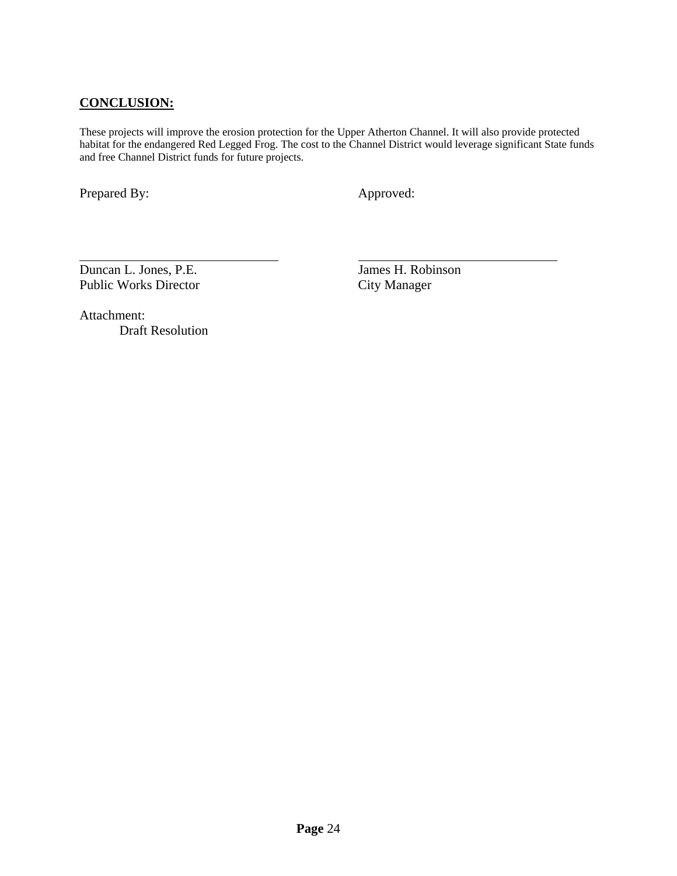### **CONCLUSION:**

These projects will improve the erosion protection for the Upper Atherton Channel. It will also provide protected habitat for the endangered Red Legged Frog. The cost to the Channel District would leverage significant State funds and free Channel District funds for future projects.

Prepared By: Approved:

 $\overline{a}$ 

Duncan L. Jones, P.E. James H. Robinson Public Works Director City Manager

Attachment: Draft Resolution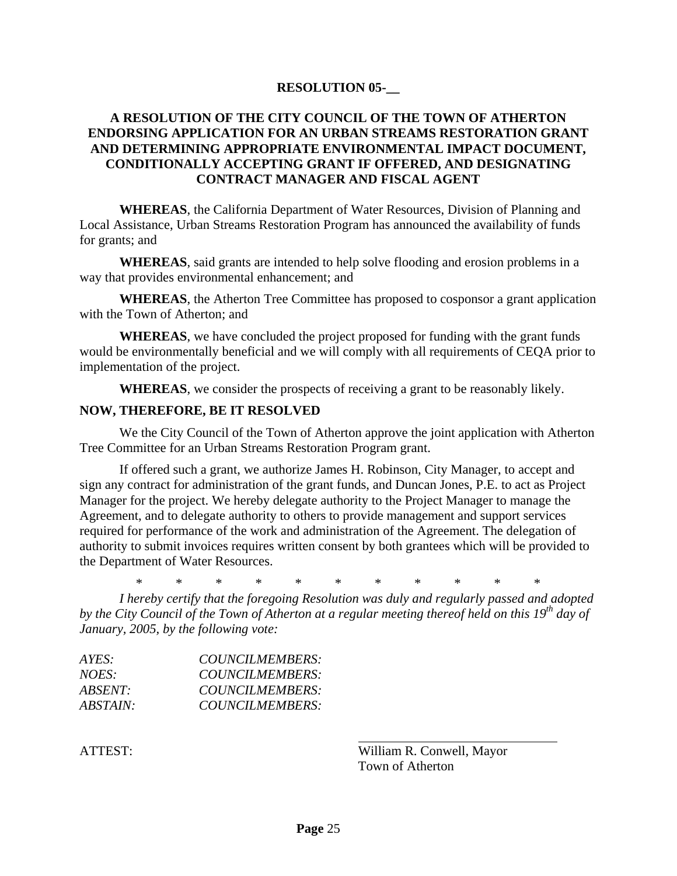### **RESOLUTION 05-\_\_**

### **A RESOLUTION OF THE CITY COUNCIL OF THE TOWN OF ATHERTON ENDORSING APPLICATION FOR AN URBAN STREAMS RESTORATION GRANT AND DETERMINING APPROPRIATE ENVIRONMENTAL IMPACT DOCUMENT, CONDITIONALLY ACCEPTING GRANT IF OFFERED, AND DESIGNATING CONTRACT MANAGER AND FISCAL AGENT**

**WHEREAS**, the California Department of Water Resources, Division of Planning and Local Assistance, Urban Streams Restoration Program has announced the availability of funds for grants; and

**WHEREAS**, said grants are intended to help solve flooding and erosion problems in a way that provides environmental enhancement; and

**WHEREAS**, the Atherton Tree Committee has proposed to cosponsor a grant application with the Town of Atherton; and

**WHEREAS**, we have concluded the project proposed for funding with the grant funds would be environmentally beneficial and we will comply with all requirements of CEQA prior to implementation of the project.

**WHEREAS**, we consider the prospects of receiving a grant to be reasonably likely.

#### **NOW, THEREFORE, BE IT RESOLVED**

We the City Council of the Town of Atherton approve the joint application with Atherton Tree Committee for an Urban Streams Restoration Program grant.

If offered such a grant, we authorize James H. Robinson, City Manager, to accept and sign any contract for administration of the grant funds, and Duncan Jones, P.E. to act as Project Manager for the project. We hereby delegate authority to the Project Manager to manage the Agreement, and to delegate authority to others to provide management and support services required for performance of the work and administration of the Agreement. The delegation of authority to submit invoices requires written consent by both grantees which will be provided to the Department of Water Resources.

\* \* \* \* \* \* \* \* \* \* \*

*I hereby certify that the foregoing Resolution was duly and regularly passed and adopted*  by the City Council of the Town of Atherton at a regular meeting thereof held on this 19<sup>th</sup> day of *January, 2005, by the following vote:* 

| COUNCILMEMBERS: |
|-----------------|
| COUNCILMEMBERS: |
| COUNCILMEMBERS: |
| COUNCILMEMBERS: |
|                 |

ATTEST: William R. Conwell, Mayor Town of Atherton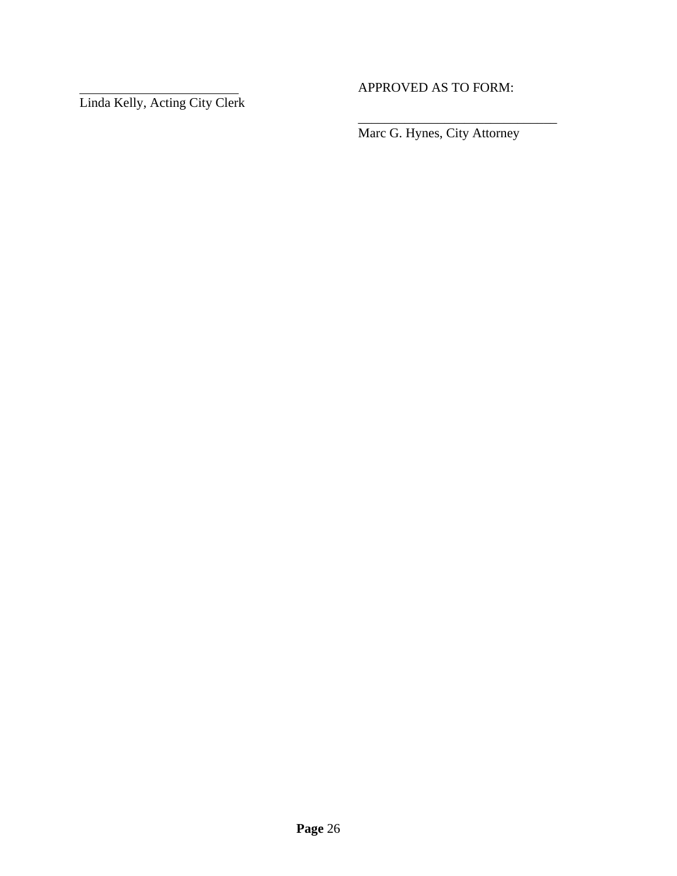Linda Kelly, Acting City Clerk

APPROVED AS TO FORM:

Marc G. Hynes, City Attorney

\_\_\_\_\_\_\_\_\_\_\_\_\_\_\_\_\_\_\_\_\_\_\_\_\_\_\_\_\_\_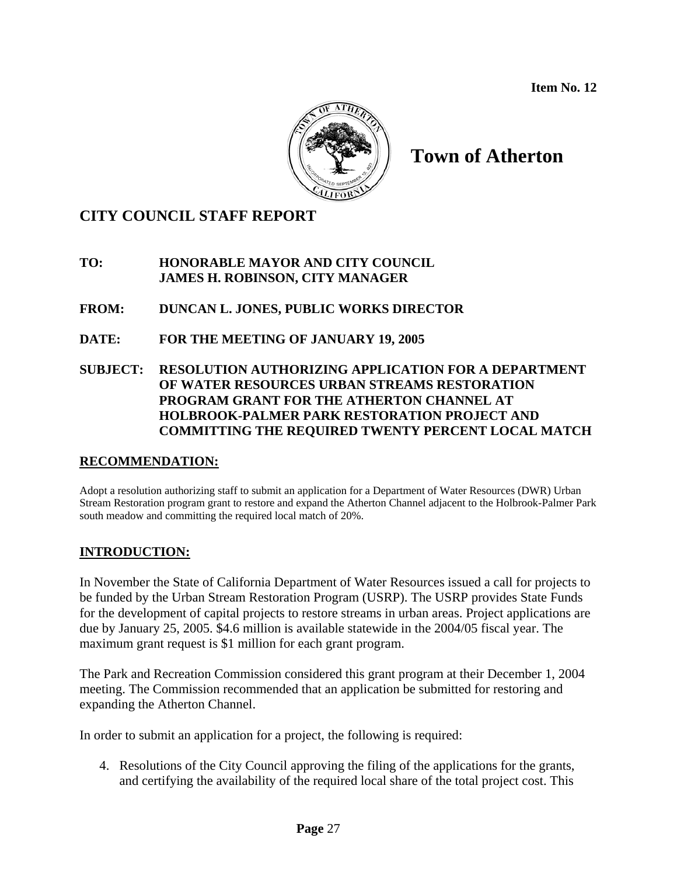**Item No. 12** 



# **Town of Atherton**

# **CITY COUNCIL STAFF REPORT**

**TO: HONORABLE MAYOR AND CITY COUNCIL JAMES H. ROBINSON, CITY MANAGER**

**FROM: DUNCAN L. JONES, PUBLIC WORKS DIRECTOR** 

- **DATE: FOR THE MEETING OF JANUARY 19, 2005**
- **SUBJECT: RESOLUTION AUTHORIZING APPLICATION FOR A DEPARTMENT OF WATER RESOURCES URBAN STREAMS RESTORATION PROGRAM GRANT FOR THE ATHERTON CHANNEL AT HOLBROOK-PALMER PARK RESTORATION PROJECT AND COMMITTING THE REQUIRED TWENTY PERCENT LOCAL MATCH**

### **RECOMMENDATION:**

Adopt a resolution authorizing staff to submit an application for a Department of Water Resources (DWR) Urban Stream Restoration program grant to restore and expand the Atherton Channel adjacent to the Holbrook-Palmer Park south meadow and committing the required local match of 20%.

### **INTRODUCTION:**

In November the State of California Department of Water Resources issued a call for projects to be funded by the Urban Stream Restoration Program (USRP). The USRP provides State Funds for the development of capital projects to restore streams in urban areas. Project applications are due by January 25, 2005. \$4.6 million is available statewide in the 2004/05 fiscal year. The maximum grant request is \$1 million for each grant program.

The Park and Recreation Commission considered this grant program at their December 1, 2004 meeting. The Commission recommended that an application be submitted for restoring and expanding the Atherton Channel.

In order to submit an application for a project, the following is required:

4. Resolutions of the City Council approving the filing of the applications for the grants, and certifying the availability of the required local share of the total project cost. This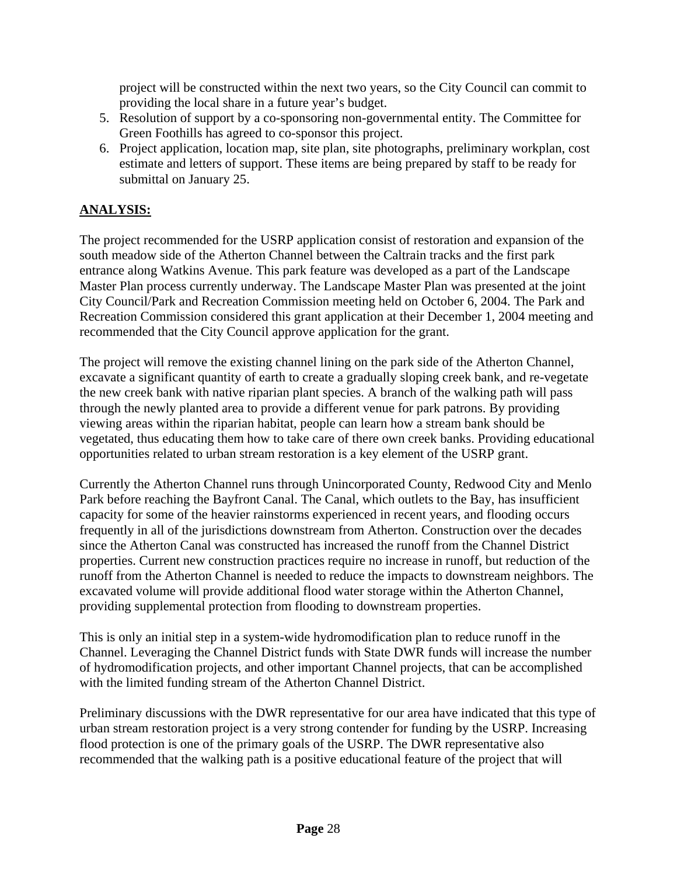project will be constructed within the next two years, so the City Council can commit to providing the local share in a future year's budget.

- 5. Resolution of support by a co-sponsoring non-governmental entity. The Committee for Green Foothills has agreed to co-sponsor this project.
- 6. Project application, location map, site plan, site photographs, preliminary workplan, cost estimate and letters of support. These items are being prepared by staff to be ready for submittal on January 25.

# **ANALYSIS:**

The project recommended for the USRP application consist of restoration and expansion of the south meadow side of the Atherton Channel between the Caltrain tracks and the first park entrance along Watkins Avenue. This park feature was developed as a part of the Landscape Master Plan process currently underway. The Landscape Master Plan was presented at the joint City Council/Park and Recreation Commission meeting held on October 6, 2004. The Park and Recreation Commission considered this grant application at their December 1, 2004 meeting and recommended that the City Council approve application for the grant.

The project will remove the existing channel lining on the park side of the Atherton Channel, excavate a significant quantity of earth to create a gradually sloping creek bank, and re-vegetate the new creek bank with native riparian plant species. A branch of the walking path will pass through the newly planted area to provide a different venue for park patrons. By providing viewing areas within the riparian habitat, people can learn how a stream bank should be vegetated, thus educating them how to take care of there own creek banks. Providing educational opportunities related to urban stream restoration is a key element of the USRP grant.

Currently the Atherton Channel runs through Unincorporated County, Redwood City and Menlo Park before reaching the Bayfront Canal. The Canal, which outlets to the Bay, has insufficient capacity for some of the heavier rainstorms experienced in recent years, and flooding occurs frequently in all of the jurisdictions downstream from Atherton. Construction over the decades since the Atherton Canal was constructed has increased the runoff from the Channel District properties. Current new construction practices require no increase in runoff, but reduction of the runoff from the Atherton Channel is needed to reduce the impacts to downstream neighbors. The excavated volume will provide additional flood water storage within the Atherton Channel, providing supplemental protection from flooding to downstream properties.

This is only an initial step in a system-wide hydromodification plan to reduce runoff in the Channel. Leveraging the Channel District funds with State DWR funds will increase the number of hydromodification projects, and other important Channel projects, that can be accomplished with the limited funding stream of the Atherton Channel District.

Preliminary discussions with the DWR representative for our area have indicated that this type of urban stream restoration project is a very strong contender for funding by the USRP. Increasing flood protection is one of the primary goals of the USRP. The DWR representative also recommended that the walking path is a positive educational feature of the project that will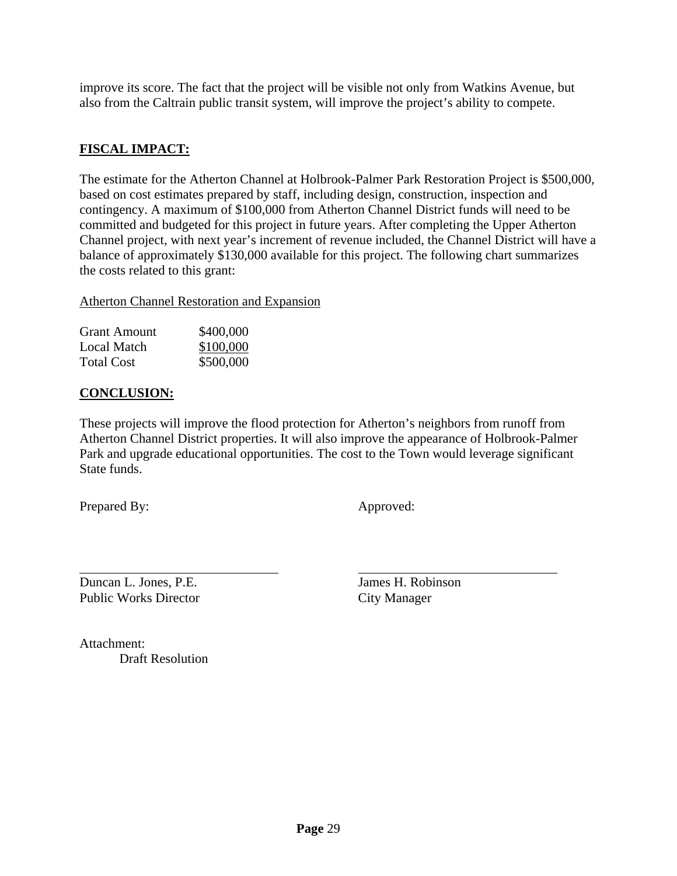improve its score. The fact that the project will be visible not only from Watkins Avenue, but also from the Caltrain public transit system, will improve the project's ability to compete.

### **FISCAL IMPACT:**

The estimate for the Atherton Channel at Holbrook-Palmer Park Restoration Project is \$500,000, based on cost estimates prepared by staff, including design, construction, inspection and contingency. A maximum of \$100,000 from Atherton Channel District funds will need to be committed and budgeted for this project in future years. After completing the Upper Atherton Channel project, with next year's increment of revenue included, the Channel District will have a balance of approximately \$130,000 available for this project. The following chart summarizes the costs related to this grant:

Atherton Channel Restoration and Expansion

| <b>Grant Amount</b> | \$400,000 |
|---------------------|-----------|
| <b>Local Match</b>  | \$100,000 |
| <b>Total Cost</b>   | \$500,000 |

### **CONCLUSION:**

These projects will improve the flood protection for Atherton's neighbors from runoff from Atherton Channel District properties. It will also improve the appearance of Holbrook-Palmer Park and upgrade educational opportunities. The cost to the Town would leverage significant State funds.

Prepared By: Approved:

 $\overline{a}$ Duncan L. Jones, P.E. James H. Robinson Public Works Director City Manager

Attachment: Draft Resolution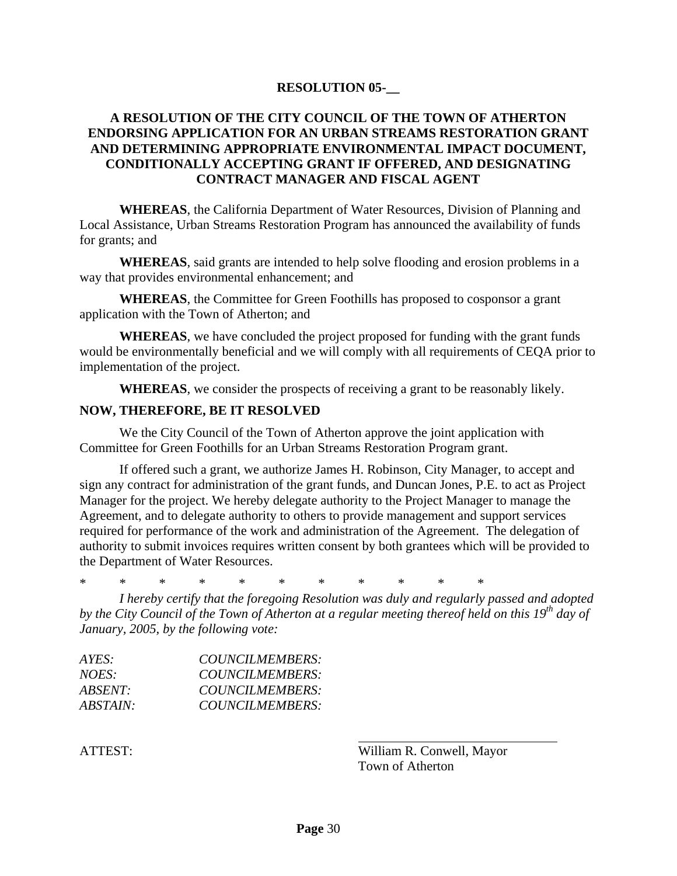### **RESOLUTION 05-\_\_**

### **A RESOLUTION OF THE CITY COUNCIL OF THE TOWN OF ATHERTON ENDORSING APPLICATION FOR AN URBAN STREAMS RESTORATION GRANT AND DETERMINING APPROPRIATE ENVIRONMENTAL IMPACT DOCUMENT, CONDITIONALLY ACCEPTING GRANT IF OFFERED, AND DESIGNATING CONTRACT MANAGER AND FISCAL AGENT**

**WHEREAS**, the California Department of Water Resources, Division of Planning and Local Assistance, Urban Streams Restoration Program has announced the availability of funds for grants; and

**WHEREAS**, said grants are intended to help solve flooding and erosion problems in a way that provides environmental enhancement; and

**WHEREAS**, the Committee for Green Foothills has proposed to cosponsor a grant application with the Town of Atherton; and

**WHEREAS**, we have concluded the project proposed for funding with the grant funds would be environmentally beneficial and we will comply with all requirements of CEQA prior to implementation of the project.

**WHEREAS**, we consider the prospects of receiving a grant to be reasonably likely.

#### **NOW, THEREFORE, BE IT RESOLVED**

We the City Council of the Town of Atherton approve the joint application with Committee for Green Foothills for an Urban Streams Restoration Program grant.

If offered such a grant, we authorize James H. Robinson, City Manager, to accept and sign any contract for administration of the grant funds, and Duncan Jones, P.E. to act as Project Manager for the project. We hereby delegate authority to the Project Manager to manage the Agreement, and to delegate authority to others to provide management and support services required for performance of the work and administration of the Agreement. The delegation of authority to submit invoices requires written consent by both grantees which will be provided to the Department of Water Resources.

\* \* \* \* \* \* \* \* \* \* \*

*I hereby certify that the foregoing Resolution was duly and regularly passed and adopted by the City Council of the Town of Atherton at a regular meeting thereof held on this 19th day of January, 2005, by the following vote:* 

| COUNCILMEMBERS: |
|-----------------|
| COUNCILMEMBERS: |
| COUNCILMEMBERS: |
| COUNCILMEMBERS: |
|                 |

ATTEST: William R. Conwell, Mayor Town of Atherton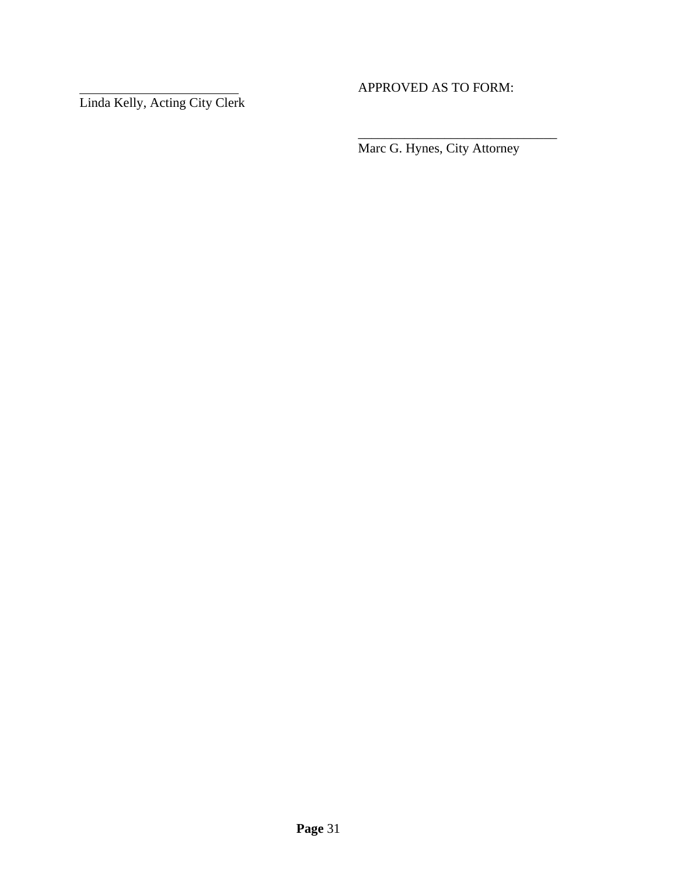Linda Kelly, Acting City Clerk

# APPROVED AS TO FORM:

Marc G. Hynes, City Attorney

\_\_\_\_\_\_\_\_\_\_\_\_\_\_\_\_\_\_\_\_\_\_\_\_\_\_\_\_\_\_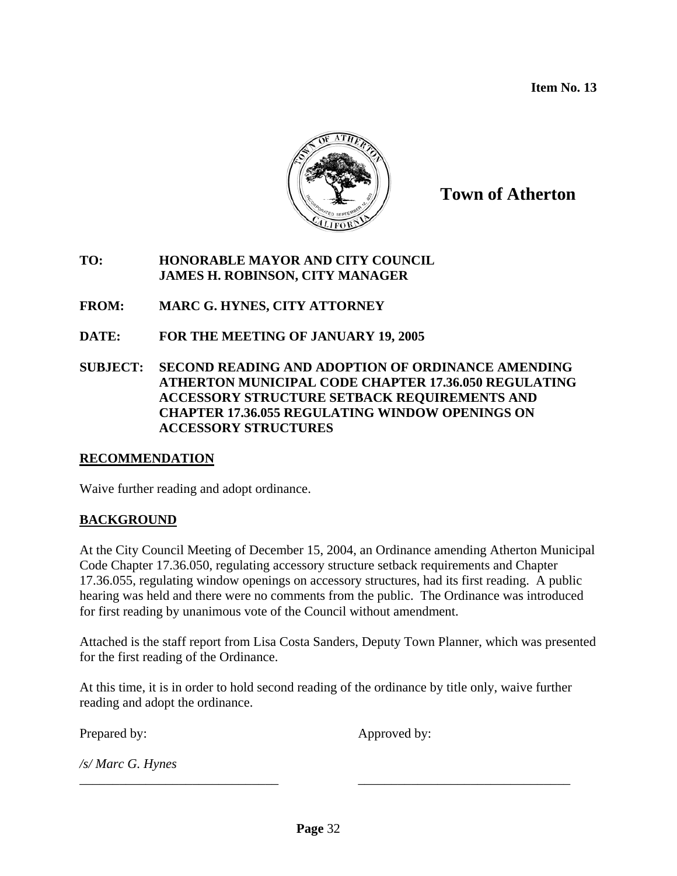**Item No. 13** 



**Town of Atherton**

### **TO: HONORABLE MAYOR AND CITY COUNCIL JAMES H. ROBINSON, CITY MANAGER**

**FROM: MARC G. HYNES, CITY ATTORNEY** 

**DATE: FOR THE MEETING OF JANUARY 19, 2005** 

**SUBJECT: SECOND READING AND ADOPTION OF ORDINANCE AMENDING ATHERTON MUNICIPAL CODE CHAPTER 17.36.050 REGULATING ACCESSORY STRUCTURE SETBACK REQUIREMENTS AND CHAPTER 17.36.055 REGULATING WINDOW OPENINGS ON ACCESSORY STRUCTURES** 

### **RECOMMENDATION**

Waive further reading and adopt ordinance.

### **BACKGROUND**

At the City Council Meeting of December 15, 2004, an Ordinance amending Atherton Municipal Code Chapter 17.36.050, regulating accessory structure setback requirements and Chapter 17.36.055, regulating window openings on accessory structures, had its first reading. A public hearing was held and there were no comments from the public. The Ordinance was introduced for first reading by unanimous vote of the Council without amendment.

Attached is the staff report from Lisa Costa Sanders, Deputy Town Planner, which was presented for the first reading of the Ordinance.

At this time, it is in order to hold second reading of the ordinance by title only, waive further reading and adopt the ordinance.

\_\_\_\_\_\_\_\_\_\_\_\_\_\_\_\_\_\_\_\_\_\_\_\_\_\_\_\_\_\_ \_\_\_\_\_\_\_\_\_\_\_\_\_\_\_\_\_\_\_\_\_\_\_\_\_\_\_\_\_\_\_\_

Prepared by: Approved by:

*/s/ Marc G. Hynes*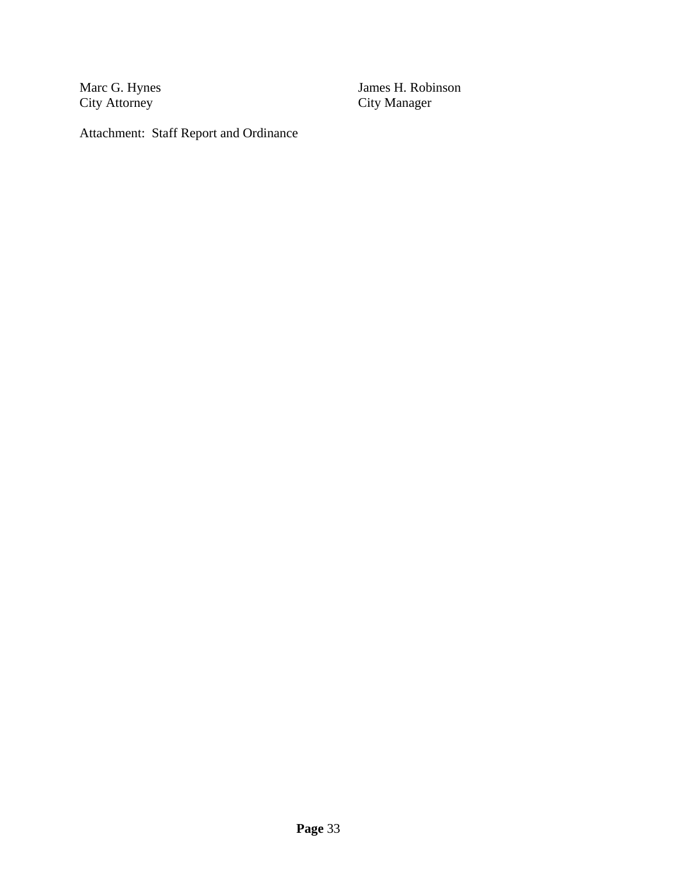Marc G. Hynes<br>City Attorney

James H. Robinson<br>City Manager

Attachment: Staff Report and Ordinance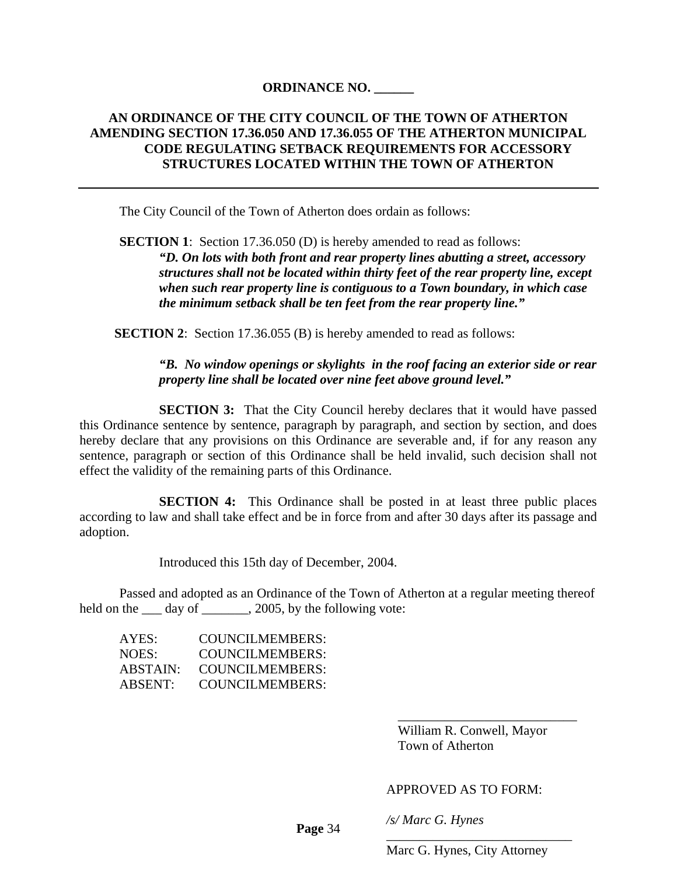### **ORDINANCE NO. \_\_\_\_\_\_**

### **AN ORDINANCE OF THE CITY COUNCIL OF THE TOWN OF ATHERTON AMENDING SECTION 17.36.050 AND 17.36.055 OF THE ATHERTON MUNICIPAL CODE REGULATING SETBACK REQUIREMENTS FOR ACCESSORY STRUCTURES LOCATED WITHIN THE TOWN OF ATHERTON**

The City Council of the Town of Atherton does ordain as follows:

**SECTION 1**: Section 17.36.050 (D) is hereby amended to read as follows: *"D. On lots with both front and rear property lines abutting a street, accessory structures shall not be located within thirty feet of the rear property line, except when such rear property line is contiguous to a Town boundary, in which case the minimum setback shall be ten feet from the rear property line."* 

**SECTION 2:** Section 17.36.055 (B) is hereby amended to read as follows:

### *"B. No window openings or skylights in the roof facing an exterior side or rear property line shall be located over nine feet above ground level."*

**SECTION 3:** That the City Council hereby declares that it would have passed this Ordinance sentence by sentence, paragraph by paragraph, and section by section, and does hereby declare that any provisions on this Ordinance are severable and, if for any reason any sentence, paragraph or section of this Ordinance shall be held invalid, such decision shall not effect the validity of the remaining parts of this Ordinance.

**SECTION 4:** This Ordinance shall be posted in at least three public places according to law and shall take effect and be in force from and after 30 days after its passage and adoption.

Introduced this 15th day of December, 2004.

Passed and adopted as an Ordinance of the Town of Atherton at a regular meeting thereof held on the <u>day of case, 2005</u>, by the following vote:

 $\frac{1}{2}$  , and the contract of the contract of the contract of the contract of the contract of the contract of the contract of the contract of the contract of the contract of the contract of the contract of the contract

| AYES:    | COUNCILMEMBERS:        |
|----------|------------------------|
| NOES:    | COUNCILMEMBERS:        |
| ABSTAIN: | COUNCILMEMBERS:        |
| ABSENT:  | <b>COUNCILMEMBERS:</b> |

 William R. Conwell, Mayor Town of Atherton

#### APPROVED AS TO FORM:

*/s/ Marc G. Hynes* 

 **Page** 34

\_\_\_\_\_\_\_\_\_\_\_\_\_\_\_\_\_\_\_\_\_\_\_\_\_\_\_\_ Marc G. Hynes, City Attorney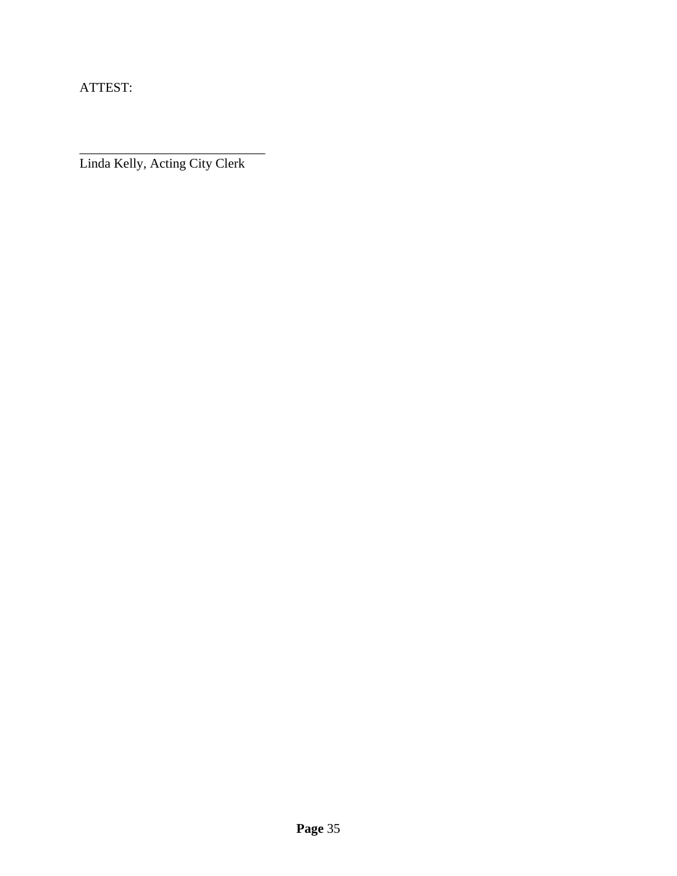ATTEST:

\_\_\_\_\_\_\_\_\_\_\_\_\_\_\_\_\_\_\_\_\_\_\_\_\_\_\_\_ Linda Kelly, Acting City Clerk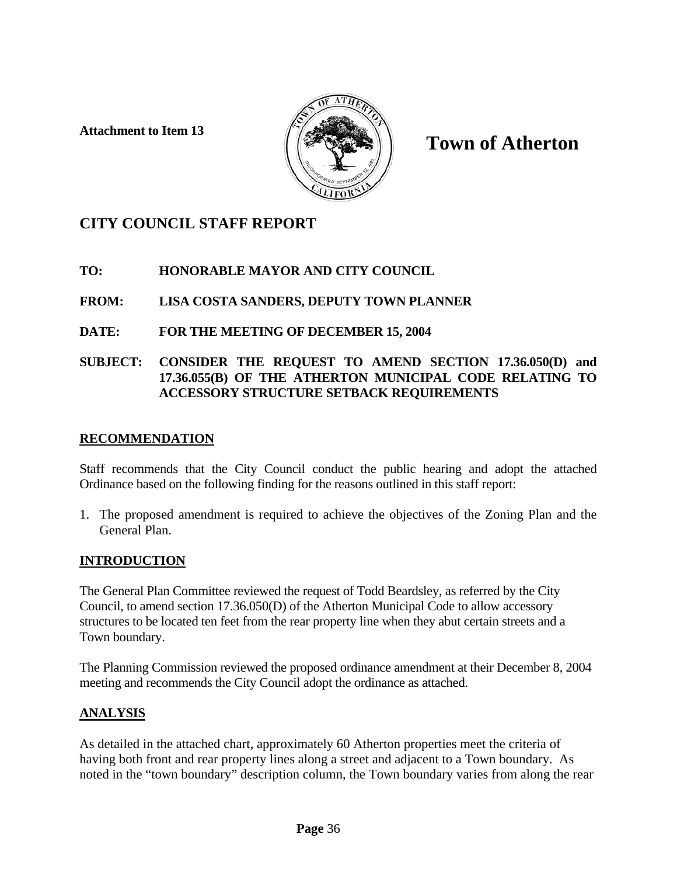**Attachment to Item 13** 



# **Town of Atherton**

# **CITY COUNCIL STAFF REPORT**

# **TO: HONORABLE MAYOR AND CITY COUNCIL**

**FROM: LISA COSTA SANDERS, DEPUTY TOWN PLANNER** 

# **DATE: FOR THE MEETING OF DECEMBER 15, 2004**

## **SUBJECT: CONSIDER THE REQUEST TO AMEND SECTION 17.36.050(D) and 17.36.055(B) OF THE ATHERTON MUNICIPAL CODE RELATING TO ACCESSORY STRUCTURE SETBACK REQUIREMENTS**

# **RECOMMENDATION**

Staff recommends that the City Council conduct the public hearing and adopt the attached Ordinance based on the following finding for the reasons outlined in this staff report:

1. The proposed amendment is required to achieve the objectives of the Zoning Plan and the General Plan.

# **INTRODUCTION**

The General Plan Committee reviewed the request of Todd Beardsley, as referred by the City Council, to amend section 17.36.050(D) of the Atherton Municipal Code to allow accessory structures to be located ten feet from the rear property line when they abut certain streets and a Town boundary.

The Planning Commission reviewed the proposed ordinance amendment at their December 8, 2004 meeting and recommends the City Council adopt the ordinance as attached.

# **ANALYSIS**

As detailed in the attached chart, approximately 60 Atherton properties meet the criteria of having both front and rear property lines along a street and adjacent to a Town boundary. As noted in the "town boundary" description column, the Town boundary varies from along the rear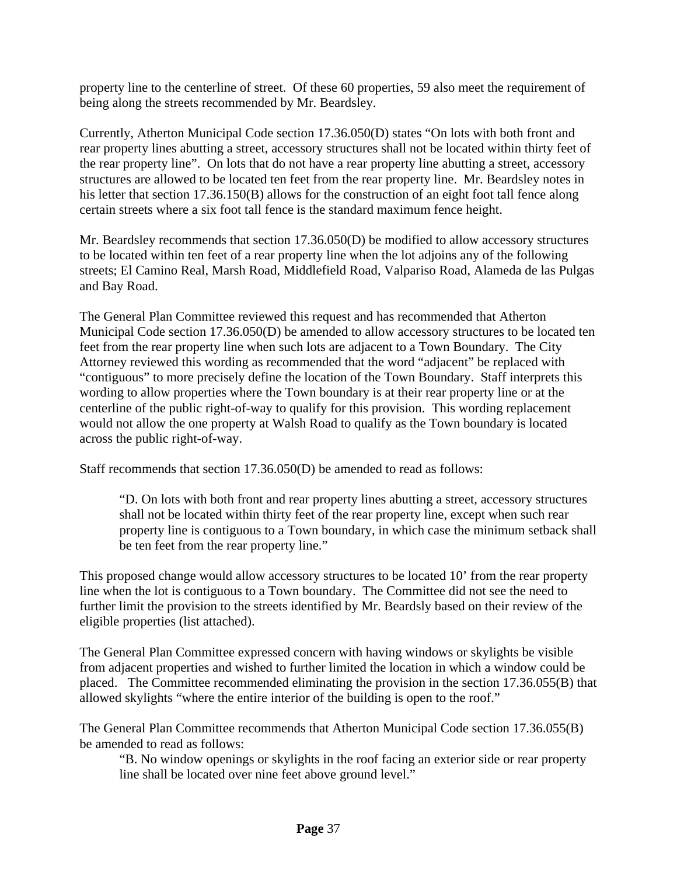property line to the centerline of street. Of these 60 properties, 59 also meet the requirement of being along the streets recommended by Mr. Beardsley.

Currently, Atherton Municipal Code section 17.36.050(D) states "On lots with both front and rear property lines abutting a street, accessory structures shall not be located within thirty feet of the rear property line". On lots that do not have a rear property line abutting a street, accessory structures are allowed to be located ten feet from the rear property line. Mr. Beardsley notes in his letter that section 17.36.150(B) allows for the construction of an eight foot tall fence along certain streets where a six foot tall fence is the standard maximum fence height.

Mr. Beardsley recommends that section 17.36.050(D) be modified to allow accessory structures to be located within ten feet of a rear property line when the lot adjoins any of the following streets; El Camino Real, Marsh Road, Middlefield Road, Valpariso Road, Alameda de las Pulgas and Bay Road.

The General Plan Committee reviewed this request and has recommended that Atherton Municipal Code section 17.36.050(D) be amended to allow accessory structures to be located ten feet from the rear property line when such lots are adjacent to a Town Boundary. The City Attorney reviewed this wording as recommended that the word "adjacent" be replaced with "contiguous" to more precisely define the location of the Town Boundary. Staff interprets this wording to allow properties where the Town boundary is at their rear property line or at the centerline of the public right-of-way to qualify for this provision. This wording replacement would not allow the one property at Walsh Road to qualify as the Town boundary is located across the public right-of-way.

Staff recommends that section 17.36.050(D) be amended to read as follows:

"D. On lots with both front and rear property lines abutting a street, accessory structures shall not be located within thirty feet of the rear property line, except when such rear property line is contiguous to a Town boundary, in which case the minimum setback shall be ten feet from the rear property line."

This proposed change would allow accessory structures to be located 10' from the rear property line when the lot is contiguous to a Town boundary. The Committee did not see the need to further limit the provision to the streets identified by Mr. Beardsly based on their review of the eligible properties (list attached).

The General Plan Committee expressed concern with having windows or skylights be visible from adjacent properties and wished to further limited the location in which a window could be placed. The Committee recommended eliminating the provision in the section 17.36.055(B) that allowed skylights "where the entire interior of the building is open to the roof."

The General Plan Committee recommends that Atherton Municipal Code section 17.36.055(B) be amended to read as follows:

"B. No window openings or skylights in the roof facing an exterior side or rear property line shall be located over nine feet above ground level."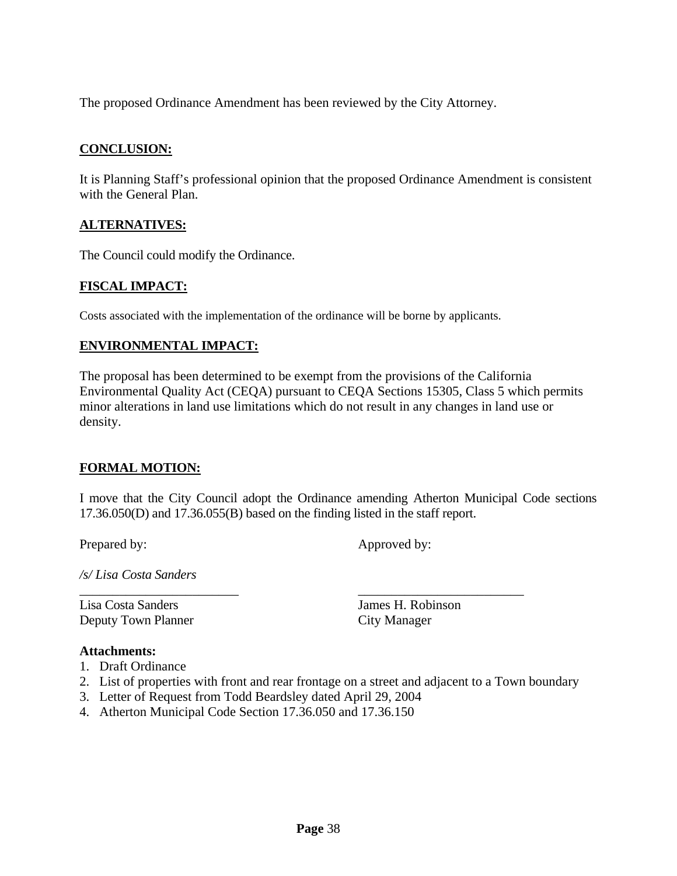The proposed Ordinance Amendment has been reviewed by the City Attorney.

### **CONCLUSION:**

It is Planning Staff's professional opinion that the proposed Ordinance Amendment is consistent with the General Plan.

### **ALTERNATIVES:**

The Council could modify the Ordinance.

### **FISCAL IMPACT:**

Costs associated with the implementation of the ordinance will be borne by applicants.

### **ENVIRONMENTAL IMPACT:**

The proposal has been determined to be exempt from the provisions of the California Environmental Quality Act (CEQA) pursuant to CEQA Sections 15305, Class 5 which permits minor alterations in land use limitations which do not result in any changes in land use or density.

#### **FORMAL MOTION:**

I move that the City Council adopt the Ordinance amending Atherton Municipal Code sections 17.36.050(D) and 17.36.055(B) based on the finding listed in the staff report.

Prepared by: Approved by:

*/s/ Lisa Costa Sanders* 

Lisa Costa Sanders James H. Robinson Deputy Town Planner City Manager

#### **Attachments:**

- 1. Draft Ordinance
- 2. List of properties with front and rear frontage on a street and adjacent to a Town boundary

\_\_\_\_\_\_\_\_\_\_\_\_\_\_\_\_\_\_\_\_\_\_\_\_ \_\_\_\_\_\_\_\_\_\_\_\_\_\_\_\_\_\_\_\_\_\_\_\_\_

- 3. Letter of Request from Todd Beardsley dated April 29, 2004
- 4. Atherton Municipal Code Section 17.36.050 and 17.36.150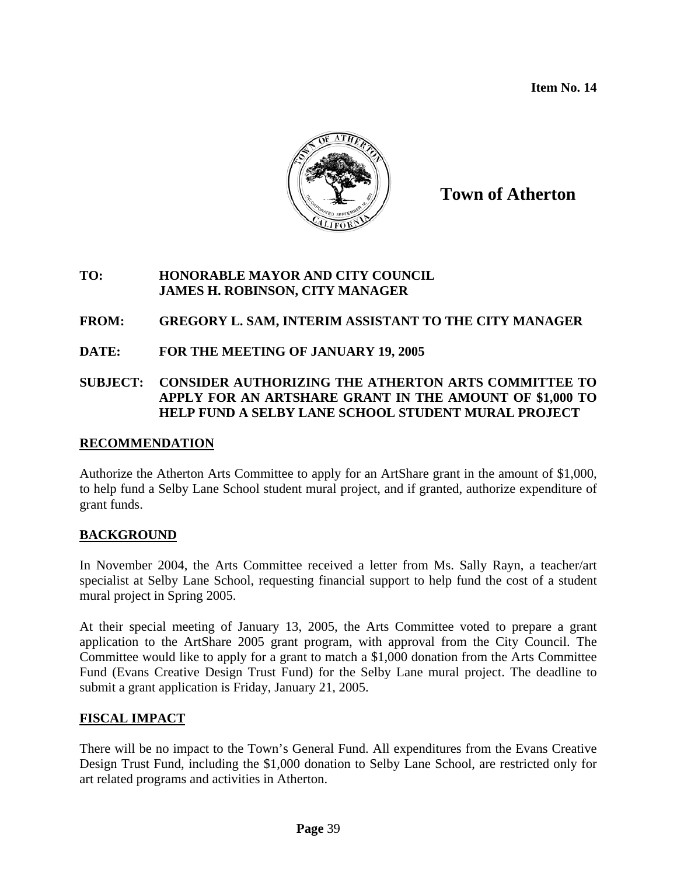**Item No. 14** 



**Town of Atherton**

### **TO: HONORABLE MAYOR AND CITY COUNCIL JAMES H. ROBINSON, CITY MANAGER**

## **FROM: GREGORY L. SAM, INTERIM ASSISTANT TO THE CITY MANAGER**

**DATE: FOR THE MEETING OF JANUARY 19, 2005** 

### **SUBJECT: CONSIDER AUTHORIZING THE ATHERTON ARTS COMMITTEE TO APPLY FOR AN ARTSHARE GRANT IN THE AMOUNT OF \$1,000 TO HELP FUND A SELBY LANE SCHOOL STUDENT MURAL PROJECT**

### **RECOMMENDATION**

Authorize the Atherton Arts Committee to apply for an ArtShare grant in the amount of \$1,000, to help fund a Selby Lane School student mural project, and if granted, authorize expenditure of grant funds.

### **BACKGROUND**

In November 2004, the Arts Committee received a letter from Ms. Sally Rayn, a teacher/art specialist at Selby Lane School, requesting financial support to help fund the cost of a student mural project in Spring 2005.

At their special meeting of January 13, 2005, the Arts Committee voted to prepare a grant application to the ArtShare 2005 grant program, with approval from the City Council. The Committee would like to apply for a grant to match a \$1,000 donation from the Arts Committee Fund (Evans Creative Design Trust Fund) for the Selby Lane mural project. The deadline to submit a grant application is Friday, January 21, 2005.

# **FISCAL IMPACT**

There will be no impact to the Town's General Fund. All expenditures from the Evans Creative Design Trust Fund, including the \$1,000 donation to Selby Lane School, are restricted only for art related programs and activities in Atherton.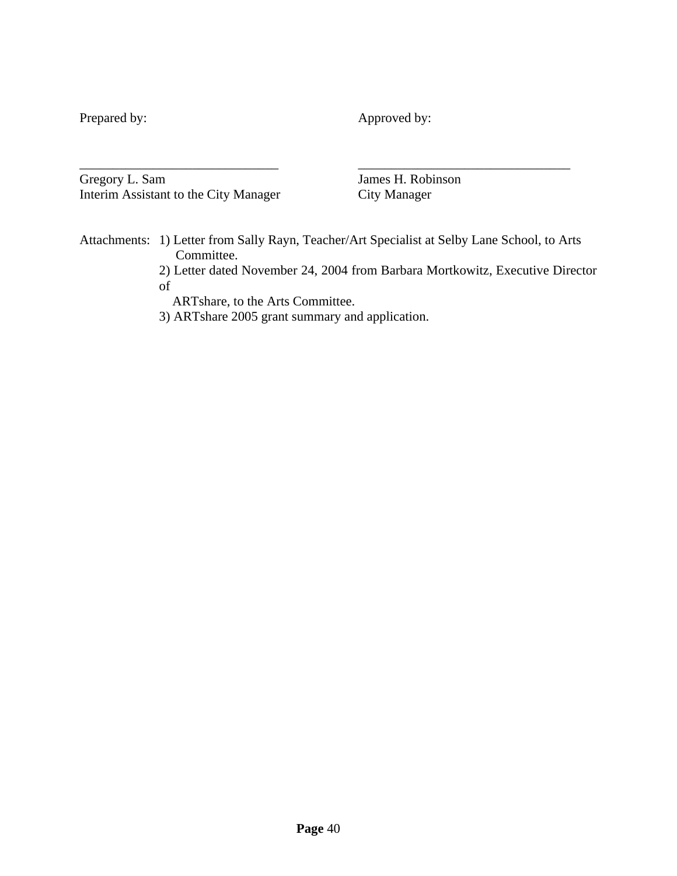Prepared by: Approved by:

Gregory L. Sam James H. Robinson Interim Assistant to the City Manager City Manager

\_\_\_\_\_\_\_\_\_\_\_\_\_\_\_\_\_\_\_\_\_\_\_\_\_\_\_\_\_\_ \_\_\_\_\_\_\_\_\_\_\_\_\_\_\_\_\_\_\_\_\_\_\_\_\_\_\_\_\_\_\_\_

Attachments: 1) Letter from Sally Rayn, Teacher/Art Specialist at Selby Lane School, to Arts Committee.

2) Letter dated November 24, 2004 from Barbara Mortkowitz, Executive Director of

ARTshare, to the Arts Committee.

3) ARTshare 2005 grant summary and application.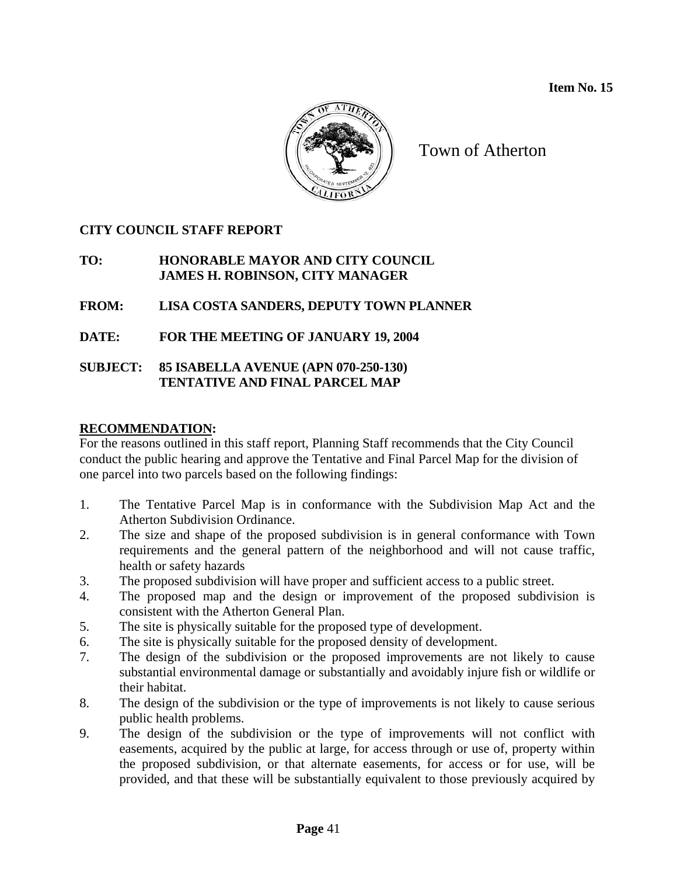

Town of Atherton

# **CITY COUNCIL STAFF REPORT**

# **TO: HONORABLE MAYOR AND CITY COUNCIL JAMES H. ROBINSON, CITY MANAGER**

# **FROM: LISA COSTA SANDERS, DEPUTY TOWN PLANNER**

# **DATE: FOR THE MEETING OF JANUARY 19, 2004**

### **SUBJECT: 85 ISABELLA AVENUE (APN 070-250-130) TENTATIVE AND FINAL PARCEL MAP**

# **RECOMMENDATION:**

For the reasons outlined in this staff report, Planning Staff recommends that the City Council conduct the public hearing and approve the Tentative and Final Parcel Map for the division of one parcel into two parcels based on the following findings:

- 1. The Tentative Parcel Map is in conformance with the Subdivision Map Act and the Atherton Subdivision Ordinance.
- 2. The size and shape of the proposed subdivision is in general conformance with Town requirements and the general pattern of the neighborhood and will not cause traffic, health or safety hazards
- 3. The proposed subdivision will have proper and sufficient access to a public street.
- 4. The proposed map and the design or improvement of the proposed subdivision is consistent with the Atherton General Plan.
- 5. The site is physically suitable for the proposed type of development.
- 6. The site is physically suitable for the proposed density of development.
- 7. The design of the subdivision or the proposed improvements are not likely to cause substantial environmental damage or substantially and avoidably injure fish or wildlife or their habitat.
- 8. The design of the subdivision or the type of improvements is not likely to cause serious public health problems.
- 9. The design of the subdivision or the type of improvements will not conflict with easements, acquired by the public at large, for access through or use of, property within the proposed subdivision, or that alternate easements, for access or for use, will be provided, and that these will be substantially equivalent to those previously acquired by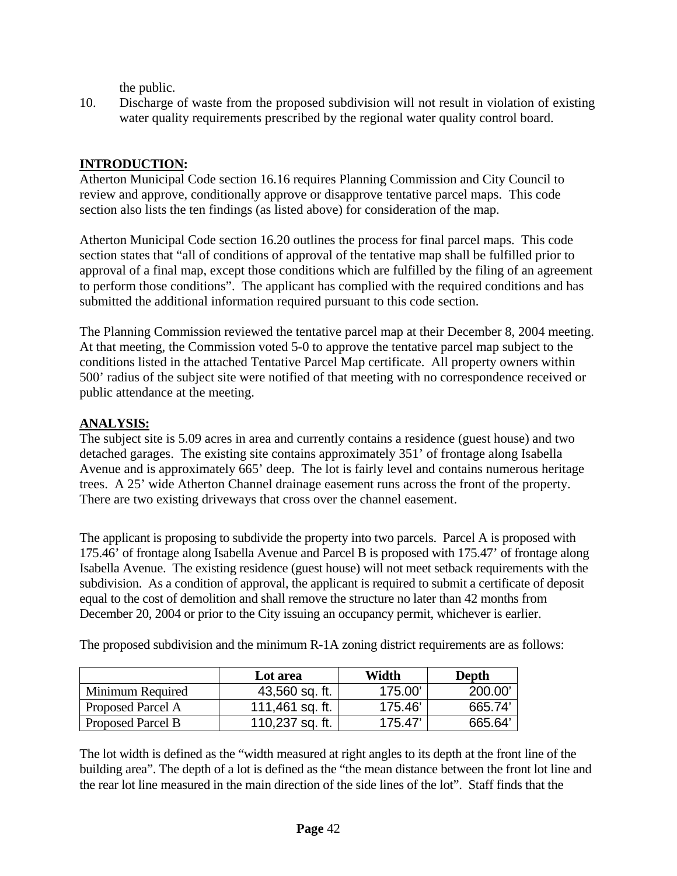the public.

10. Discharge of waste from the proposed subdivision will not result in violation of existing water quality requirements prescribed by the regional water quality control board.

# **INTRODUCTION:**

Atherton Municipal Code section 16.16 requires Planning Commission and City Council to review and approve, conditionally approve or disapprove tentative parcel maps. This code section also lists the ten findings (as listed above) for consideration of the map.

Atherton Municipal Code section 16.20 outlines the process for final parcel maps. This code section states that "all of conditions of approval of the tentative map shall be fulfilled prior to approval of a final map, except those conditions which are fulfilled by the filing of an agreement to perform those conditions". The applicant has complied with the required conditions and has submitted the additional information required pursuant to this code section.

The Planning Commission reviewed the tentative parcel map at their December 8, 2004 meeting. At that meeting, the Commission voted 5-0 to approve the tentative parcel map subject to the conditions listed in the attached Tentative Parcel Map certificate. All property owners within 500' radius of the subject site were notified of that meeting with no correspondence received or public attendance at the meeting.

### **ANALYSIS:**

The subject site is 5.09 acres in area and currently contains a residence (guest house) and two detached garages. The existing site contains approximately 351' of frontage along Isabella Avenue and is approximately 665' deep. The lot is fairly level and contains numerous heritage trees. A 25' wide Atherton Channel drainage easement runs across the front of the property. There are two existing driveways that cross over the channel easement.

The applicant is proposing to subdivide the property into two parcels. Parcel A is proposed with 175.46' of frontage along Isabella Avenue and Parcel B is proposed with 175.47' of frontage along Isabella Avenue. The existing residence (guest house) will not meet setback requirements with the subdivision. As a condition of approval, the applicant is required to submit a certificate of deposit equal to the cost of demolition and shall remove the structure no later than 42 months from December 20, 2004 or prior to the City issuing an occupancy permit, whichever is earlier.

The proposed subdivision and the minimum R-1A zoning district requirements are as follows:

|                   | Lot area        | Width  | Depth  |
|-------------------|-----------------|--------|--------|
| Minimum Required  | 43,560 sq. ft.  | 175.00 | 200.00 |
| Proposed Parcel A | 111,461 sq. ft. | 175.46 | 665.74 |
| Proposed Parcel B | 110,237 sq. ft. | 175.47 | 665.64 |

The lot width is defined as the "width measured at right angles to its depth at the front line of the building area". The depth of a lot is defined as the "the mean distance between the front lot line and the rear lot line measured in the main direction of the side lines of the lot". Staff finds that the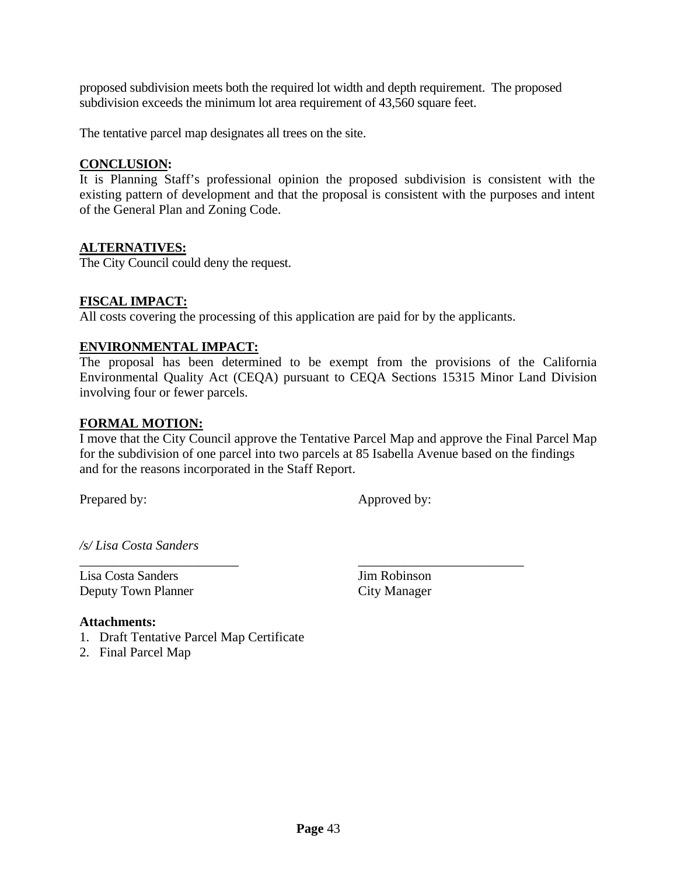proposed subdivision meets both the required lot width and depth requirement. The proposed subdivision exceeds the minimum lot area requirement of 43,560 square feet.

The tentative parcel map designates all trees on the site.

### **CONCLUSION:**

It is Planning Staff's professional opinion the proposed subdivision is consistent with the existing pattern of development and that the proposal is consistent with the purposes and intent of the General Plan and Zoning Code.

### **ALTERNATIVES:**

The City Council could deny the request.

### **FISCAL IMPACT:**

All costs covering the processing of this application are paid for by the applicants.

\_\_\_\_\_\_\_\_\_\_\_\_\_\_\_\_\_\_\_\_\_\_\_\_ \_\_\_\_\_\_\_\_\_\_\_\_\_\_\_\_\_\_\_\_\_\_\_\_\_

### **ENVIRONMENTAL IMPACT:**

The proposal has been determined to be exempt from the provisions of the California Environmental Quality Act (CEQA) pursuant to CEQA Sections 15315 Minor Land Division involving four or fewer parcels.

#### **FORMAL MOTION:**

I move that the City Council approve the Tentative Parcel Map and approve the Final Parcel Map for the subdivision of one parcel into two parcels at 85 Isabella Avenue based on the findings and for the reasons incorporated in the Staff Report.

Prepared by: Approved by:

*/s/ Lisa Costa Sanders* 

Lisa Costa Sanders Jim Robinson Deputy Town Planner City Manager

#### **Attachments:**

1. Draft Tentative Parcel Map Certificate

2. Final Parcel Map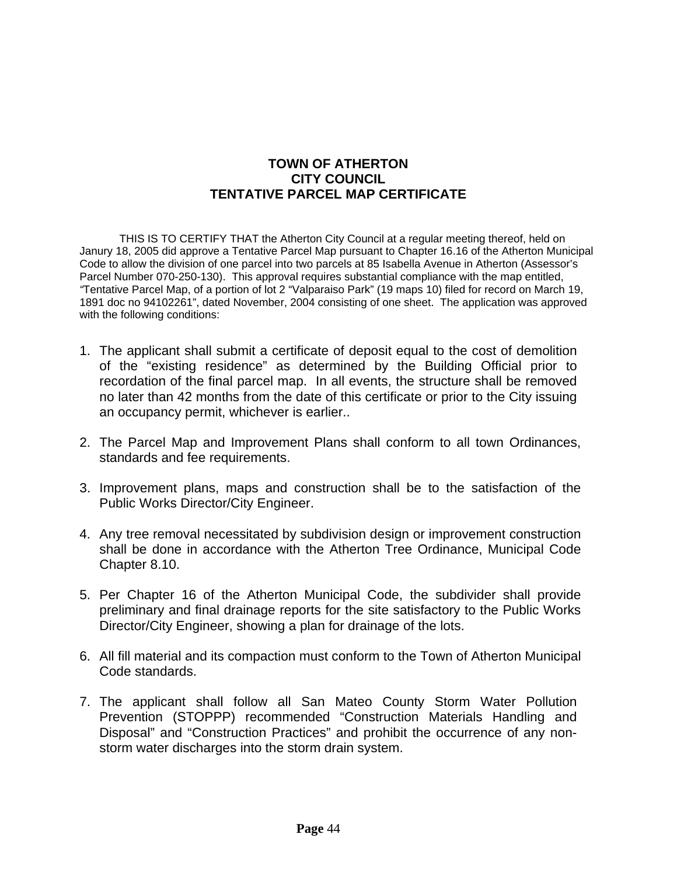## **TOWN OF ATHERTON CITY COUNCIL TENTATIVE PARCEL MAP CERTIFICATE**

THIS IS TO CERTIFY THAT the Atherton City Council at a regular meeting thereof, held on Janury 18, 2005 did approve a Tentative Parcel Map pursuant to Chapter 16.16 of the Atherton Municipal Code to allow the division of one parcel into two parcels at 85 Isabella Avenue in Atherton (Assessor's Parcel Number 070-250-130). This approval requires substantial compliance with the map entitled, *"*Tentative Parcel Map, of a portion of lot 2 "Valparaiso Park" (19 maps 10) filed for record on March 19, 1891 doc no 94102261", dated November, 2004 consisting of one sheet. The application was approved with the following conditions:

- 1. The applicant shall submit a certificate of deposit equal to the cost of demolition of the "existing residence" as determined by the Building Official prior to recordation of the final parcel map. In all events, the structure shall be removed no later than 42 months from the date of this certificate or prior to the City issuing an occupancy permit, whichever is earlier..
- 2. The Parcel Map and Improvement Plans shall conform to all town Ordinances, standards and fee requirements.
- 3. Improvement plans, maps and construction shall be to the satisfaction of the Public Works Director/City Engineer.
- 4. Any tree removal necessitated by subdivision design or improvement construction shall be done in accordance with the Atherton Tree Ordinance, Municipal Code Chapter 8.10.
- 5. Per Chapter 16 of the Atherton Municipal Code, the subdivider shall provide preliminary and final drainage reports for the site satisfactory to the Public Works Director/City Engineer, showing a plan for drainage of the lots.
- 6. All fill material and its compaction must conform to the Town of Atherton Municipal Code standards.
- 7. The applicant shall follow all San Mateo County Storm Water Pollution Prevention (STOPPP) recommended "Construction Materials Handling and Disposal" and "Construction Practices" and prohibit the occurrence of any nonstorm water discharges into the storm drain system.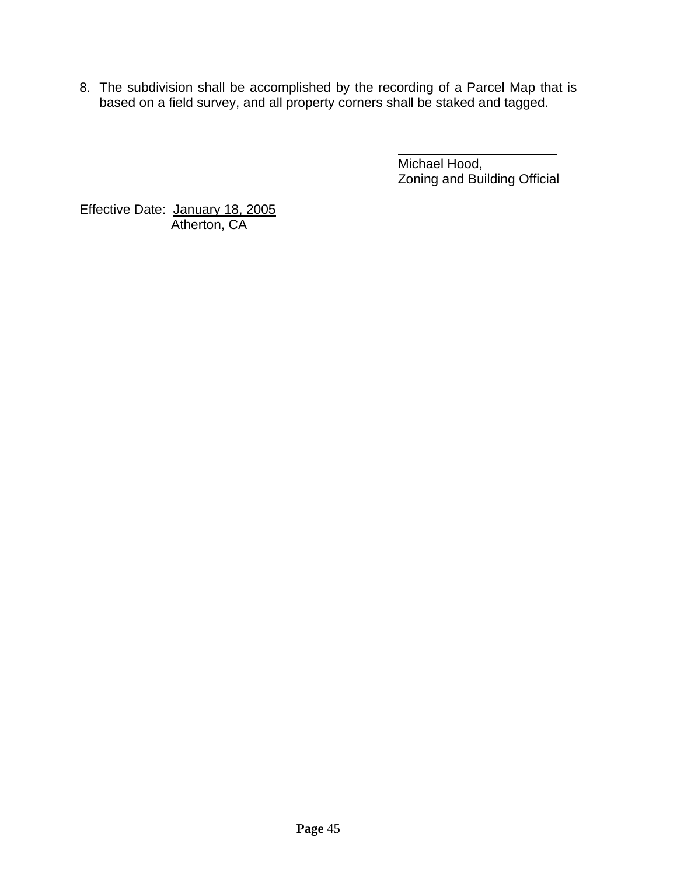8. The subdivision shall be accomplished by the recording of a Parcel Map that is based on a field survey, and all property corners shall be staked and tagged.

> Michael Hood, Zoning and Building Official

Effective Date: January 18, 2005 Atherton, CA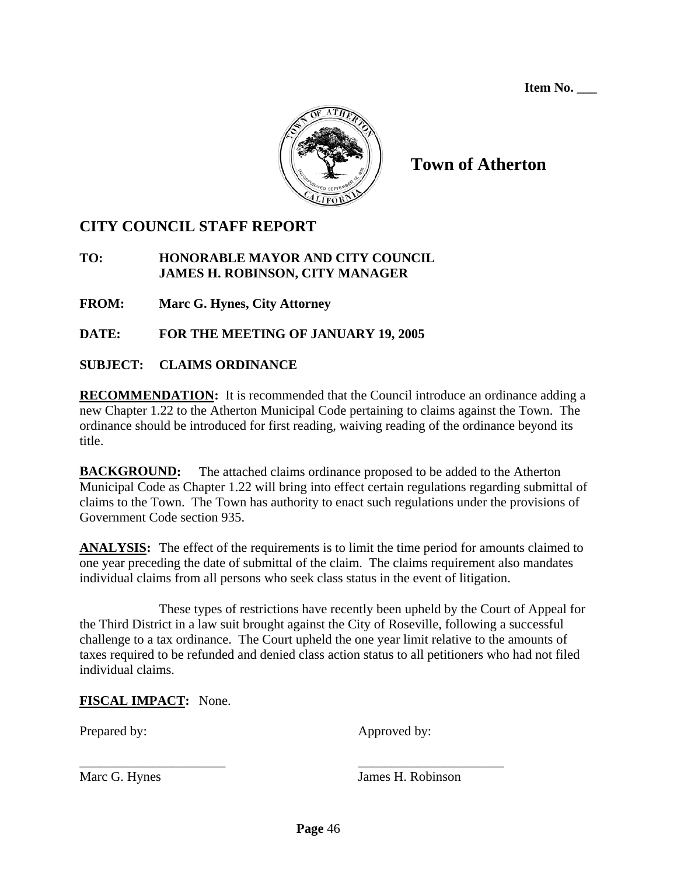**Item No. \_\_\_** 



# **Town of Atherton**

# **CITY COUNCIL STAFF REPORT**

## **TO: HONORABLE MAYOR AND CITY COUNCIL JAMES H. ROBINSON, CITY MANAGER**

**FROM: Marc G. Hynes, City Attorney** 

**DATE: FOR THE MEETING OF JANUARY 19, 2005** 

# **SUBJECT: CLAIMS ORDINANCE**

**RECOMMENDATION:** It is recommended that the Council introduce an ordinance adding a new Chapter 1.22 to the Atherton Municipal Code pertaining to claims against the Town. The ordinance should be introduced for first reading, waiving reading of the ordinance beyond its title.

**BACKGROUND:** The attached claims ordinance proposed to be added to the Atherton Municipal Code as Chapter 1.22 will bring into effect certain regulations regarding submittal of claims to the Town. The Town has authority to enact such regulations under the provisions of Government Code section 935.

**ANALYSIS:** The effect of the requirements is to limit the time period for amounts claimed to one year preceding the date of submittal of the claim. The claims requirement also mandates individual claims from all persons who seek class status in the event of litigation.

 These types of restrictions have recently been upheld by the Court of Appeal for the Third District in a law suit brought against the City of Roseville, following a successful challenge to a tax ordinance. The Court upheld the one year limit relative to the amounts of taxes required to be refunded and denied class action status to all petitioners who had not filed individual claims.

# **FISCAL IMPACT:** None.

Prepared by: Approved by:

Marc G. Hynes James H. Robinson

\_\_\_\_\_\_\_\_\_\_\_\_\_\_\_\_\_\_\_\_\_\_ \_\_\_\_\_\_\_\_\_\_\_\_\_\_\_\_\_\_\_\_\_\_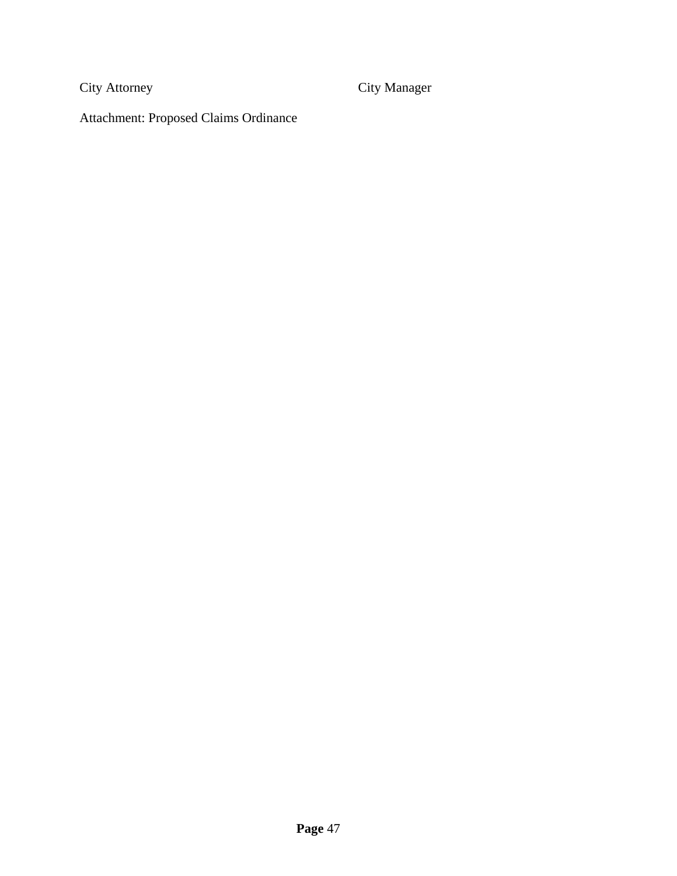City Attorney City Manager

Attachment: Proposed Claims Ordinance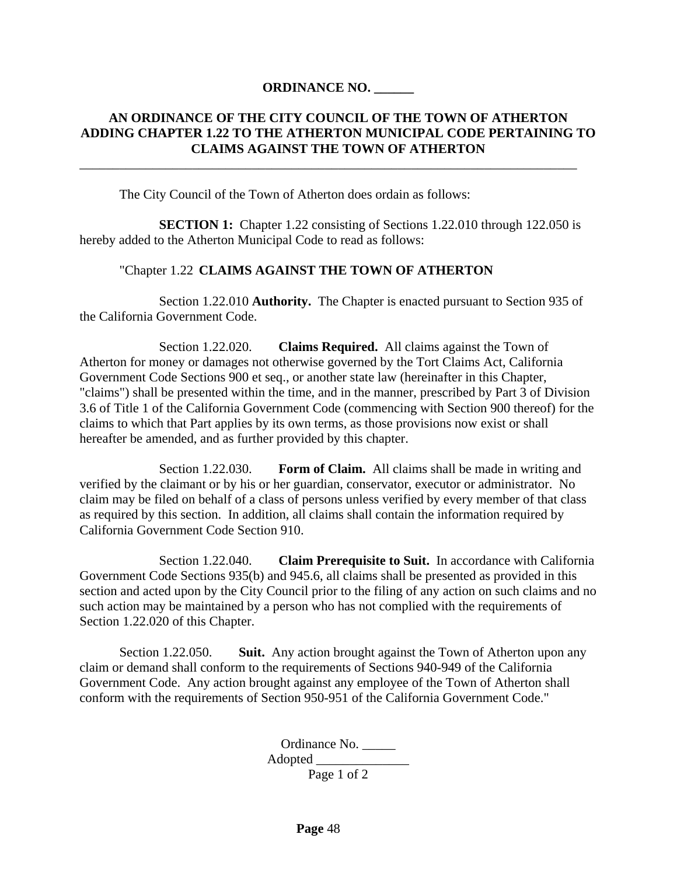### **ORDINANCE NO. \_\_\_\_\_\_**

### **AN ORDINANCE OF THE CITY COUNCIL OF THE TOWN OF ATHERTON ADDING CHAPTER 1.22 TO THE ATHERTON MUNICIPAL CODE PERTAINING TO CLAIMS AGAINST THE TOWN OF ATHERTON**

The City Council of the Town of Atherton does ordain as follows:

**SECTION 1:** Chapter 1.22 consisting of Sections 1.22.010 through 122.050 is hereby added to the Atherton Municipal Code to read as follows:

\_\_\_\_\_\_\_\_\_\_\_\_\_\_\_\_\_\_\_\_\_\_\_\_\_\_\_\_\_\_\_\_\_\_\_\_\_\_\_\_\_\_\_\_\_\_\_\_\_\_\_\_\_\_\_\_\_\_\_\_\_\_\_\_\_\_\_\_\_\_\_\_\_\_\_

### "Chapter 1.22 **CLAIMS AGAINST THE TOWN OF ATHERTON**

 Section 1.22.010 **Authority.** The Chapter is enacted pursuant to Section 935 of the California Government Code.

 Section 1.22.020. **Claims Required.** All claims against the Town of Atherton for money or damages not otherwise governed by the Tort Claims Act, California Government Code Sections 900 et seq., or another state law (hereinafter in this Chapter, "claims") shall be presented within the time, and in the manner, prescribed by Part 3 of Division 3.6 of Title 1 of the California Government Code (commencing with Section 900 thereof) for the claims to which that Part applies by its own terms, as those provisions now exist or shall hereafter be amended, and as further provided by this chapter.

 Section 1.22.030. **Form of Claim.** All claims shall be made in writing and verified by the claimant or by his or her guardian, conservator, executor or administrator. No claim may be filed on behalf of a class of persons unless verified by every member of that class as required by this section. In addition, all claims shall contain the information required by California Government Code Section 910.

 Section 1.22.040. **Claim Prerequisite to Suit.** In accordance with California Government Code Sections 935(b) and 945.6, all claims shall be presented as provided in this section and acted upon by the City Council prior to the filing of any action on such claims and no such action may be maintained by a person who has not complied with the requirements of Section 1.22.020 of this Chapter.

 Section 1.22.050. **Suit.** Any action brought against the Town of Atherton upon any claim or demand shall conform to the requirements of Sections 940-949 of the California Government Code. Any action brought against any employee of the Town of Atherton shall conform with the requirements of Section 950-951 of the California Government Code."

> Ordinance No. \_\_\_\_\_ Adopted \_\_\_\_\_\_\_\_\_\_\_\_\_\_ Page 1 of 2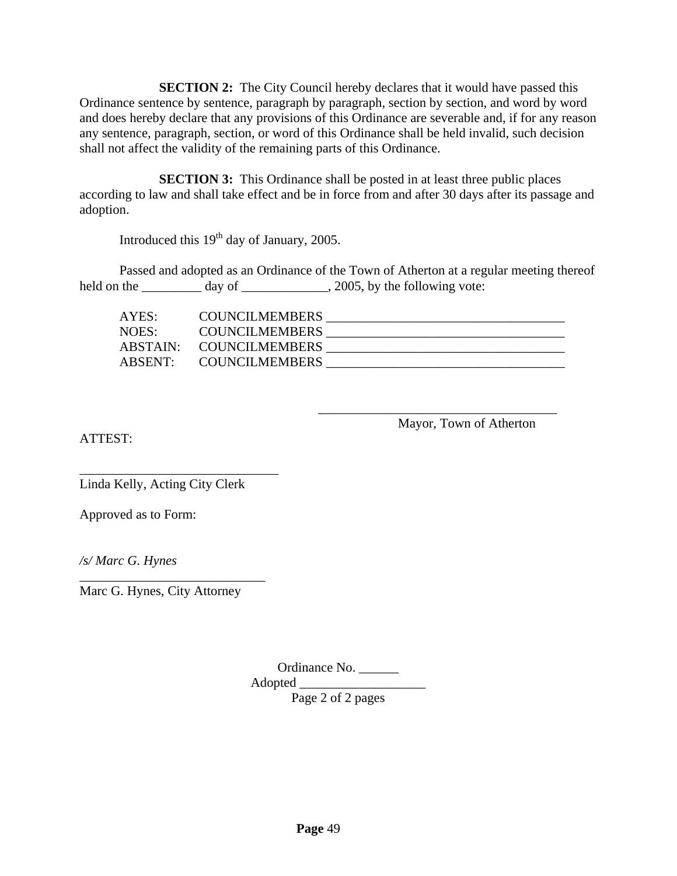**SECTION 2:** The City Council hereby declares that it would have passed this Ordinance sentence by sentence, paragraph by paragraph, section by section, and word by word and does hereby declare that any provisions of this Ordinance are severable and, if for any reason any sentence, paragraph, section, or word of this Ordinance shall be held invalid, such decision shall not affect the validity of the remaining parts of this Ordinance.

**SECTION 3:** This Ordinance shall be posted in at least three public places according to law and shall take effect and be in force from and after 30 days after its passage and adoption.

Introduced this 19<sup>th</sup> day of January, 2005.

Passed and adopted as an Ordinance of the Town of Atherton at a regular meeting thereof held on the \_\_\_\_\_\_\_\_\_\_ day of \_\_\_\_\_\_\_\_\_\_\_\_, 2005, by the following vote:

| AYES:               | <b>COUNCILMEMBERS</b> |  |
|---------------------|-----------------------|--|
| NOES:               | <b>COUNCILMEMBERS</b> |  |
| ABSTAIN:            | <b>COUNCILMEMBERS</b> |  |
| ARSENT <sup>.</sup> | <b>COUNCILMEMBERS</b> |  |

 $\overline{\phantom{a}}$  , which is a set of the set of the set of the set of the set of the set of the set of the set of the set of the set of the set of the set of the set of the set of the set of the set of the set of the set of th

Mayor, Town of Atherton

ATTEST:

\_\_\_\_\_\_\_\_\_\_\_\_\_\_\_\_\_\_\_\_\_\_\_\_\_\_\_\_\_\_ Linda Kelly, Acting City Clerk

Approved as to Form:

*/s/ Marc G. Hynes* 

Marc G. Hynes, City Attorney

\_\_\_\_\_\_\_\_\_\_\_\_\_\_\_\_\_\_\_\_\_\_\_\_\_\_\_\_

Ordinance No. \_\_\_\_\_\_

Adopted  $\Box$ 

Page 2 of 2 pages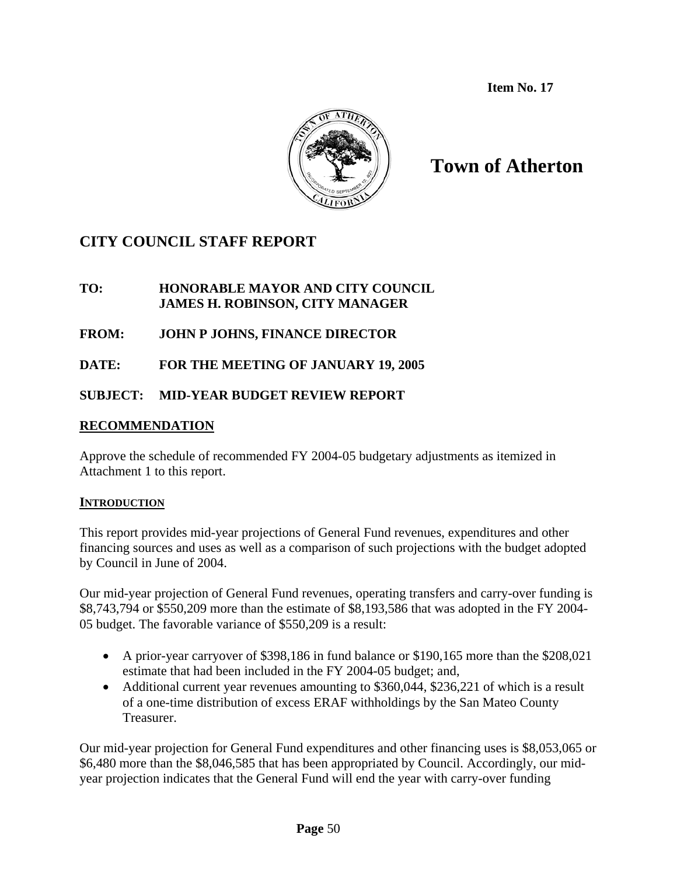**Item No. 17**



# **Town of Atherton**

# **CITY COUNCIL STAFF REPORT**

## **TO: HONORABLE MAYOR AND CITY COUNCIL JAMES H. ROBINSON, CITY MANAGER**

# **FROM: JOHN P JOHNS, FINANCE DIRECTOR**

# **DATE: FOR THE MEETING OF JANUARY 19, 2005**

# **SUBJECT: MID-YEAR BUDGET REVIEW REPORT**

# **RECOMMENDATION**

Approve the schedule of recommended FY 2004-05 budgetary adjustments as itemized in Attachment 1 to this report.

### **INTRODUCTION**

This report provides mid-year projections of General Fund revenues, expenditures and other financing sources and uses as well as a comparison of such projections with the budget adopted by Council in June of 2004.

Our mid-year projection of General Fund revenues, operating transfers and carry-over funding is \$8,743,794 or \$550,209 more than the estimate of \$8,193,586 that was adopted in the FY 2004- 05 budget. The favorable variance of \$550,209 is a result:

- A prior-year carryover of \$398,186 in fund balance or \$190,165 more than the \$208,021 estimate that had been included in the FY 2004-05 budget; and,
- Additional current year revenues amounting to \$360,044, \$236,221 of which is a result of a one-time distribution of excess ERAF withholdings by the San Mateo County Treasurer.

Our mid-year projection for General Fund expenditures and other financing uses is \$8,053,065 or \$6,480 more than the \$8,046,585 that has been appropriated by Council. Accordingly, our midyear projection indicates that the General Fund will end the year with carry-over funding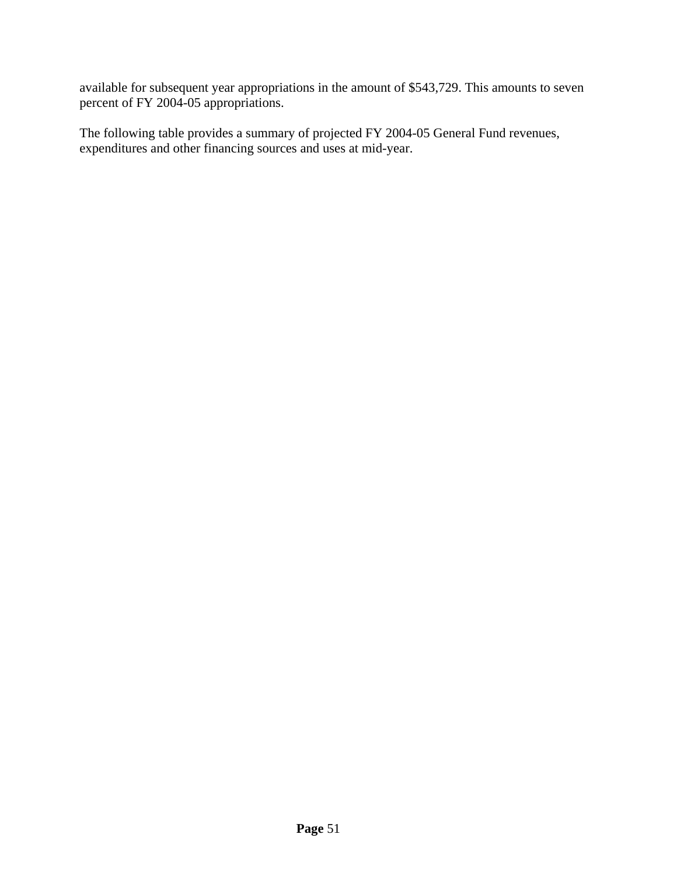available for subsequent year appropriations in the amount of \$543,729. This amounts to seven percent of FY 2004-05 appropriations.

The following table provides a summary of projected FY 2004-05 General Fund revenues, expenditures and other financing sources and uses at mid-year.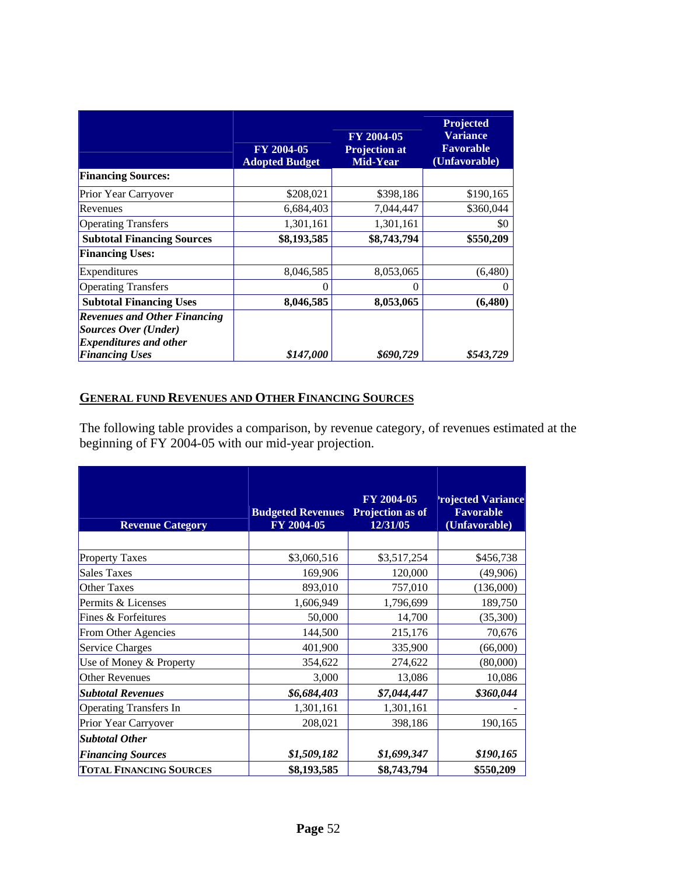|                                                                                                     | FY 2004-05<br><b>Adopted Budget</b> | FY 2004-05<br><b>Projection at</b><br>Mid-Year | Projected<br><b>Variance</b><br><b>Favorable</b><br>(Unfavorable) |
|-----------------------------------------------------------------------------------------------------|-------------------------------------|------------------------------------------------|-------------------------------------------------------------------|
| <b>Financing Sources:</b>                                                                           |                                     |                                                |                                                                   |
| Prior Year Carryover                                                                                | \$208,021                           | \$398,186                                      | \$190,165                                                         |
| Revenues                                                                                            | 6,684,403                           | 7,044,447                                      | \$360,044                                                         |
| <b>Operating Transfers</b>                                                                          | 1,301,161                           | 1,301,161                                      | \$0                                                               |
| <b>Subtotal Financing Sources</b>                                                                   | \$8,193,585                         | \$8,743,794                                    | \$550,209                                                         |
| <b>Financing Uses:</b>                                                                              |                                     |                                                |                                                                   |
| Expenditures                                                                                        | 8,046,585                           | 8,053,065                                      | (6,480)                                                           |
| <b>Operating Transfers</b>                                                                          | 0                                   | 0                                              | 0                                                                 |
| <b>Subtotal Financing Uses</b>                                                                      | 8,046,585                           | 8,053,065                                      | (6, 480)                                                          |
| <b>Revenues and Other Financing</b><br><b>Sources Over (Under)</b><br><b>Expenditures and other</b> |                                     |                                                |                                                                   |
| <b>Financing Uses</b>                                                                               | \$147,000                           | \$690,729                                      | \$543,729                                                         |

# **GENERAL FUND REVENUES AND OTHER FINANCING SOURCES**

The following table provides a comparison, by revenue category, of revenues estimated at the beginning of FY 2004-05 with our mid-year projection.

| <b>Revenue Category</b>        | <b>Budgeted Revenues</b><br>FY 2004-05 | FY 2004-05<br>Projection as of<br>12/31/05 | <b>'rojected Variance</b><br><b>Favorable</b><br>(Unfavorable) |
|--------------------------------|----------------------------------------|--------------------------------------------|----------------------------------------------------------------|
|                                |                                        |                                            |                                                                |
| <b>Property Taxes</b>          | \$3,060,516                            | \$3,517,254                                | \$456,738                                                      |
| Sales Taxes                    | 169,906                                | 120,000                                    | (49,906)                                                       |
| <b>Other Taxes</b>             | 893,010                                | 757,010                                    | (136,000)                                                      |
| Permits & Licenses             | 1,606,949                              | 1,796,699                                  | 189,750                                                        |
| Fines & Forfeitures            | 50,000                                 | 14,700                                     | (35,300)                                                       |
| From Other Agencies            | 144,500                                | 215,176                                    | 70,676                                                         |
| <b>Service Charges</b>         | 401,900                                | 335,900                                    | (66,000)                                                       |
| Use of Money & Property        | 354,622                                | 274,622                                    | (80,000)                                                       |
| Other Revenues                 | 3,000                                  | 13,086                                     | 10,086                                                         |
| <b>Subtotal Revenues</b>       | \$6,684,403                            | \$7,044,447                                | \$360,044                                                      |
| <b>Operating Transfers In</b>  | 1,301,161                              | 1,301,161                                  |                                                                |
| Prior Year Carryover           | 208,021                                | 398,186                                    | 190,165                                                        |
| <b>Subtotal Other</b>          |                                        |                                            |                                                                |
| <b>Financing Sources</b>       | \$1,509,182                            | \$1,699,347                                | \$190,165                                                      |
| <b>TOTAL FINANCING SOURCES</b> | \$8,193,585                            | \$8,743,794                                | \$550,209                                                      |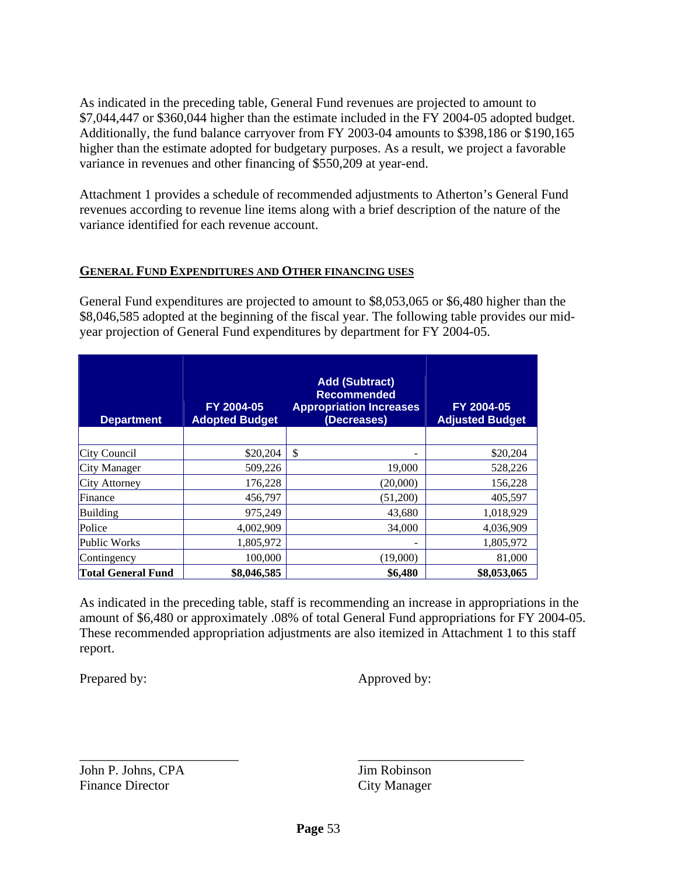As indicated in the preceding table, General Fund revenues are projected to amount to \$7,044,447 or \$360,044 higher than the estimate included in the FY 2004-05 adopted budget. Additionally, the fund balance carryover from FY 2003-04 amounts to \$398,186 or \$190,165 higher than the estimate adopted for budgetary purposes. As a result, we project a favorable variance in revenues and other financing of \$550,209 at year-end.

Attachment 1 provides a schedule of recommended adjustments to Atherton's General Fund revenues according to revenue line items along with a brief description of the nature of the variance identified for each revenue account.

### **GENERAL FUND EXPENDITURES AND OTHER FINANCING USES**

General Fund expenditures are projected to amount to \$8,053,065 or \$6,480 higher than the \$8,046,585 adopted at the beginning of the fiscal year. The following table provides our midyear projection of General Fund expenditures by department for FY 2004-05.

| <b>Department</b>         | FY 2004-05<br><b>Adopted Budget</b> | <b>Add (Subtract)</b><br><b>Recommended</b><br><b>Appropriation Increases</b><br>(Decreases) | FY 2004-05<br><b>Adjusted Budget</b> |
|---------------------------|-------------------------------------|----------------------------------------------------------------------------------------------|--------------------------------------|
|                           |                                     |                                                                                              |                                      |
| City Council              | \$20,204                            | \$<br>۰                                                                                      | \$20,204                             |
| City Manager              | 509,226                             | 19,000                                                                                       | 528,226                              |
| City Attorney             | 176,228                             | (20,000)                                                                                     | 156,228                              |
| Finance                   | 456,797                             | (51,200)                                                                                     | 405,597                              |
| Building                  | 975,249                             | 43,680                                                                                       | 1,018,929                            |
| Police                    | 4,002,909                           | 34,000                                                                                       | 4,036,909                            |
| Public Works              | 1,805,972                           | -                                                                                            | 1,805,972                            |
| Contingency               | 100,000                             | (19,000)                                                                                     | 81,000                               |
| <b>Total General Fund</b> | \$8,046,585                         | \$6,480                                                                                      | \$8,053,065                          |

As indicated in the preceding table, staff is recommending an increase in appropriations in the amount of \$6,480 or approximately .08% of total General Fund appropriations for FY 2004-05. These recommended appropriation adjustments are also itemized in Attachment 1 to this staff report.

Prepared by: Approved by:

John P. Johns, CPA Jim Robinson Finance Director City Manager

\_\_\_\_\_\_\_\_\_\_\_\_\_\_\_\_\_\_\_\_\_\_\_\_ \_\_\_\_\_\_\_\_\_\_\_\_\_\_\_\_\_\_\_\_\_\_\_\_\_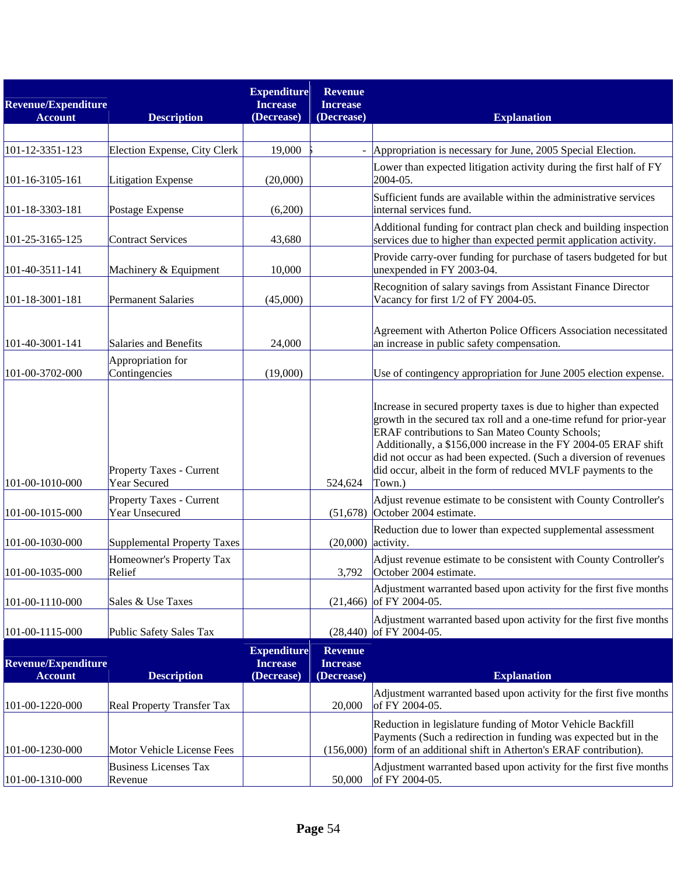| <b>Revenue/Expenditure</b> |                                            | <b>Expenditure</b><br><b>Increase</b> | <b>Revenue</b><br><b>Increase</b> |                                                                                                                                                                                                                                                                                                                                                                                                                |
|----------------------------|--------------------------------------------|---------------------------------------|-----------------------------------|----------------------------------------------------------------------------------------------------------------------------------------------------------------------------------------------------------------------------------------------------------------------------------------------------------------------------------------------------------------------------------------------------------------|
| <b>Account</b>             | <b>Description</b>                         | (Decrease)                            | (Decrease)                        | <b>Explanation</b>                                                                                                                                                                                                                                                                                                                                                                                             |
| 101-12-3351-123            | Election Expense, City Clerk               | 19,000                                |                                   | - Appropriation is necessary for June, 2005 Special Election.                                                                                                                                                                                                                                                                                                                                                  |
| 101-16-3105-161            | Litigation Expense                         | (20,000)                              |                                   | Lower than expected litigation activity during the first half of FY<br>2004-05.                                                                                                                                                                                                                                                                                                                                |
| 101-18-3303-181            | Postage Expense                            | (6,200)                               |                                   | Sufficient funds are available within the administrative services<br>internal services fund.                                                                                                                                                                                                                                                                                                                   |
| 101-25-3165-125            | <b>Contract Services</b>                   | 43,680                                |                                   | Additional funding for contract plan check and building inspection<br>services due to higher than expected permit application activity.                                                                                                                                                                                                                                                                        |
| 101-40-3511-141            | Machinery & Equipment                      | 10,000                                |                                   | Provide carry-over funding for purchase of tasers budgeted for but<br>unexpended in FY 2003-04.                                                                                                                                                                                                                                                                                                                |
| 101-18-3001-181            | <b>Permanent Salaries</b>                  | (45,000)                              |                                   | Recognition of salary savings from Assistant Finance Director<br>Vacancy for first 1/2 of FY 2004-05.                                                                                                                                                                                                                                                                                                          |
| 101-40-3001-141            | Salaries and Benefits                      | 24,000                                |                                   | Agreement with Atherton Police Officers Association necessitated<br>an increase in public safety compensation.                                                                                                                                                                                                                                                                                                 |
| 101-00-3702-000            | Appropriation for<br>Contingencies         | (19,000)                              |                                   | Use of contingency appropriation for June 2005 election expense.                                                                                                                                                                                                                                                                                                                                               |
| 101-00-1010-000            | Property Taxes - Current<br>Year Secured   |                                       | 524,624                           | Increase in secured property taxes is due to higher than expected<br>growth in the secured tax roll and a one-time refund for prior-year<br>ERAF contributions to San Mateo County Schools;<br>Additionally, a \$156,000 increase in the FY 2004-05 ERAF shift<br>did not occur as had been expected. (Such a diversion of revenues<br>did occur, albeit in the form of reduced MVLF payments to the<br>Town.) |
| 101-00-1015-000            | Property Taxes - Current<br>Year Unsecured |                                       |                                   | Adjust revenue estimate to be consistent with County Controller's<br>$(51,678)$ October 2004 estimate.                                                                                                                                                                                                                                                                                                         |
| 101-00-1030-000            | Supplemental Property Taxes                |                                       | (20,000)                          | Reduction due to lower than expected supplemental assessment<br>activity.                                                                                                                                                                                                                                                                                                                                      |
| 101-00-1035-000            | Homeowner's Property Tax<br>Relief         |                                       | 3,792                             | Adjust revenue estimate to be consistent with County Controller's<br>October 2004 estimate.                                                                                                                                                                                                                                                                                                                    |
| 101-00-1110-000            | Sales & Use Taxes                          |                                       | (21, 466)                         | Adjustment warranted based upon activity for the first five months<br>of FY 2004-05.                                                                                                                                                                                                                                                                                                                           |
| 101-00-1115-000            | Public Safety Sales Tax                    |                                       | (28, 440)                         | Adjustment warranted based upon activity for the first five months<br>of FY 2004-05.                                                                                                                                                                                                                                                                                                                           |
| <b>Revenue/Expenditure</b> |                                            | <b>Expenditure</b><br><b>Increase</b> | <b>Revenue</b><br><b>Increase</b> |                                                                                                                                                                                                                                                                                                                                                                                                                |
| <b>Account</b>             | <b>Description</b>                         | (Decrease)                            | (Decrease)                        | <b>Explanation</b><br>Adjustment warranted based upon activity for the first five months                                                                                                                                                                                                                                                                                                                       |
| 101-00-1220-000            | Real Property Transfer Tax                 |                                       | 20,000                            | of FY 2004-05.                                                                                                                                                                                                                                                                                                                                                                                                 |
| 101-00-1230-000            | Motor Vehicle License Fees                 |                                       |                                   | Reduction in legislature funding of Motor Vehicle Backfill<br>Payments (Such a redirection in funding was expected but in the<br>(156,000) form of an additional shift in Atherton's ERAF contribution).                                                                                                                                                                                                       |
| 101-00-1310-000            | <b>Business Licenses Tax</b><br>Revenue    |                                       | 50,000                            | Adjustment warranted based upon activity for the first five months<br>of FY 2004-05.                                                                                                                                                                                                                                                                                                                           |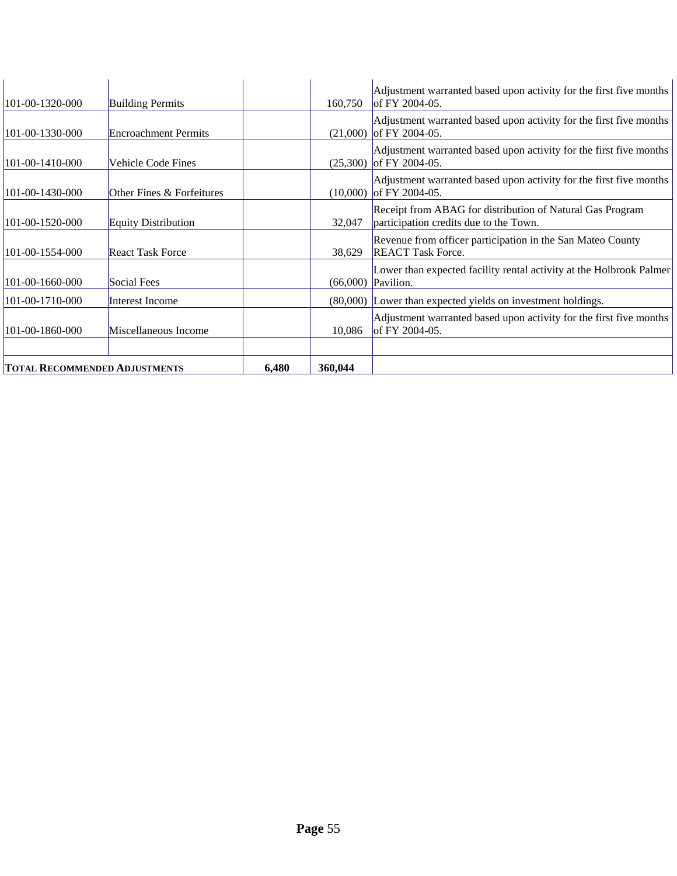| <b>TOTAL RECOMMENDED ADJUSTMENTS</b> |                             | 6,480 | 360,044  |                                                                                                     |
|--------------------------------------|-----------------------------|-------|----------|-----------------------------------------------------------------------------------------------------|
|                                      |                             |       |          |                                                                                                     |
| $101 - 00 - 1860 - 000$              | Miscellaneous Income        |       | 10,086   | Adjustment warranted based upon activity for the first five months<br>of FY 2004-05.                |
| 101-00-1710-000                      | Interest Income             |       |          | (80,000) Lower than expected yields on investment holdings.                                         |
| 101-00-1660-000                      | Social Fees                 |       | (66,000) | Lower than expected facility rental activity at the Holbrook Palmer<br>Pavilion.                    |
| $101 - 00 - 1554 - 000$              | <b>React Task Force</b>     |       | 38,629   | Revenue from officer participation in the San Mateo County<br><b>REACT Task Force.</b>              |
| $101 - 00 - 1520 - 000$              | <b>Equity Distribution</b>  |       | 32,047   | Receipt from ABAG for distribution of Natural Gas Program<br>participation credits due to the Town. |
| $101 - 00 - 1430 - 000$              | Other Fines & Forfeitures   |       | (10,000) | Adjustment warranted based upon activity for the first five months<br>of FY 2004-05.                |
| $101-00-1410-000$                    | Vehicle Code Fines          |       | (25,300) | Adjustment warranted based upon activity for the first five months<br>of FY 2004-05.                |
| $101 - 00 - 1330 - 000$              | <b>Encroachment Permits</b> |       | (21,000) | Adjustment warranted based upon activity for the first five months<br>of FY 2004-05.                |
| $101 - 00 - 1320 - 000$              | <b>Building Permits</b>     |       | 160,750  | Adjustment warranted based upon activity for the first five months<br>of FY 2004-05.                |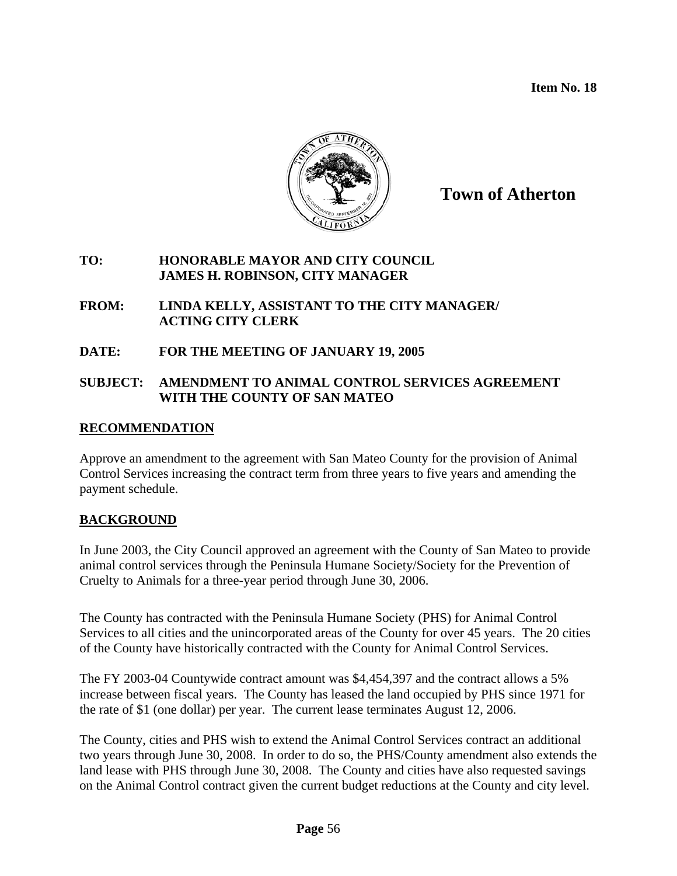**Item No. 18** 



**Town of Atherton**

### **TO: HONORABLE MAYOR AND CITY COUNCIL JAMES H. ROBINSON, CITY MANAGER**

### **FROM: LINDA KELLY, ASSISTANT TO THE CITY MANAGER/ ACTING CITY CLERK**

## **DATE: FOR THE MEETING OF JANUARY 19, 2005**

### **SUBJECT: AMENDMENT TO ANIMAL CONTROL SERVICES AGREEMENT WITH THE COUNTY OF SAN MATEO**

### **RECOMMENDATION**

Approve an amendment to the agreement with San Mateo County for the provision of Animal Control Services increasing the contract term from three years to five years and amending the payment schedule.

# **BACKGROUND**

In June 2003, the City Council approved an agreement with the County of San Mateo to provide animal control services through the Peninsula Humane Society/Society for the Prevention of Cruelty to Animals for a three-year period through June 30, 2006.

The County has contracted with the Peninsula Humane Society (PHS) for Animal Control Services to all cities and the unincorporated areas of the County for over 45 years. The 20 cities of the County have historically contracted with the County for Animal Control Services.

The FY 2003-04 Countywide contract amount was \$4,454,397 and the contract allows a 5% increase between fiscal years. The County has leased the land occupied by PHS since 1971 for the rate of \$1 (one dollar) per year. The current lease terminates August 12, 2006.

The County, cities and PHS wish to extend the Animal Control Services contract an additional two years through June 30, 2008. In order to do so, the PHS/County amendment also extends the land lease with PHS through June 30, 2008. The County and cities have also requested savings on the Animal Control contract given the current budget reductions at the County and city level.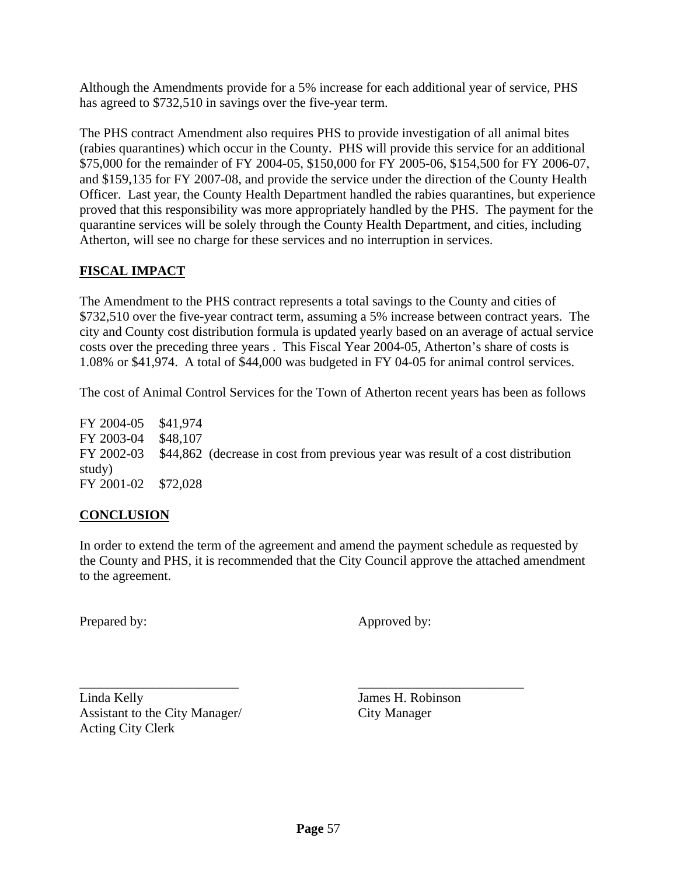Although the Amendments provide for a 5% increase for each additional year of service, PHS has agreed to \$732,510 in savings over the five-year term.

The PHS contract Amendment also requires PHS to provide investigation of all animal bites (rabies quarantines) which occur in the County. PHS will provide this service for an additional \$75,000 for the remainder of FY 2004-05, \$150,000 for FY 2005-06, \$154,500 for FY 2006-07, and \$159,135 for FY 2007-08, and provide the service under the direction of the County Health Officer. Last year, the County Health Department handled the rabies quarantines, but experience proved that this responsibility was more appropriately handled by the PHS. The payment for the quarantine services will be solely through the County Health Department, and cities, including Atherton, will see no charge for these services and no interruption in services.

# **FISCAL IMPACT**

The Amendment to the PHS contract represents a total savings to the County and cities of \$732,510 over the five-year contract term, assuming a 5% increase between contract years. The city and County cost distribution formula is updated yearly based on an average of actual service costs over the preceding three years . This Fiscal Year 2004-05, Atherton's share of costs is 1.08% or \$41,974. A total of \$44,000 was budgeted in FY 04-05 for animal control services.

The cost of Animal Control Services for the Town of Atherton recent years has been as follows

FY 2004-05 \$41,974 FY 2003-04 \$48,107 FY 2002-03 \$44,862 (decrease in cost from previous year was result of a cost distribution study) FY 2001-02 \$72,028

### **CONCLUSION**

In order to extend the term of the agreement and amend the payment schedule as requested by the County and PHS, it is recommended that the City Council approve the attached amendment to the agreement.

Prepared by: Approved by:

Linda Kelly James H. Robinson Assistant to the City Manager/ City Manager Acting City Clerk

\_\_\_\_\_\_\_\_\_\_\_\_\_\_\_\_\_\_\_\_\_\_\_\_ \_\_\_\_\_\_\_\_\_\_\_\_\_\_\_\_\_\_\_\_\_\_\_\_\_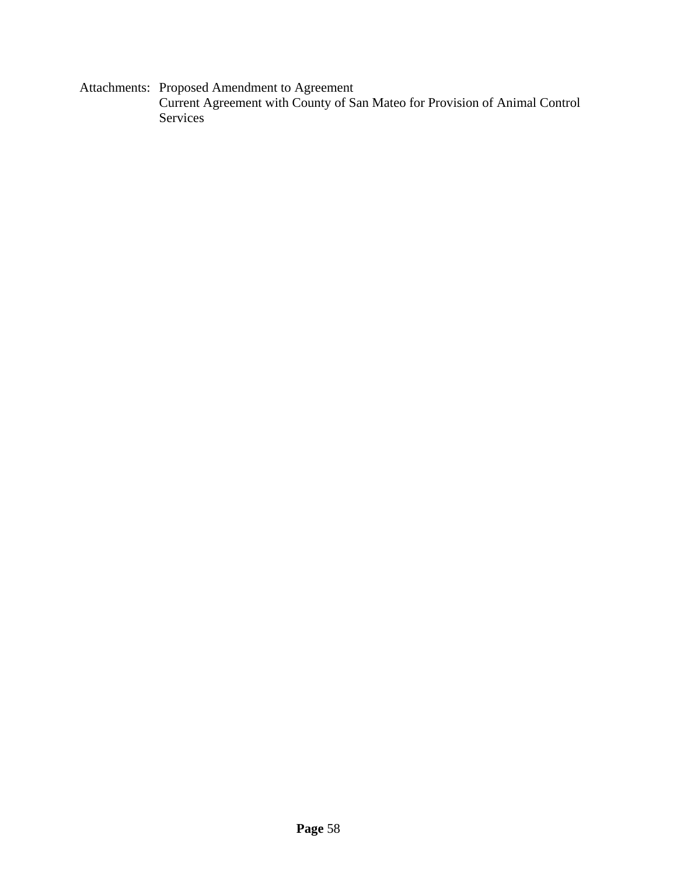Attachments: Proposed Amendment to Agreement Current Agreement with County of San Mateo for Provision of Animal Control Services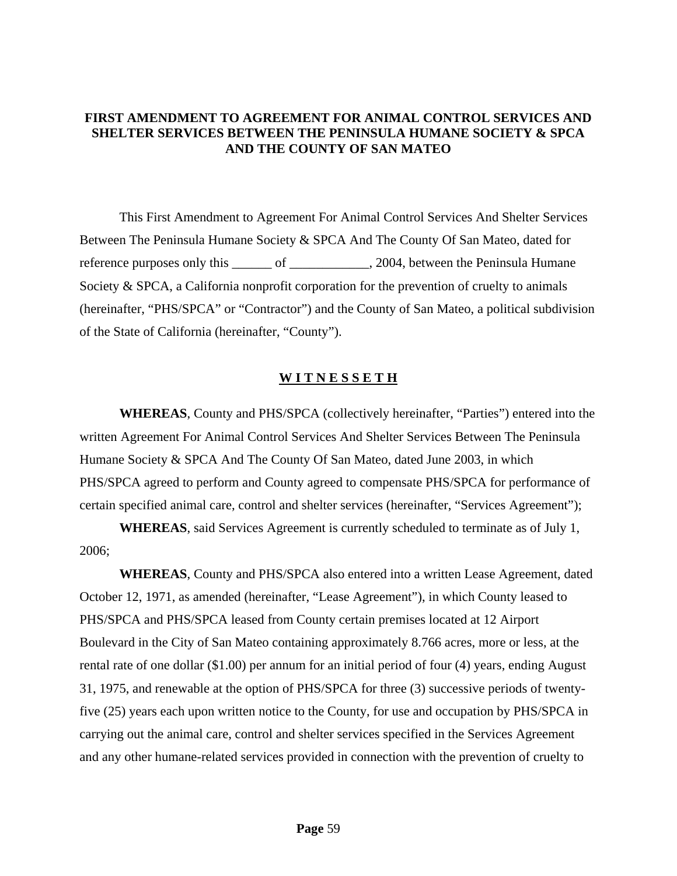### **FIRST AMENDMENT TO AGREEMENT FOR ANIMAL CONTROL SERVICES AND SHELTER SERVICES BETWEEN THE PENINSULA HUMANE SOCIETY & SPCA AND THE COUNTY OF SAN MATEO**

This First Amendment to Agreement For Animal Control Services And Shelter Services Between The Peninsula Humane Society & SPCA And The County Of San Mateo, dated for reference purposes only this \_\_\_\_\_\_ of \_\_\_\_\_\_\_\_\_\_\_\_, 2004, between the Peninsula Humane Society & SPCA, a California nonprofit corporation for the prevention of cruelty to animals (hereinafter, "PHS/SPCA" or "Contractor") and the County of San Mateo, a political subdivision of the State of California (hereinafter, "County").

#### **W I T N E S S E T H**

**WHEREAS**, County and PHS/SPCA (collectively hereinafter, "Parties") entered into the written Agreement For Animal Control Services And Shelter Services Between The Peninsula Humane Society & SPCA And The County Of San Mateo, dated June 2003, in which PHS/SPCA agreed to perform and County agreed to compensate PHS/SPCA for performance of certain specified animal care, control and shelter services (hereinafter, "Services Agreement");

**WHEREAS**, said Services Agreement is currently scheduled to terminate as of July 1, 2006;

**WHEREAS**, County and PHS/SPCA also entered into a written Lease Agreement, dated October 12, 1971, as amended (hereinafter, "Lease Agreement"), in which County leased to PHS/SPCA and PHS/SPCA leased from County certain premises located at 12 Airport Boulevard in the City of San Mateo containing approximately 8.766 acres, more or less, at the rental rate of one dollar (\$1.00) per annum for an initial period of four (4) years, ending August 31, 1975, and renewable at the option of PHS/SPCA for three (3) successive periods of twentyfive (25) years each upon written notice to the County, for use and occupation by PHS/SPCA in carrying out the animal care, control and shelter services specified in the Services Agreement and any other humane-related services provided in connection with the prevention of cruelty to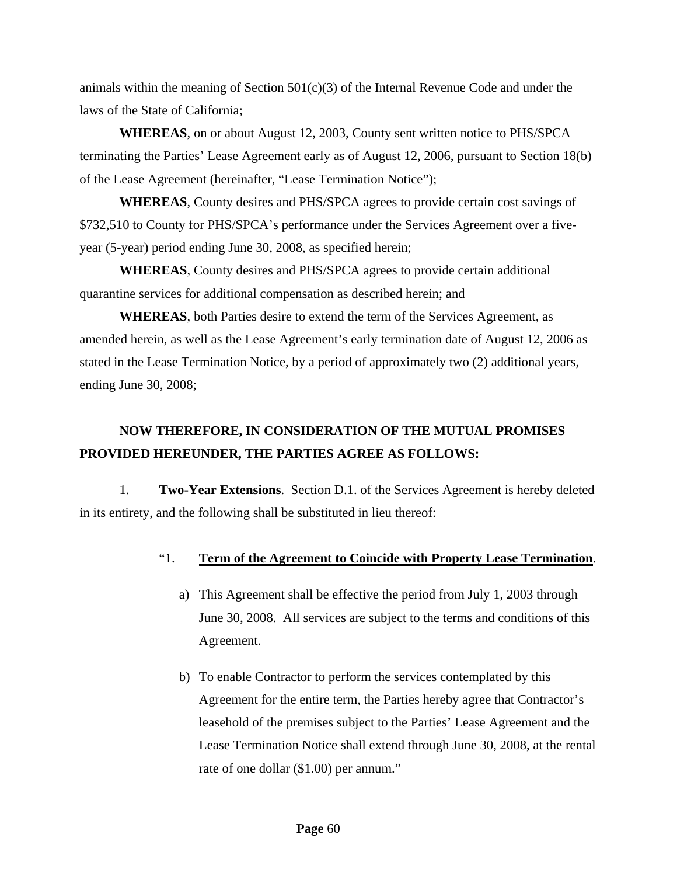animals within the meaning of Section  $501(c)(3)$  of the Internal Revenue Code and under the laws of the State of California;

**WHEREAS**, on or about August 12, 2003, County sent written notice to PHS/SPCA terminating the Parties' Lease Agreement early as of August 12, 2006, pursuant to Section 18(b) of the Lease Agreement (hereinafter, "Lease Termination Notice");

**WHEREAS**, County desires and PHS/SPCA agrees to provide certain cost savings of \$732,510 to County for PHS/SPCA's performance under the Services Agreement over a fiveyear (5-year) period ending June 30, 2008, as specified herein;

**WHEREAS**, County desires and PHS/SPCA agrees to provide certain additional quarantine services for additional compensation as described herein; and

**WHEREAS**, both Parties desire to extend the term of the Services Agreement, as amended herein, as well as the Lease Agreement's early termination date of August 12, 2006 as stated in the Lease Termination Notice, by a period of approximately two (2) additional years, ending June 30, 2008;

# **NOW THEREFORE, IN CONSIDERATION OF THE MUTUAL PROMISES PROVIDED HEREUNDER, THE PARTIES AGREE AS FOLLOWS:**

1. **Two-Year Extensions**. Section D.1. of the Services Agreement is hereby deleted in its entirety, and the following shall be substituted in lieu thereof:

### "1. **Term of the Agreement to Coincide with Property Lease Termination**.

- a) This Agreement shall be effective the period from July 1, 2003 through June 30, 2008. All services are subject to the terms and conditions of this Agreement.
- b) To enable Contractor to perform the services contemplated by this Agreement for the entire term, the Parties hereby agree that Contractor's leasehold of the premises subject to the Parties' Lease Agreement and the Lease Termination Notice shall extend through June 30, 2008, at the rental rate of one dollar (\$1.00) per annum."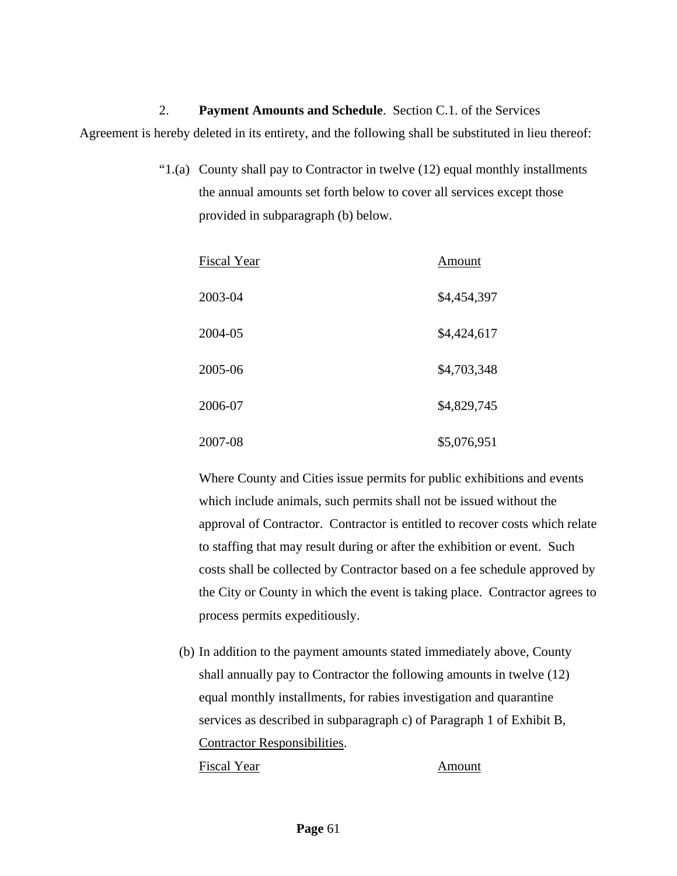2. **Payment Amounts and Schedule**. Section C.1. of the Services Agreement is hereby deleted in its entirety, and the following shall be substituted in lieu thereof:

> "1.(a) County shall pay to Contractor in twelve (12) equal monthly installments the annual amounts set forth below to cover all services except those provided in subparagraph (b) below.

| Fiscal Year | Amount      |
|-------------|-------------|
| 2003-04     | \$4,454,397 |
| 2004-05     | \$4,424,617 |
| 2005-06     | \$4,703,348 |
| 2006-07     | \$4,829,745 |
| 2007-08     | \$5,076,951 |

Where County and Cities issue permits for public exhibitions and events which include animals, such permits shall not be issued without the approval of Contractor. Contractor is entitled to recover costs which relate to staffing that may result during or after the exhibition or event. Such costs shall be collected by Contractor based on a fee schedule approved by the City or County in which the event is taking place. Contractor agrees to process permits expeditiously.

(b) In addition to the payment amounts stated immediately above, County shall annually pay to Contractor the following amounts in twelve (12) equal monthly installments, for rabies investigation and quarantine services as described in subparagraph c) of Paragraph 1 of Exhibit B, Contractor Responsibilities. Fiscal Year Amount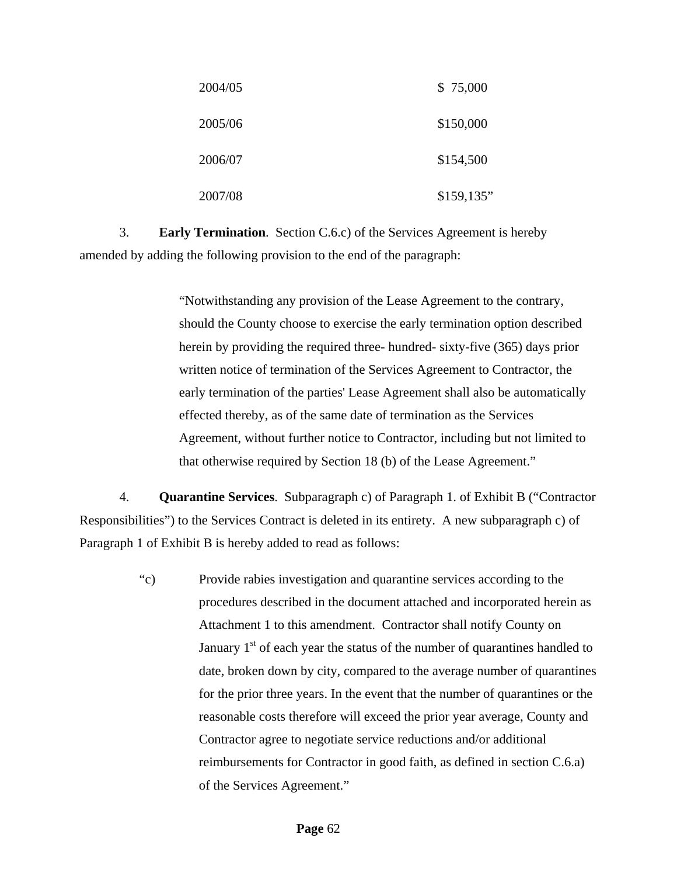| 2004/05 | \$75,000    |
|---------|-------------|
| 2005/06 | \$150,000   |
| 2006/07 | \$154,500   |
| 2007/08 | \$159, 135" |

3. **Early Termination**. Section C.6.c) of the Services Agreement is hereby amended by adding the following provision to the end of the paragraph:

> "Notwithstanding any provision of the Lease Agreement to the contrary, should the County choose to exercise the early termination option described herein by providing the required three- hundred- sixty-five (365) days prior written notice of termination of the Services Agreement to Contractor, the early termination of the parties' Lease Agreement shall also be automatically effected thereby, as of the same date of termination as the Services Agreement, without further notice to Contractor, including but not limited to that otherwise required by Section 18 (b) of the Lease [Agreement."](http://agreement./)

4. **Quarantine Services**. Subparagraph c) of Paragraph 1. of Exhibit B ("Contractor Responsibilities") to the Services Contract is deleted in its entirety. A new subparagraph c) of Paragraph 1 of Exhibit B is hereby added to read as follows:

> "c) Provide rabies investigation and quarantine services according to the procedures described in the document attached and incorporated herein as Attachment 1 to this amendment. Contractor shall notify County on January  $1<sup>st</sup>$  of each year the status of the number of quarantines handled to date, broken down by city, compared to the average number of quarantines for the prior three years. In the event that the number of quarantines or the reasonable costs therefore will exceed the prior year average, County and Contractor agree to negotiate service reductions and/or additional reimbursements for Contractor in good faith, as defined in section C.6.a) of the Services Agreement."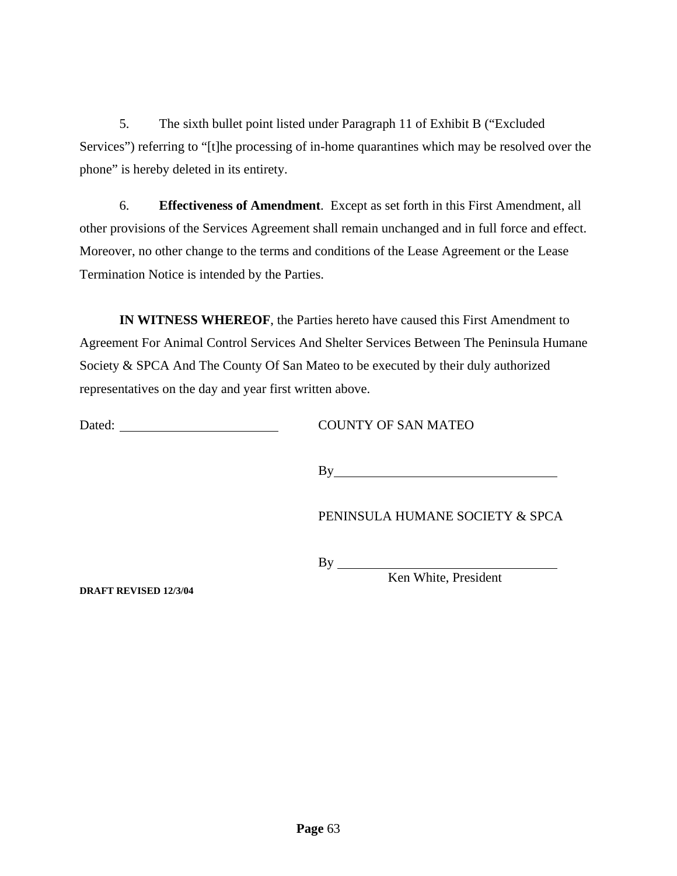5. The sixth bullet point listed under Paragraph 11 of Exhibit B ("Excluded Services") referring to "[t]he processing of in-home quarantines which may be resolved over the phone" is hereby deleted in its entirety.

6. **Effectiveness of Amendment**. Except as set forth in this First Amendment, all other provisions of the Services Agreement shall remain unchanged and in full force and effect. Moreover, no other change to the terms and conditions of the Lease Agreement or the Lease Termination Notice is intended by the Parties.

**IN WITNESS WHEREOF**, the Parties hereto have caused this First Amendment to Agreement For Animal Control Services And Shelter Services Between The Peninsula Humane Society & SPCA And The County Of San Mateo to be executed by their duly authorized representatives on the day and year first written above.

Dated: COUNTY OF SAN MATEO

By **Example 2018** 

PENINSULA HUMANE SOCIETY & SPCA

By

Ken White, President

**DRAFT REVISED 12/3/04**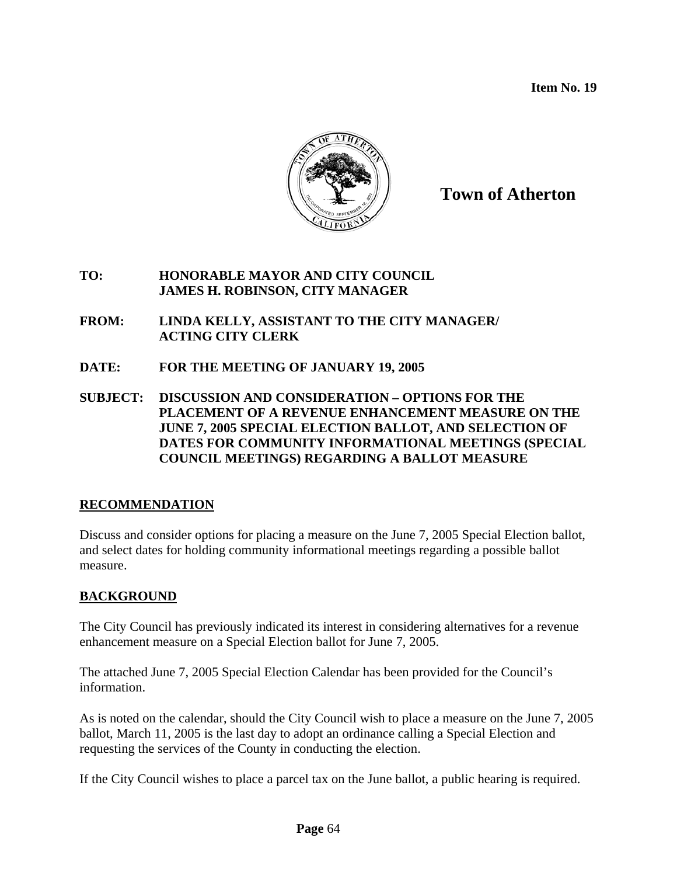**Item No. 19** 



**Town of Atherton**

### **TO: HONORABLE MAYOR AND CITY COUNCIL JAMES H. ROBINSON, CITY MANAGER**

- **FROM: LINDA KELLY, ASSISTANT TO THE CITY MANAGER/ ACTING CITY CLERK**
- **DATE: FOR THE MEETING OF JANUARY 19, 2005**
- **SUBJECT: DISCUSSION AND CONSIDERATION OPTIONS FOR THE PLACEMENT OF A REVENUE ENHANCEMENT MEASURE ON THE JUNE 7, 2005 SPECIAL ELECTION BALLOT, AND SELECTION OF DATES FOR COMMUNITY INFORMATIONAL MEETINGS (SPECIAL COUNCIL MEETINGS) REGARDING A BALLOT MEASURE**

# **RECOMMENDATION**

Discuss and consider options for placing a measure on the June 7, 2005 Special Election ballot, and select dates for holding community informational meetings regarding a possible ballot measure.

# **BACKGROUND**

The City Council has previously indicated its interest in considering alternatives for a revenue enhancement measure on a Special Election ballot for June 7, 2005.

The attached June 7, 2005 Special Election Calendar has been provided for the Council's information.

As is noted on the calendar, should the City Council wish to place a measure on the June 7, 2005 ballot, March 11, 2005 is the last day to adopt an ordinance calling a Special Election and requesting the services of the County in conducting the election.

If the City Council wishes to place a parcel tax on the June ballot, a public hearing is required.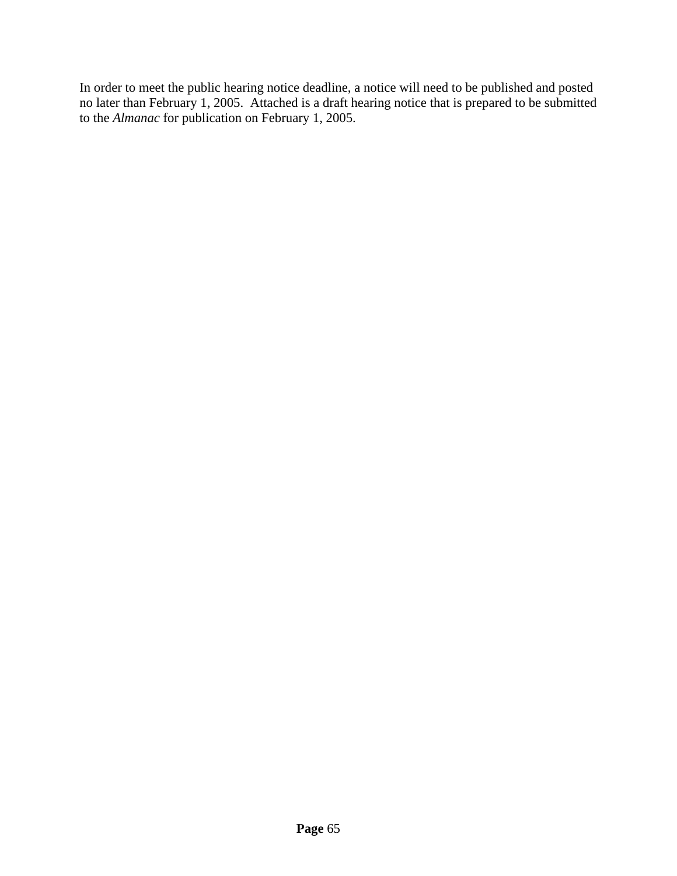In order to meet the public hearing notice deadline, a notice will need to be published and posted no later than February 1, 2005. Attached is a draft hearing notice that is prepared to be submitted to the *Almanac* for publication on February 1, 2005.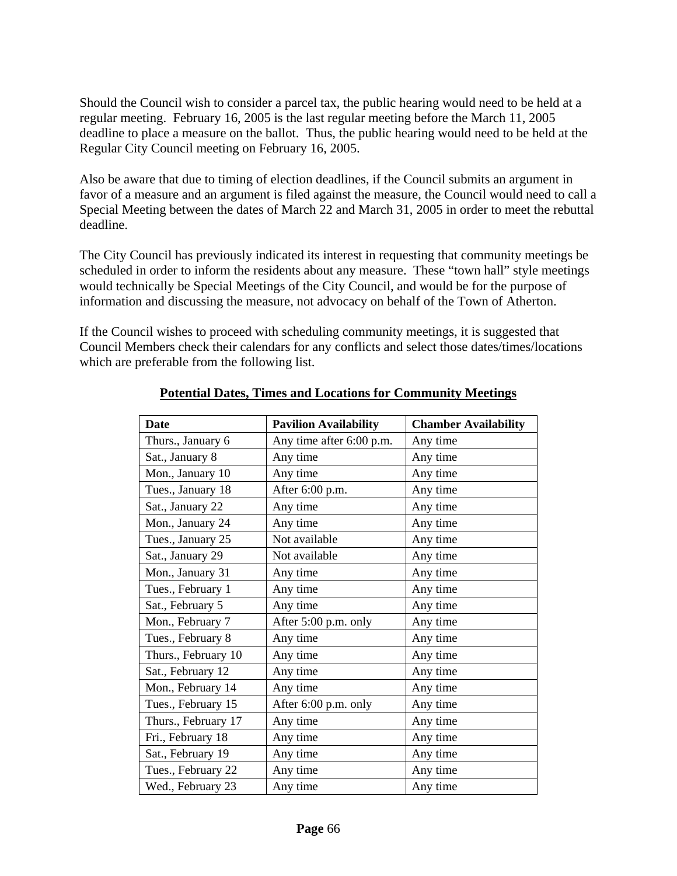Should the Council wish to consider a parcel tax, the public hearing would need to be held at a regular meeting. February 16, 2005 is the last regular meeting before the March 11, 2005 deadline to place a measure on the ballot. Thus, the public hearing would need to be held at the Regular City Council meeting on February 16, 2005.

Also be aware that due to timing of election deadlines, if the Council submits an argument in favor of a measure and an argument is filed against the measure, the Council would need to call a Special Meeting between the dates of March 22 and March 31, 2005 in order to meet the rebuttal deadline.

The City Council has previously indicated its interest in requesting that community meetings be scheduled in order to inform the residents about any measure. These "town hall" style meetings would technically be Special Meetings of the City Council, and would be for the purpose of information and discussing the measure, not advocacy on behalf of the Town of Atherton.

If the Council wishes to proceed with scheduling community meetings, it is suggested that Council Members check their calendars for any conflicts and select those dates/times/locations which are preferable from the following list.

| <b>Date</b>         | <b>Pavilion Availability</b> | <b>Chamber Availability</b> |
|---------------------|------------------------------|-----------------------------|
| Thurs., January 6   | Any time after 6:00 p.m.     | Any time                    |
| Sat., January 8     | Any time                     | Any time                    |
| Mon., January 10    | Any time                     | Any time                    |
| Tues., January 18   | After 6:00 p.m.              | Any time                    |
| Sat., January 22    | Any time                     | Any time                    |
| Mon., January 24    | Any time                     | Any time                    |
| Tues., January 25   | Not available                | Any time                    |
| Sat., January 29    | Not available                | Any time                    |
| Mon., January 31    | Any time                     | Any time                    |
| Tues., February 1   | Any time                     | Any time                    |
| Sat., February 5    | Any time                     | Any time                    |
| Mon., February 7    | After 5:00 p.m. only         | Any time                    |
| Tues., February 8   | Any time                     | Any time                    |
| Thurs., February 10 | Any time                     | Any time                    |
| Sat., February 12   | Any time                     | Any time                    |
| Mon., February 14   | Any time                     | Any time                    |
| Tues., February 15  | After 6:00 p.m. only         | Any time                    |
| Thurs., February 17 | Any time                     | Any time                    |
| Fri., February 18   | Any time                     | Any time                    |
| Sat., February 19   | Any time                     | Any time                    |
| Tues., February 22  | Any time                     | Any time                    |
| Wed., February 23   | Any time                     | Any time                    |
|                     |                              |                             |

### **Potential Dates, Times and Locations for Community Meetings**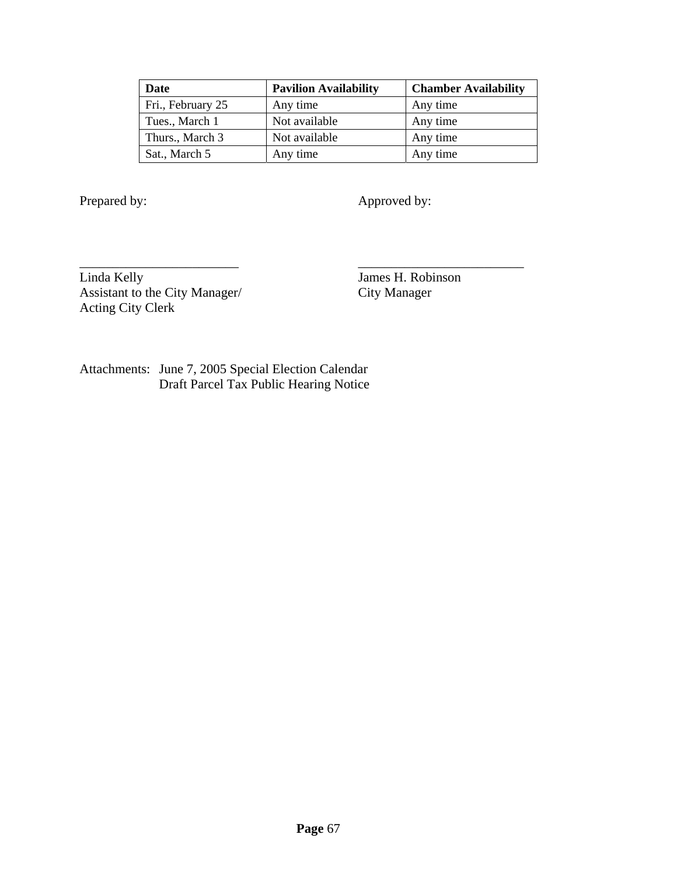| Date              | <b>Pavilion Availability</b> | <b>Chamber Availability</b> |
|-------------------|------------------------------|-----------------------------|
| Fri., February 25 | Any time                     | Any time                    |
| Tues., March 1    | Not available                | Any time                    |
| Thurs., March 3   | Not available                | Any time                    |
| Sat., March 5     | Any time                     | Any time                    |

\_\_\_\_\_\_\_\_\_\_\_\_\_\_\_\_\_\_\_\_\_\_\_\_ \_\_\_\_\_\_\_\_\_\_\_\_\_\_\_\_\_\_\_\_\_\_\_\_\_

Prepared by: Approved by:

Linda Kelly<br>
Assistant to the City Manager<br>
City Manager<br>
City Manager Assistant to the City Manager/ Acting City Clerk

Attachments: June 7, 2005 Special Election Calendar Draft Parcel Tax Public Hearing Notice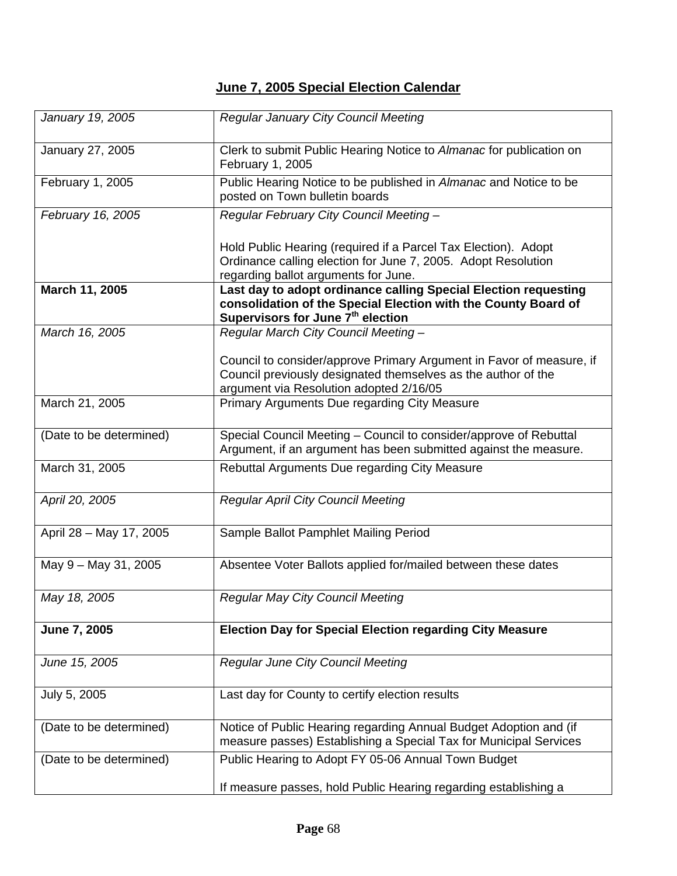# **June 7, 2005 Special Election Calendar**

| January 19, 2005        | <b>Regular January City Council Meeting</b>                                                                                                                                        |  |  |
|-------------------------|------------------------------------------------------------------------------------------------------------------------------------------------------------------------------------|--|--|
| January 27, 2005        | Clerk to submit Public Hearing Notice to Almanac for publication on<br>February 1, 2005                                                                                            |  |  |
| February 1, 2005        | Public Hearing Notice to be published in Almanac and Notice to be<br>posted on Town bulletin boards                                                                                |  |  |
| February 16, 2005       | Regular February City Council Meeting -                                                                                                                                            |  |  |
|                         | Hold Public Hearing (required if a Parcel Tax Election). Adopt<br>Ordinance calling election for June 7, 2005. Adopt Resolution<br>regarding ballot arguments for June.            |  |  |
| March 11, 2005          | Last day to adopt ordinance calling Special Election requesting<br>consolidation of the Special Election with the County Board of<br>Supervisors for June 7 <sup>th</sup> election |  |  |
| March 16, 2005          | Regular March City Council Meeting -                                                                                                                                               |  |  |
|                         | Council to consider/approve Primary Argument in Favor of measure, if<br>Council previously designated themselves as the author of the<br>argument via Resolution adopted 2/16/05   |  |  |
| March 21, 2005          | Primary Arguments Due regarding City Measure                                                                                                                                       |  |  |
| (Date to be determined) | Special Council Meeting - Council to consider/approve of Rebuttal<br>Argument, if an argument has been submitted against the measure.                                              |  |  |
| March 31, 2005          | Rebuttal Arguments Due regarding City Measure                                                                                                                                      |  |  |
| April 20, 2005          | <b>Regular April City Council Meeting</b>                                                                                                                                          |  |  |
| April 28 - May 17, 2005 | Sample Ballot Pamphlet Mailing Period                                                                                                                                              |  |  |
| May 9 - May 31, 2005    | Absentee Voter Ballots applied for/mailed between these dates                                                                                                                      |  |  |
| May 18, 2005            | <b>Regular May City Council Meeting</b>                                                                                                                                            |  |  |
| June 7, 2005            | <b>Election Day for Special Election regarding City Measure</b>                                                                                                                    |  |  |
| June 15, 2005           | <b>Regular June City Council Meeting</b>                                                                                                                                           |  |  |
| July 5, 2005            | Last day for County to certify election results                                                                                                                                    |  |  |
| (Date to be determined) | Notice of Public Hearing regarding Annual Budget Adoption and (if<br>measure passes) Establishing a Special Tax for Municipal Services                                             |  |  |
| (Date to be determined) | Public Hearing to Adopt FY 05-06 Annual Town Budget                                                                                                                                |  |  |
|                         | If measure passes, hold Public Hearing regarding establishing a                                                                                                                    |  |  |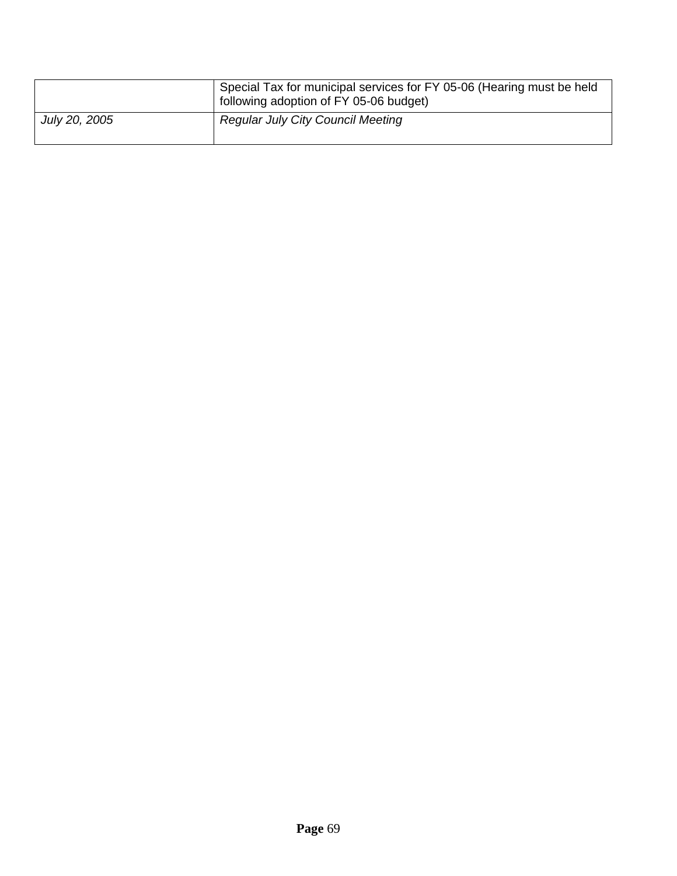|               | Special Tax for municipal services for FY 05-06 (Hearing must be held<br>following adoption of FY 05-06 budget) |
|---------------|-----------------------------------------------------------------------------------------------------------------|
| July 20, 2005 | <b>Regular July City Council Meeting</b>                                                                        |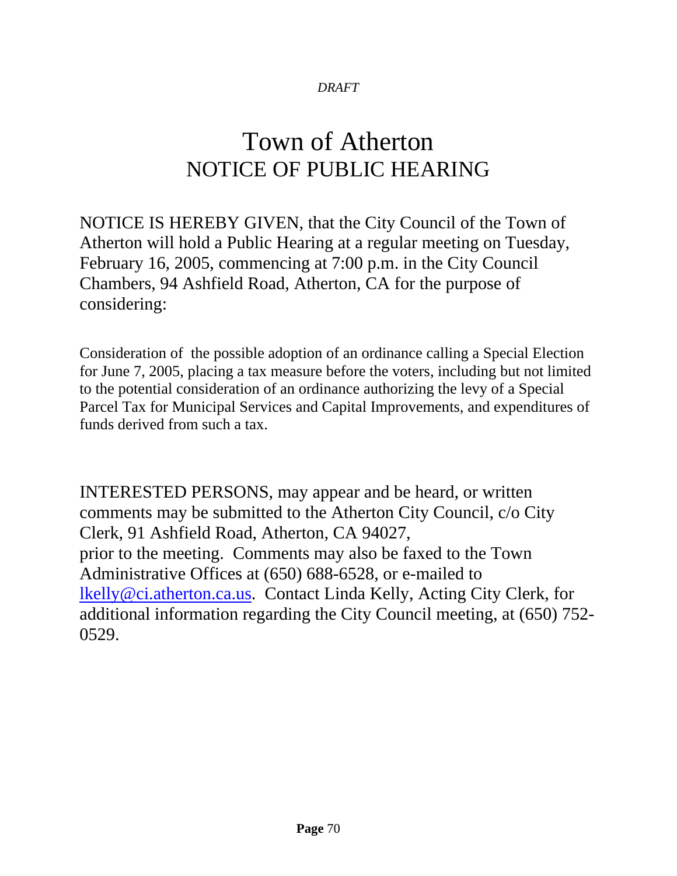# Town of Atherton NOTICE OF PUBLIC HEARING

NOTICE IS HEREBY GIVEN, that the City Council of the Town of Atherton will hold a Public Hearing at a regular meeting on Tuesday, February 16, 2005, commencing at 7:00 p.m. in the City Council Chambers, 94 Ashfield Road, Atherton, CA for the purpose of considering:

Consideration of the possible adoption of an ordinance calling a Special Election for June 7, 2005, placing a tax measure before the voters, including but not limited to the potential consideration of an ordinance authorizing the levy of a Special Parcel Tax for Municipal Services and Capital Improvements, and expenditures of funds derived from such a tax.

INTERESTED PERSONS, may appear and be heard, or written comments may be submitted to the Atherton City Council, c/o City Clerk, 91 Ashfield Road, Atherton, CA 94027, prior to the meeting. Comments may also be faxed to the Town Administrative Offices at (650) 688-6528, or e-mailed to [lkelly@ci.atherton.ca.us.](mailto:lkelly@ci.atherton.ca.us) Contact Linda Kelly, Acting City Clerk, for additional information regarding the City Council meeting, at (650) 752- 0529.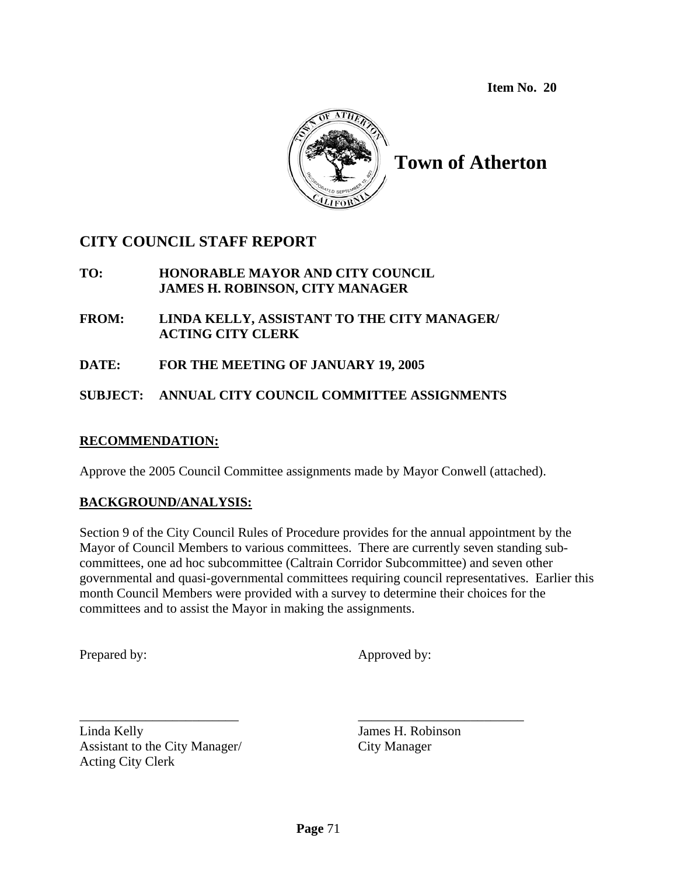**Item No. 20**



**Town of Atherton** 

## **CITY COUNCIL STAFF REPORT**

- **TO: HONORABLE MAYOR AND CITY COUNCIL JAMES H. ROBINSON, CITY MANAGER**
- **FROM: LINDA KELLY, ASSISTANT TO THE CITY MANAGER/ ACTING CITY CLERK**
- **DATE: FOR THE MEETING OF JANUARY 19, 2005**
- **SUBJECT: ANNUAL CITY COUNCIL COMMITTEE ASSIGNMENTS**

### **RECOMMENDATION:**

Approve the 2005 Council Committee assignments made by Mayor Conwell (attached).

### **BACKGROUND/ANALYSIS:**

Section 9 of the City Council Rules of Procedure provides for the annual appointment by the Mayor of Council Members to various committees. There are currently seven standing subcommittees, one ad hoc subcommittee (Caltrain Corridor Subcommittee) and seven other governmental and quasi-governmental committees requiring council representatives. Earlier this month Council Members were provided with a survey to determine their choices for the committees and to assist the Mayor in making the assignments.

Prepared by: Approved by:

Linda Kelly James H. Robinson Assistant to the City Manager/ City Manager Acting City Clerk

\_\_\_\_\_\_\_\_\_\_\_\_\_\_\_\_\_\_\_\_\_\_\_\_ \_\_\_\_\_\_\_\_\_\_\_\_\_\_\_\_\_\_\_\_\_\_\_\_\_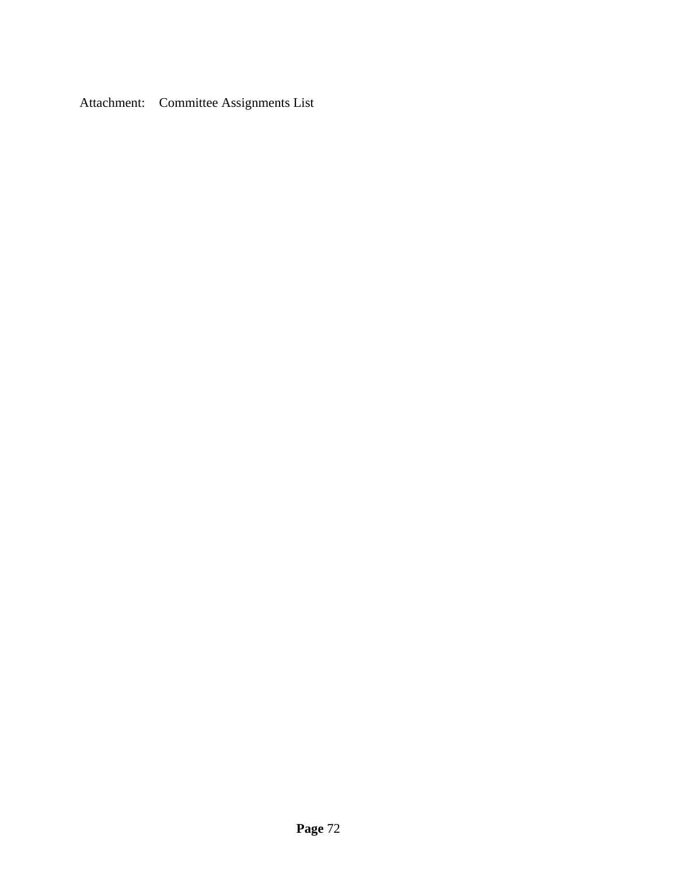Attachment: Committee Assignments List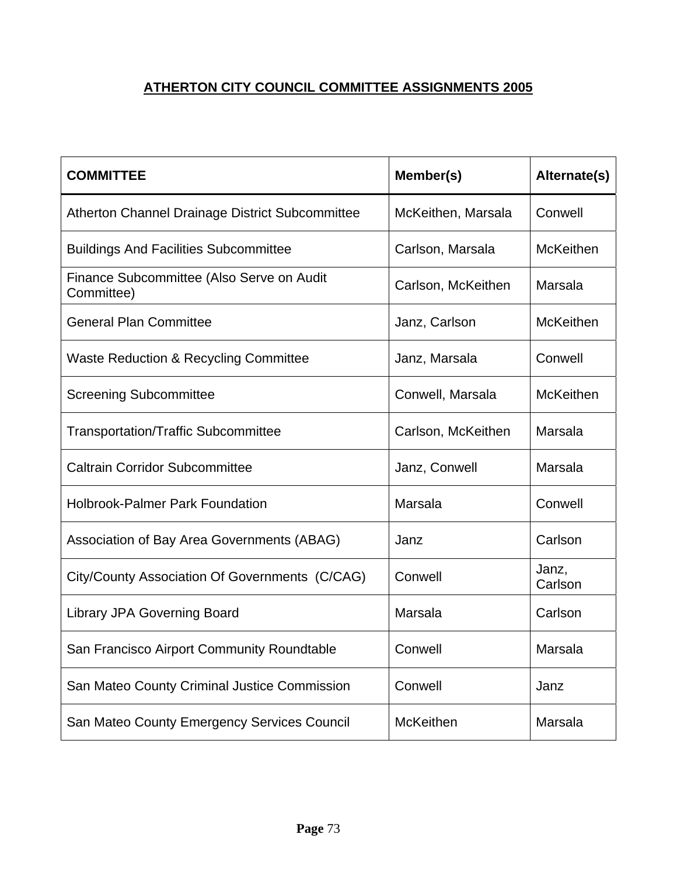## **ATHERTON CITY COUNCIL COMMITTEE ASSIGNMENTS 2005**

| <b>COMMITTEE</b>                                        | Member(s)          | Alternate(s)     |
|---------------------------------------------------------|--------------------|------------------|
| Atherton Channel Drainage District Subcommittee         | McKeithen, Marsala | Conwell          |
| <b>Buildings And Facilities Subcommittee</b>            | Carlson, Marsala   | <b>McKeithen</b> |
| Finance Subcommittee (Also Serve on Audit<br>Committee) | Carlson, McKeithen | Marsala          |
| <b>General Plan Committee</b>                           | Janz, Carlson      | <b>McKeithen</b> |
| <b>Waste Reduction &amp; Recycling Committee</b>        | Janz, Marsala      | Conwell          |
| <b>Screening Subcommittee</b>                           | Conwell, Marsala   | <b>McKeithen</b> |
| <b>Transportation/Traffic Subcommittee</b>              | Carlson, McKeithen | Marsala          |
| <b>Caltrain Corridor Subcommittee</b>                   | Janz, Conwell      | Marsala          |
| <b>Holbrook-Palmer Park Foundation</b>                  | Marsala            | Conwell          |
| Association of Bay Area Governments (ABAG)              | Janz               | Carlson          |
| City/County Association Of Governments (C/CAG)          | Conwell            | Janz,<br>Carlson |
| <b>Library JPA Governing Board</b>                      | Marsala            | Carlson          |
| San Francisco Airport Community Roundtable              | Conwell            | Marsala          |
| San Mateo County Criminal Justice Commission            | Conwell            | Janz             |
| San Mateo County Emergency Services Council             | <b>McKeithen</b>   | Marsala          |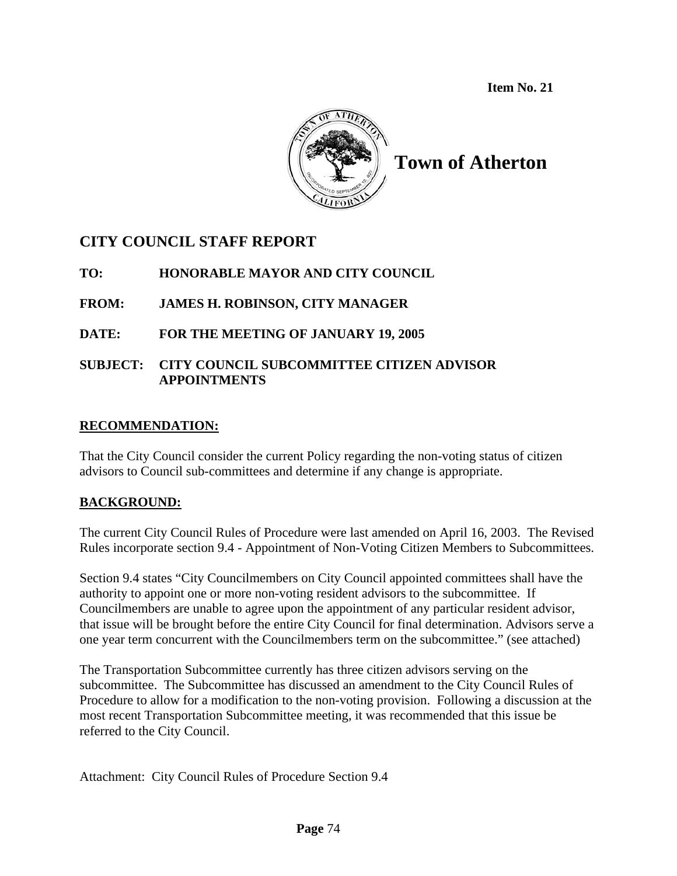**Item No. 21**



**Town of Atherton** 

## **CITY COUNCIL STAFF REPORT**

**TO: HONORABLE MAYOR AND CITY COUNCIL**

## **FROM: JAMES H. ROBINSON, CITY MANAGER**

### **DATE: FOR THE MEETING OF JANUARY 19, 2005**

#### **SUBJECT: CITY COUNCIL SUBCOMMITTEE CITIZEN ADVISOR APPOINTMENTS**

#### **RECOMMENDATION:**

That the City Council consider the current Policy regarding the non-voting status of citizen advisors to Council sub-committees and determine if any change is appropriate.

### **BACKGROUND:**

The current City Council Rules of Procedure were last amended on April 16, 2003. The Revised Rules incorporate section 9.4 - Appointment of Non-Voting Citizen Members to Subcommittees.

Section 9.4 states "City Councilmembers on City Council appointed committees shall have the authority to appoint one or more non-voting resident advisors to the subcommittee. If Councilmembers are unable to agree upon the appointment of any particular resident advisor, that issue will be brought before the entire City Council for final determination. Advisors serve a one year term concurrent with the Councilmembers term on the subcommittee." (see attached)

The Transportation Subcommittee currently has three citizen advisors serving on the subcommittee. The Subcommittee has discussed an amendment to the City Council Rules of Procedure to allow for a modification to the non-voting provision. Following a discussion at the most recent Transportation Subcommittee meeting, it was recommended that this issue be referred to the City Council.

Attachment: City Council Rules of Procedure Section 9.4